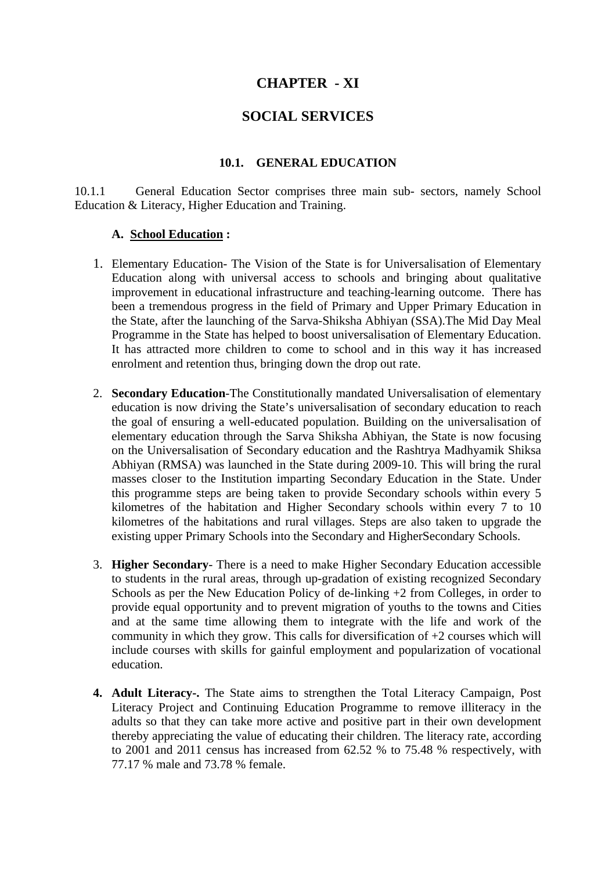# **CHAPTER - XI**

## **SOCIAL SERVICES**

#### **10.1. GENERAL EDUCATION**

10.1.1 General Education Sector comprises three main sub- sectors, namely School Education & Literacy, Higher Education and Training.

#### **A. School Education :**

- 1. Elementary Education- The Vision of the State is for Universalisation of Elementary Education along with universal access to schools and bringing about qualitative improvement in educational infrastructure and teaching-learning outcome. There has been a tremendous progress in the field of Primary and Upper Primary Education in the State, after the launching of the Sarva-Shiksha Abhiyan (SSA).The Mid Day Meal Programme in the State has helped to boost universalisation of Elementary Education. It has attracted more children to come to school and in this way it has increased enrolment and retention thus, bringing down the drop out rate.
- 2. **Secondary Education**-The Constitutionally mandated Universalisation of elementary education is now driving the State's universalisation of secondary education to reach the goal of ensuring a well-educated population. Building on the universalisation of elementary education through the Sarva Shiksha Abhiyan, the State is now focusing on the Universalisation of Secondary education and the Rashtrya Madhyamik Shiksa Abhiyan (RMSA) was launched in the State during 2009-10. This will bring the rural masses closer to the Institution imparting Secondary Education in the State. Under this programme steps are being taken to provide Secondary schools within every 5 kilometres of the habitation and Higher Secondary schools within every 7 to 10 kilometres of the habitations and rural villages. Steps are also taken to upgrade the existing upper Primary Schools into the Secondary and HigherSecondary Schools.
- 3. **Higher Secondary** There is a need to make Higher Secondary Education accessible to students in the rural areas, through up-gradation of existing recognized Secondary Schools as per the New Education Policy of de-linking +2 from Colleges, in order to provide equal opportunity and to prevent migration of youths to the towns and Cities and at the same time allowing them to integrate with the life and work of the community in which they grow. This calls for diversification of  $+2$  courses which will include courses with skills for gainful employment and popularization of vocational education.
- **4. Adult Literacy-.** The State aims to strengthen the Total Literacy Campaign, Post Literacy Project and Continuing Education Programme to remove illiteracy in the adults so that they can take more active and positive part in their own development thereby appreciating the value of educating their children. The literacy rate, according to 2001 and 2011 census has increased from 62.52 % to 75.48 % respectively, with 77.17 % male and 73.78 % female.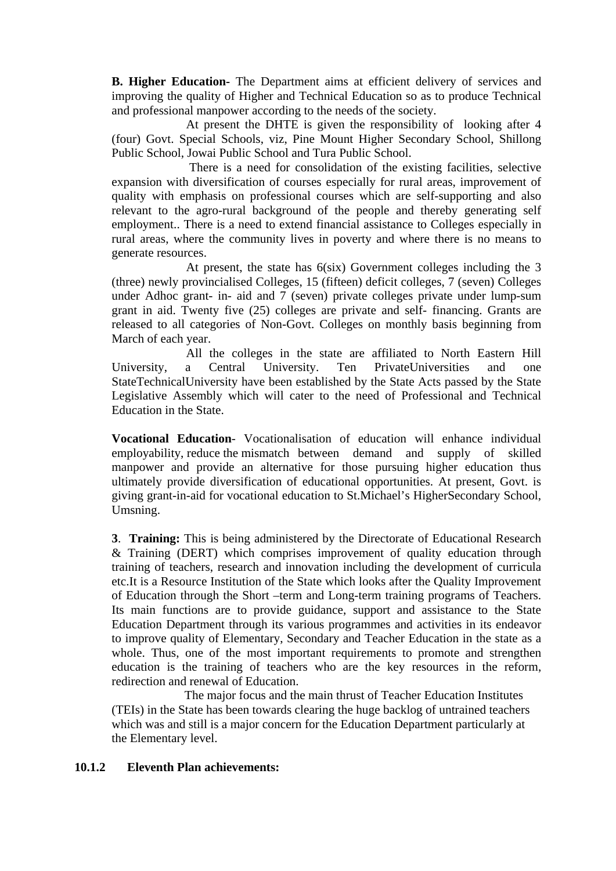**B. Higher Education-** The Department aims at efficient delivery of services and improving the quality of Higher and Technical Education so as to produce Technical and professional manpower according to the needs of the society.

 At present the DHTE is given the responsibility of looking after 4 (four) Govt. Special Schools, viz, Pine Mount Higher Secondary School, Shillong Public School, Jowai Public School and Tura Public School.

 There is a need for consolidation of the existing facilities, selective expansion with diversification of courses especially for rural areas, improvement of quality with emphasis on professional courses which are self-supporting and also relevant to the agro-rural background of the people and thereby generating self employment.. There is a need to extend financial assistance to Colleges especially in rural areas, where the community lives in poverty and where there is no means to generate resources.

 At present, the state has 6(six) Government colleges including the 3 (three) newly provincialised Colleges, 15 (fifteen) deficit colleges, 7 (seven) Colleges under Adhoc grant- in- aid and 7 (seven) private colleges private under lump-sum grant in aid. Twenty five (25) colleges are private and self- financing. Grants are released to all categories of Non-Govt. Colleges on monthly basis beginning from March of each year.

 All the colleges in the state are affiliated to North Eastern Hill University, a Central University. Ten PrivateUniversities and one StateTechnicalUniversity have been established by the State Acts passed by the State Legislative Assembly which will cater to the need of Professional and Technical Education in the State.

**Vocational Education**- Vocationalisation of education will enhance individual employability, reduce the mismatch between demand and supply of skilled manpower and provide an alternative for those pursuing higher education thus ultimately provide diversification of educational opportunities. At present, Govt. is giving grant-in-aid for vocational education to St.Michael's HigherSecondary School, Umsning.

**3**. **Training:** This is being administered by the Directorate of Educational Research & Training (DERT) which comprises improvement of quality education through training of teachers, research and innovation including the development of curricula etc.It is a Resource Institution of the State which looks after the Quality Improvement of Education through the Short –term and Long-term training programs of Teachers. Its main functions are to provide guidance, support and assistance to the State Education Department through its various programmes and activities in its endeavor to improve quality of Elementary, Secondary and Teacher Education in the state as a whole. Thus, one of the most important requirements to promote and strengthen education is the training of teachers who are the key resources in the reform, redirection and renewal of Education.

 The major focus and the main thrust of Teacher Education Institutes (TEIs) in the State has been towards clearing the huge backlog of untrained teachers which was and still is a major concern for the Education Department particularly at the Elementary level.

#### **10.1.2 Eleventh Plan achievements:**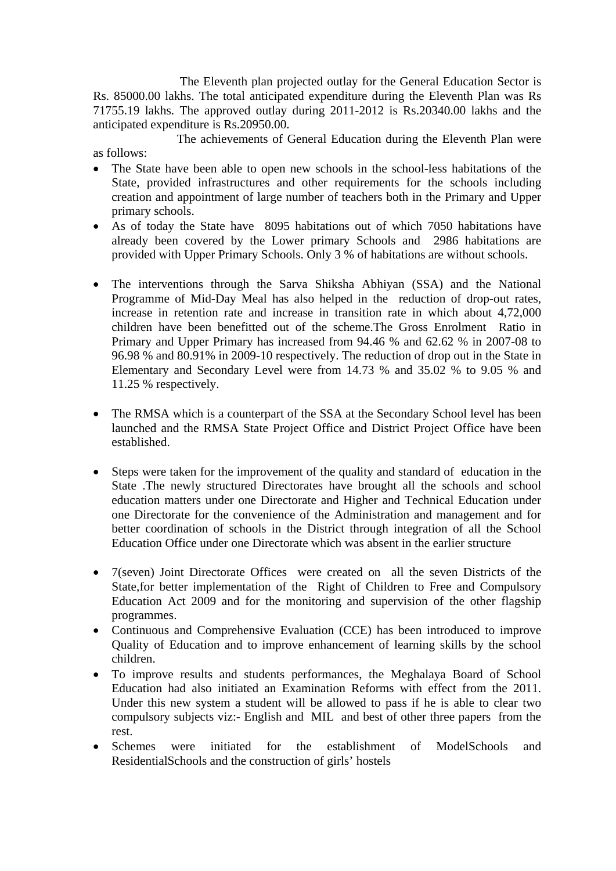The Eleventh plan projected outlay for the General Education Sector is Rs. 85000.00 lakhs. The total anticipated expenditure during the Eleventh Plan was Rs 71755.19 lakhs. The approved outlay during 2011-2012 is Rs.20340.00 lakhs and the anticipated expenditure is Rs.20950.00.

 The achievements of General Education during the Eleventh Plan were as follows:

- The State have been able to open new schools in the school-less habitations of the State, provided infrastructures and other requirements for the schools including creation and appointment of large number of teachers both in the Primary and Upper primary schools.
- As of today the State have 8095 habitations out of which 7050 habitations have already been covered by the Lower primary Schools and 2986 habitations are provided with Upper Primary Schools. Only 3 % of habitations are without schools.
- The interventions through the Sarva Shiksha Abhiyan (SSA) and the National Programme of Mid-Day Meal has also helped in the reduction of drop-out rates, increase in retention rate and increase in transition rate in which about 4,72,000 children have been benefitted out of the scheme.The Gross Enrolment Ratio in Primary and Upper Primary has increased from 94.46 % and 62.62 % in 2007-08 to 96.98 % and 80.91% in 2009-10 respectively. The reduction of drop out in the State in Elementary and Secondary Level were from 14.73 % and 35.02 % to 9.05 % and 11.25 % respectively.
- The RMSA which is a counterpart of the SSA at the Secondary School level has been launched and the RMSA State Project Office and District Project Office have been established.
- Steps were taken for the improvement of the quality and standard of education in the State .The newly structured Directorates have brought all the schools and school education matters under one Directorate and Higher and Technical Education under one Directorate for the convenience of the Administration and management and for better coordination of schools in the District through integration of all the School Education Office under one Directorate which was absent in the earlier structure
- 7(seven) Joint Directorate Offices were created on all the seven Districts of the State,for better implementation of the Right of Children to Free and Compulsory Education Act 2009 and for the monitoring and supervision of the other flagship programmes.
- Continuous and Comprehensive Evaluation (CCE) has been introduced to improve Quality of Education and to improve enhancement of learning skills by the school children.
- To improve results and students performances, the Meghalaya Board of School Education had also initiated an Examination Reforms with effect from the 2011. Under this new system a student will be allowed to pass if he is able to clear two compulsory subjects viz:- English and MIL and best of other three papers from the rest.
- Schemes were initiated for the establishment of ModelSchools and ResidentialSchools and the construction of girls' hostels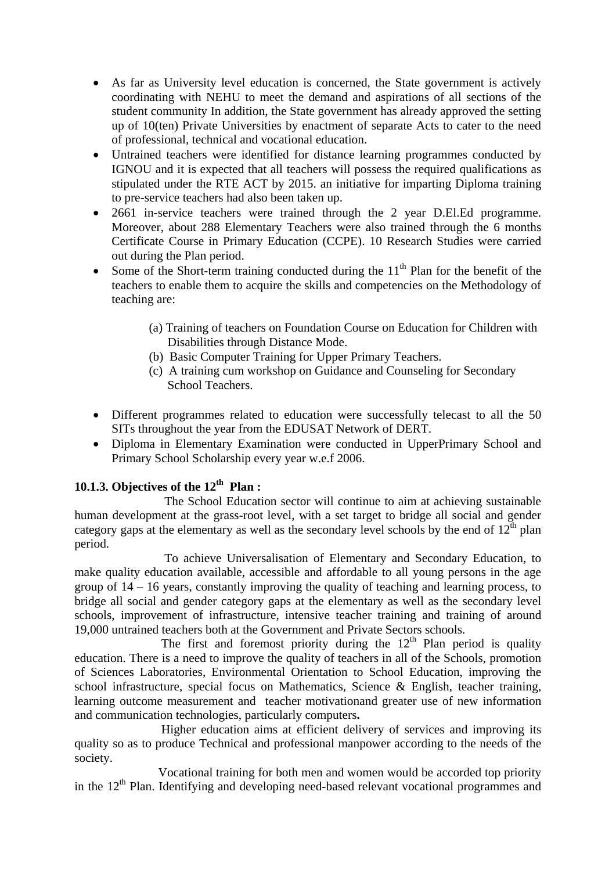- As far as University level education is concerned, the State government is actively coordinating with NEHU to meet the demand and aspirations of all sections of the student community In addition, the State government has already approved the setting up of 10(ten) Private Universities by enactment of separate Acts to cater to the need of professional, technical and vocational education.
- Untrained teachers were identified for distance learning programmes conducted by IGNOU and it is expected that all teachers will possess the required qualifications as stipulated under the RTE ACT by 2015. an initiative for imparting Diploma training to pre-service teachers had also been taken up.
- 2661 in-service teachers were trained through the 2 year D.El.Ed programme. Moreover, about 288 Elementary Teachers were also trained through the 6 months Certificate Course in Primary Education (CCPE). 10 Research Studies were carried out during the Plan period.
- Some of the Short-term training conducted during the  $11<sup>th</sup>$  Plan for the benefit of the teachers to enable them to acquire the skills and competencies on the Methodology of teaching are:
	- (a) Training of teachers on Foundation Course on Education for Children with Disabilities through Distance Mode.
	- (b) Basic Computer Training for Upper Primary Teachers.
	- (c) A training cum workshop on Guidance and Counseling for Secondary School Teachers.
- Different programmes related to education were successfully telecast to all the 50 SITs throughout the year from the EDUSAT Network of DERT.
- Diploma in Elementary Examination were conducted in UpperPrimary School and Primary School Scholarship every year w.e.f 2006.

# **10.1.3. Objectives of the 12th Plan :**

 The School Education sector will continue to aim at achieving sustainable human development at the grass-root level, with a set target to bridge all social and gender category gaps at the elementary as well as the secondary level schools by the end of  $12<sup>th</sup>$  plan period.

 To achieve Universalisation of Elementary and Secondary Education, to make quality education available, accessible and affordable to all young persons in the age group of 14 – 16 years, constantly improving the quality of teaching and learning process, to bridge all social and gender category gaps at the elementary as well as the secondary level schools, improvement of infrastructure, intensive teacher training and training of around 19,000 untrained teachers both at the Government and Private Sectors schools.

The first and foremost priority during the  $12<sup>th</sup>$  Plan period is quality education. There is a need to improve the quality of teachers in all of the Schools, promotion of Sciences Laboratories, Environmental Orientation to School Education, improving the school infrastructure, special focus on Mathematics, Science & English, teacher training, learning outcome measurement and teacher motivationand greater use of new information and communication technologies, particularly computers**.** 

 Higher education aims at efficient delivery of services and improving its quality so as to produce Technical and professional manpower according to the needs of the society.

Vocational training for both men and women would be accorded top priority in the  $12<sup>th</sup>$  Plan. Identifying and developing need-based relevant vocational programmes and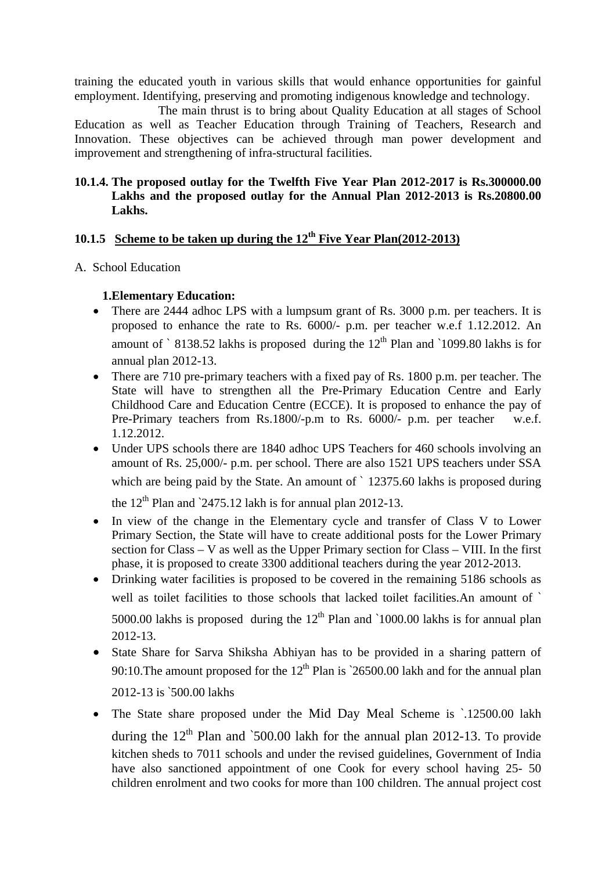training the educated youth in various skills that would enhance opportunities for gainful employment. Identifying, preserving and promoting indigenous knowledge and technology.

 The main thrust is to bring about Quality Education at all stages of School Education as well as Teacher Education through Training of Teachers, Research and Innovation. These objectives can be achieved through man power development and improvement and strengthening of infra-structural facilities.

### **10.1.4. The proposed outlay for the Twelfth Five Year Plan 2012-2017 is Rs.300000.00 Lakhs and the proposed outlay for the Annual Plan 2012-2013 is Rs.20800.00 Lakhs.**

# **10.1.5 Scheme to be taken up during the 12th Five Year Plan(2012-2013)**

A. School Education

### **1.Elementary Education:**

- There are 2444 adhoc LPS with a lumpsum grant of Rs. 3000 p.m. per teachers. It is proposed to enhance the rate to Rs. 6000/- p.m. per teacher w.e.f 1.12.2012. An amount of  $\degree$  8138.52 lakhs is proposed during the 12<sup>th</sup> Plan and  $\degree$ 1099.80 lakhs is for annual plan 2012-13.
- There are 710 pre-primary teachers with a fixed pay of Rs. 1800 p.m. per teacher. The State will have to strengthen all the Pre-Primary Education Centre and Early Childhood Care and Education Centre (ECCE). It is proposed to enhance the pay of Pre-Primary teachers from Rs.1800/-p.m to Rs. 6000/- p.m. per teacher w.e.f. 1.12.2012.
- Under UPS schools there are 1840 adhoc UPS Teachers for 460 schools involving an amount of Rs. 25,000/- p.m. per school. There are also 1521 UPS teachers under SSA which are being paid by the State. An amount of `12375.60 lakhs is proposed during

the  $12<sup>th</sup>$  Plan and `2475.12 lakh is for annual plan 2012-13.

- In view of the change in the Elementary cycle and transfer of Class V to Lower Primary Section, the State will have to create additional posts for the Lower Primary section for Class – V as well as the Upper Primary section for Class – VIII. In the first phase, it is proposed to create 3300 additional teachers during the year 2012-2013.
- Drinking water facilities is proposed to be covered in the remaining 5186 schools as well as toilet facilities to those schools that lacked toilet facilities.An amount of ` 5000.00 lakhs is proposed during the  $12<sup>th</sup>$  Plan and `1000.00 lakhs is for annual plan 2012-13.
- State Share for Sarva Shiksha Abhiyan has to be provided in a sharing pattern of 90:10. The amount proposed for the  $12<sup>th</sup>$  Plan is  $26500.00$  lakh and for the annual plan 2012-13 is `500.00 lakhs
- The State share proposed under the Mid Day Meal Scheme is `.12500.00 lakh during the  $12<sup>th</sup>$  Plan and `500.00 lakh for the annual plan 2012-13. To provide kitchen sheds to 7011 schools and under the revised guidelines, Government of India have also sanctioned appointment of one Cook for every school having 25- 50 children enrolment and two cooks for more than 100 children. The annual project cost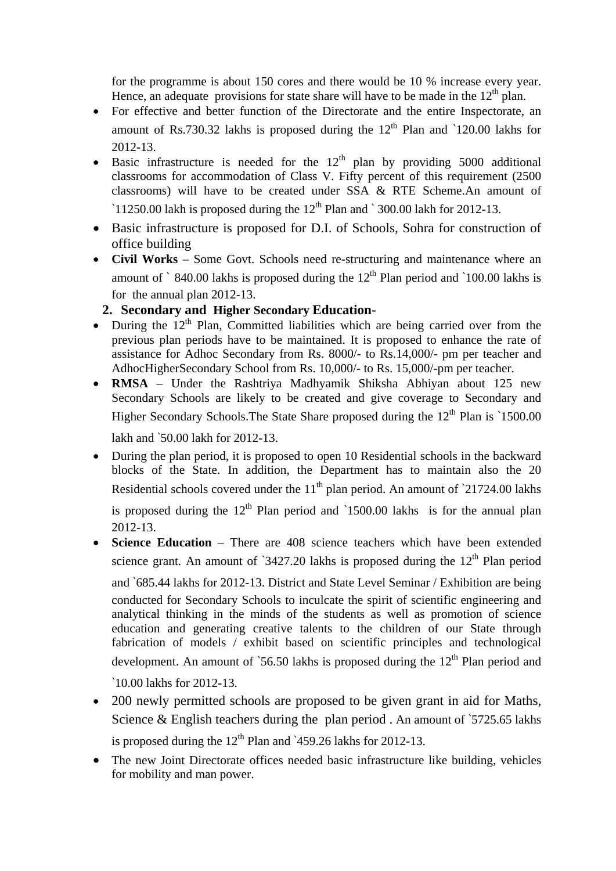for the programme is about 150 cores and there would be 10 % increase every year. Hence, an adequate provisions for state share will have to be made in the  $12<sup>th</sup>$  plan.

- For effective and better function of the Directorate and the entire Inspectorate, an amount of Rs.730.32 lakhs is proposed during the  $12<sup>th</sup>$  Plan and `120.00 lakhs for 2012-13.
- Basic infrastructure is needed for the  $12<sup>th</sup>$  plan by providing 5000 additional classrooms for accommodation of Class V. Fifty percent of this requirement (2500 classrooms) will have to be created under SSA & RTE Scheme.An amount of  $11250.00$  lakh is proposed during the  $12<sup>th</sup>$  Plan and  $\degree$  300.00 lakh for 2012-13.
- Basic infrastructure is proposed for D.I. of Schools, Sohra for construction of office building
- **Civil Works** Some Govt. Schools need re-structuring and maintenance where an amount of  $\degree$  840.00 lakhs is proposed during the 12<sup>th</sup> Plan period and  $\degree$ 100.00 lakhs is for the annual plan 2012-13.

# **2. Secondary and Higher Secondary Education-**

- During the  $12<sup>th</sup>$  Plan, Committed liabilities which are being carried over from the previous plan periods have to be maintained. It is proposed to enhance the rate of assistance for Adhoc Secondary from Rs. 8000/- to Rs.14,000/- pm per teacher and AdhocHigherSecondary School from Rs. 10,000/- to Rs. 15,000/-pm per teacher.
- **RMSA** Under the Rashtriya Madhyamik Shiksha Abhiyan about 125 new Secondary Schools are likely to be created and give coverage to Secondary and Higher Secondary Schools. The State Share proposed during the  $12<sup>th</sup>$  Plan is  $1500.00$

lakh and `50.00 lakh for 2012-13.

 During the plan period, it is proposed to open 10 Residential schools in the backward blocks of the State. In addition, the Department has to maintain also the 20 Residential schools covered under the  $11<sup>th</sup>$  plan period. An amount of  $21724.00$  lakhs

is proposed during the  $12<sup>th</sup>$  Plan period and  $1500.00$  lakhs is for the annual plan 2012-13.

**Science Education** – There are 408 science teachers which have been extended science grant. An amount of  $3427.20$  lakhs is proposed during the  $12<sup>th</sup>$  Plan period

and `685.44 lakhs for 2012-13. District and State Level Seminar / Exhibition are being conducted for Secondary Schools to inculcate the spirit of scientific engineering and analytical thinking in the minds of the students as well as promotion of science education and generating creative talents to the children of our State through fabrication of models / exhibit based on scientific principles and technological development. An amount of  $56.50$  lakhs is proposed during the  $12<sup>th</sup>$  Plan period and

`10.00 lakhs for 2012-13.

- 200 newly permitted schools are proposed to be given grant in aid for Maths, Science & English teachers during the plan period. An amount of `5725.65 lakhs is proposed during the  $12<sup>th</sup>$  Plan and  $\angle$ 459.26 lakhs for 2012-13.
- The new Joint Directorate offices needed basic infrastructure like building, vehicles for mobility and man power.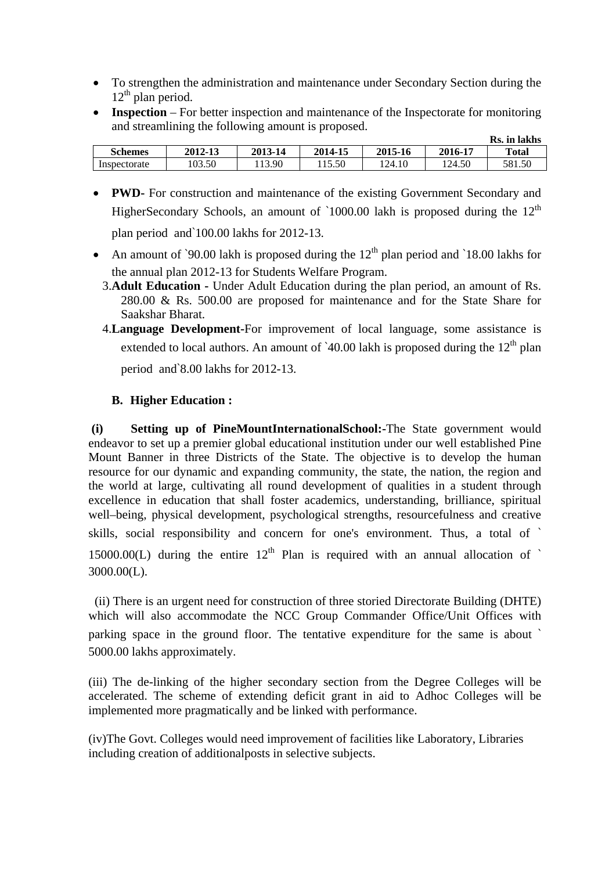- To strengthen the administration and maintenance under Secondary Section during the  $12<sup>th</sup>$  plan period.
- **Inspection** For better inspection and maintenance of the Inspectorate for monitoring and streamlining the following amount is proposed.

|                |         |         |         |         |         | Rs. in lakhs |
|----------------|---------|---------|---------|---------|---------|--------------|
| <b>Schemes</b> | 2012-13 | 2013-14 | 2014-15 | 2015-16 | 2016-17 | Total        |
| Inspectorate   | 03.50   | 13.90   | 15.50   | 124.10  | 124.50  | 581.50       |

• **PWD-** For construction and maintenance of the existing Government Secondary and HigherSecondary Schools, an amount of  $1000.00$  lakh is proposed during the  $12<sup>th</sup>$ 

plan period and`100.00 lakhs for 2012-13.

- An amount of `90.00 lakh is proposed during the  $12<sup>th</sup>$  plan period and `18.00 lakhs for the annual plan 2012-13 for Students Welfare Program.
	- 3.**Adult Education** Under Adult Education during the plan period, an amount of Rs. 280.00 & Rs. 500.00 are proposed for maintenance and for the State Share for Saakshar Bharat.
	- 4.**Language Development-**For improvement of local language, some assistance is extended to local authors. An amount of  $40.00$  lakh is proposed during the  $12<sup>th</sup>$  plan

period and`8.00 lakhs for 2012-13.

## **B. Higher Education :**

 **(i) Setting up of PineMountInternationalSchool:-**The State government would endeavor to set up a premier global educational institution under our well established Pine Mount Banner in three Districts of the State. The objective is to develop the human resource for our dynamic and expanding community, the state, the nation, the region and the world at large, cultivating all round development of qualities in a student through excellence in education that shall foster academics, understanding, brilliance, spiritual well–being, physical development, psychological strengths, resourcefulness and creative skills, social responsibility and concern for one's environment. Thus, a total of ` 15000.00(L) during the entire  $12<sup>th</sup>$  Plan is required with an annual allocation of  $\dot{\ }$ 3000.00(L).

 (ii) There is an urgent need for construction of three storied Directorate Building (DHTE) which will also accommodate the NCC Group Commander Office/Unit Offices with parking space in the ground floor. The tentative expenditure for the same is about ` 5000.00 lakhs approximately.

(iii) The de-linking of the higher secondary section from the Degree Colleges will be accelerated. The scheme of extending deficit grant in aid to Adhoc Colleges will be implemented more pragmatically and be linked with performance.

(iv)The Govt. Colleges would need improvement of facilities like Laboratory, Libraries including creation of additionalposts in selective subjects.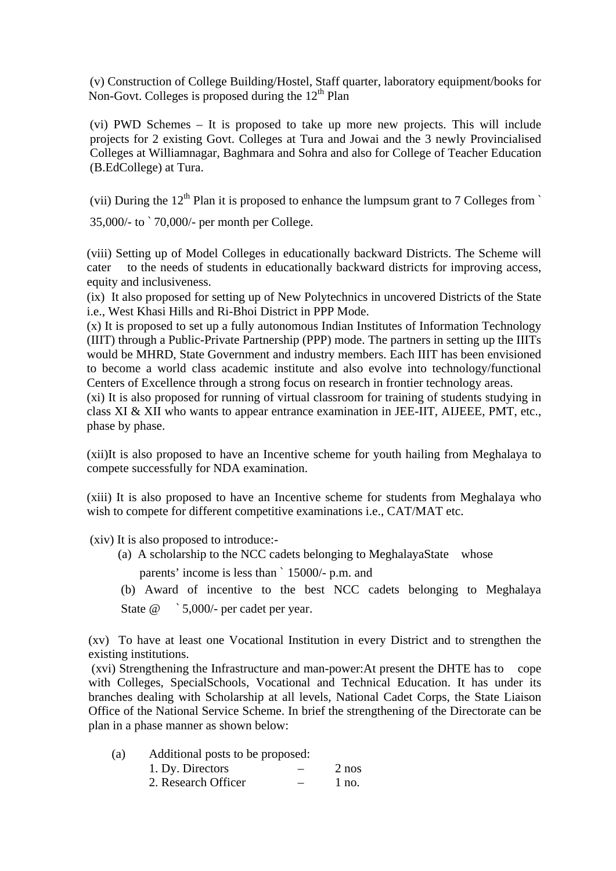(v) Construction of College Building/Hostel, Staff quarter, laboratory equipment/books for Non-Govt. Colleges is proposed during the  $12<sup>th</sup>$  Plan

(vi) PWD Schemes – It is proposed to take up more new projects. This will include projects for 2 existing Govt. Colleges at Tura and Jowai and the 3 newly Provincialised Colleges at Williamnagar, Baghmara and Sohra and also for College of Teacher Education (B.EdCollege) at Tura.

(vii) During the  $12<sup>th</sup>$  Plan it is proposed to enhance the lumpsum grant to 7 Colleges from `

35,000/- to ` 70,000/- per month per College.

(viii) Setting up of Model Colleges in educationally backward Districts. The Scheme will cater to the needs of students in educationally backward districts for improving access, equity and inclusiveness.

(ix) It also proposed for setting up of New Polytechnics in uncovered Districts of the State i.e., West Khasi Hills and Ri-Bhoi District in PPP Mode.

(x) It is proposed to set up a fully autonomous Indian Institutes of Information Technology (IIIT) through a Public-Private Partnership (PPP) mode. The partners in setting up the IIITs would be MHRD, State Government and industry members. Each IIIT has been envisioned to become a world class academic institute and also evolve into technology/functional Centers of Excellence through a strong focus on research in frontier technology areas.

(xi) It is also proposed for running of virtual classroom for training of students studying in class XI & XII who wants to appear entrance examination in JEE-IIT, AIJEEE, PMT, etc., phase by phase.

(xii)It is also proposed to have an Incentive scheme for youth hailing from Meghalaya to compete successfully for NDA examination.

(xiii) It is also proposed to have an Incentive scheme for students from Meghalaya who wish to compete for different competitive examinations i.e., CAT/MAT etc.

(xiv) It is also proposed to introduce:-

- (a) A scholarship to the NCC cadets belonging to MeghalayaState whose parents' income is less than ` 15000/- p.m. and
- (b) Award of incentive to the best NCC cadets belonging to Meghalaya State @  $\degree$  5,000/- per cadet per year.

(xv) To have at least one Vocational Institution in every District and to strengthen the existing institutions.

 (xvi) Strengthening the Infrastructure and man-power:At present the DHTE has to cope with Colleges, SpecialSchools, Vocational and Technical Education. It has under its branches dealing with Scholarship at all levels, National Cadet Corps, the State Liaison Office of the National Service Scheme. In brief the strengthening of the Directorate can be plan in a phase manner as shown below:

- (a) Additional posts to be proposed:
	- 1. Dy. Directors 2 nos 2. Research Officer – 1 no.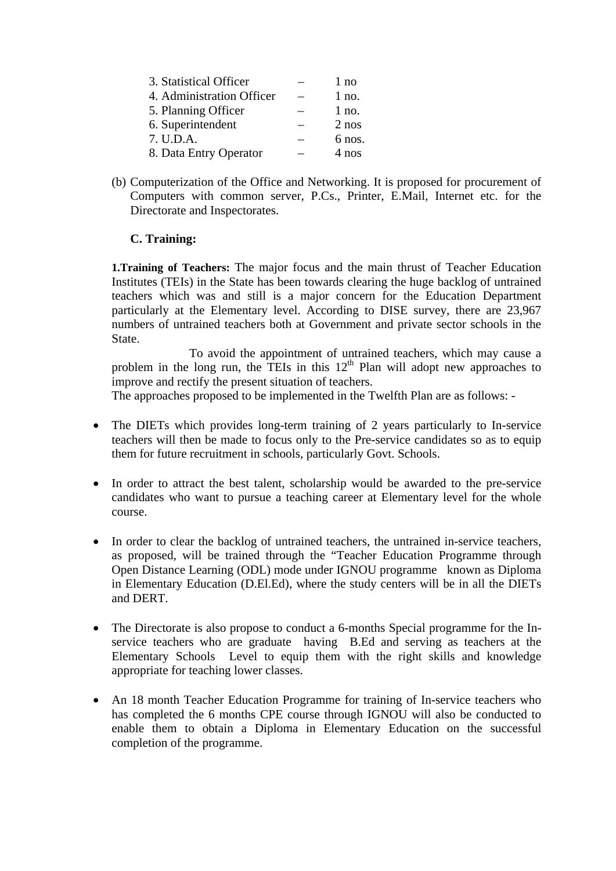| 3. Statistical Officer    | 1 no    |
|---------------------------|---------|
| 4. Administration Officer | $1$ no. |
| 5. Planning Officer       | $1$ no. |
| 6. Superintendent         | $2$ nos |
| 7. U.D.A.                 | 6 nos.  |
| 8. Data Entry Operator    | 4 nos   |

(b) Computerization of the Office and Networking. It is proposed for procurement of Computers with common server, P.Cs., Printer, E.Mail, Internet etc. for the Directorate and Inspectorates.

#### **C. Training:**

**1.Training of Teachers:** The major focus and the main thrust of Teacher Education Institutes (TEIs) in the State has been towards clearing the huge backlog of untrained teachers which was and still is a major concern for the Education Department particularly at the Elementary level. According to DISE survey, there are 23,967 numbers of untrained teachers both at Government and private sector schools in the State.

 To avoid the appointment of untrained teachers, which may cause a problem in the long run, the TEIs in this  $12<sup>th</sup>$  Plan will adopt new approaches to improve and rectify the present situation of teachers.

The approaches proposed to be implemented in the Twelfth Plan are as follows: -

- The DIETs which provides long-term training of 2 years particularly to In-service teachers will then be made to focus only to the Pre-service candidates so as to equip them for future recruitment in schools, particularly Govt. Schools.
- In order to attract the best talent, scholarship would be awarded to the pre-service candidates who want to pursue a teaching career at Elementary level for the whole course.
- In order to clear the backlog of untrained teachers, the untrained in-service teachers, as proposed, will be trained through the "Teacher Education Programme through Open Distance Learning (ODL) mode under IGNOU programme known as Diploma in Elementary Education (D.El.Ed), where the study centers will be in all the DIETs and DERT.
- The Directorate is also propose to conduct a 6-months Special programme for the Inservice teachers who are graduate having B.Ed and serving as teachers at the Elementary Schools Level to equip them with the right skills and knowledge appropriate for teaching lower classes.
- An 18 month Teacher Education Programme for training of In-service teachers who has completed the 6 months CPE course through IGNOU will also be conducted to enable them to obtain a Diploma in Elementary Education on the successful completion of the programme.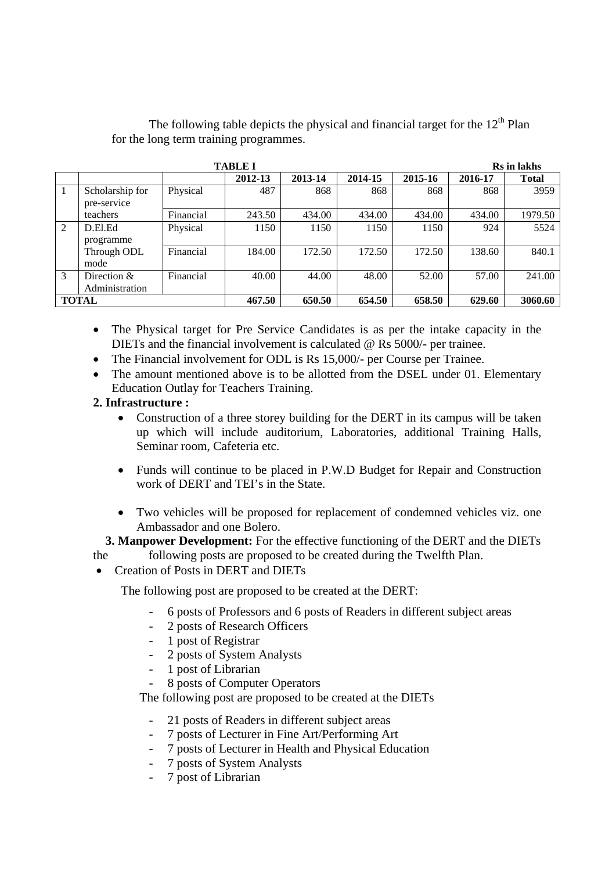The following table depicts the physical and financial target for the  $12<sup>th</sup>$  Plan for the long term training programmes.

|                |                                 |           | <b>TABLE I</b> |         |         |         |         | <b>Rs</b> in lakhs |
|----------------|---------------------------------|-----------|----------------|---------|---------|---------|---------|--------------------|
|                |                                 |           | 2012-13        | 2013-14 | 2014-15 | 2015-16 | 2016-17 | <b>Total</b>       |
| 1              | Scholarship for<br>pre-service  | Physical  | 487            | 868     | 868     | 868     | 868     | 3959               |
|                | teachers                        | Financial | 243.50         | 434.00  | 434.00  | 434.00  | 434.00  | 1979.50            |
| $\overline{2}$ | D.El.Ed<br>programme            | Physical  | 1150           | 1150    | 1150    | 1150    | 924     | 5524               |
|                | Through ODL<br>mode             | Financial | 184.00         | 172.50  | 172.50  | 172.50  | 138.60  | 840.1              |
| 3              | Direction $&$<br>Administration | Financial | 40.00          | 44.00   | 48.00   | 52.00   | 57.00   | 241.00             |
|                | <b>TOTAL</b>                    |           | 467.50         | 650.50  | 654.50  | 658.50  | 629.60  | 3060.60            |

 The Physical target for Pre Service Candidates is as per the intake capacity in the DIETs and the financial involvement is calculated @ Rs 5000/- per trainee.

- The Financial involvement for ODL is Rs 15,000/- per Course per Trainee.
- The amount mentioned above is to be allotted from the DSEL under 01. Elementary Education Outlay for Teachers Training.

#### **2. Infrastructure :**

- Construction of a three storey building for the DERT in its campus will be taken up which will include auditorium, Laboratories, additional Training Halls, Seminar room, Cafeteria etc.
- Funds will continue to be placed in P.W.D Budget for Repair and Construction work of DERT and TEI's in the State.
- Two vehicles will be proposed for replacement of condemned vehicles viz. one Ambassador and one Bolero.

#### **3. Manpower Development:** For the effective functioning of the DERT and the DIETs the following posts are proposed to be created during the Twelfth Plan.

## • Creation of Posts in DERT and DIETs

The following post are proposed to be created at the DERT:

- 6 posts of Professors and 6 posts of Readers in different subject areas
- 2 posts of Research Officers
- 1 post of Registrar
- 2 posts of System Analysts
- 1 post of Librarian
- 8 posts of Computer Operators

The following post are proposed to be created at the DIETs

- 21 posts of Readers in different subject areas
- 7 posts of Lecturer in Fine Art/Performing Art
- 7 posts of Lecturer in Health and Physical Education
- 7 posts of System Analysts
- 7 post of Librarian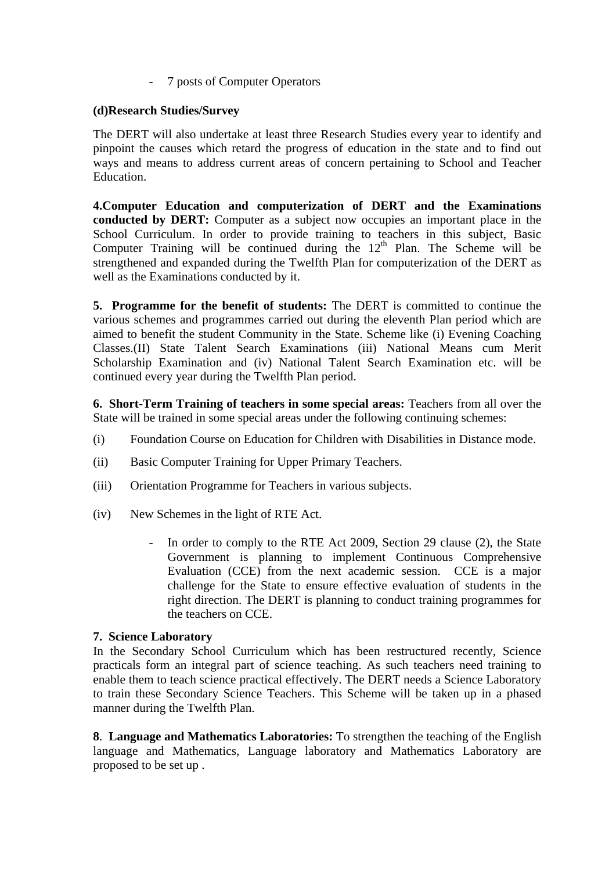- 7 posts of Computer Operators

#### **(d)Research Studies/Survey**

The DERT will also undertake at least three Research Studies every year to identify and pinpoint the causes which retard the progress of education in the state and to find out ways and means to address current areas of concern pertaining to School and Teacher Education.

**4.Computer Education and computerization of DERT and the Examinations conducted by DERT:** Computer as a subject now occupies an important place in the School Curriculum. In order to provide training to teachers in this subject, Basic Computer Training will be continued during the  $12<sup>th</sup>$  Plan. The Scheme will be strengthened and expanded during the Twelfth Plan for computerization of the DERT as well as the Examinations conducted by it.

**5. Programme for the benefit of students:** The DERT is committed to continue the various schemes and programmes carried out during the eleventh Plan period which are aimed to benefit the student Community in the State. Scheme like (i) Evening Coaching Classes.(II) State Talent Search Examinations (iii) National Means cum Merit Scholarship Examination and (iv) National Talent Search Examination etc. will be continued every year during the Twelfth Plan period.

**6. Short-Term Training of teachers in some special areas:** Teachers from all over the State will be trained in some special areas under the following continuing schemes:

- (i) Foundation Course on Education for Children with Disabilities in Distance mode.
- (ii) Basic Computer Training for Upper Primary Teachers.
- (iii) Orientation Programme for Teachers in various subjects.
- (iv) New Schemes in the light of RTE Act.
	- In order to comply to the RTE Act 2009, Section 29 clause (2), the State Government is planning to implement Continuous Comprehensive Evaluation (CCE) from the next academic session. CCE is a major challenge for the State to ensure effective evaluation of students in the right direction. The DERT is planning to conduct training programmes for the teachers on CCE.

#### **7. Science Laboratory**

In the Secondary School Curriculum which has been restructured recently, Science practicals form an integral part of science teaching. As such teachers need training to enable them to teach science practical effectively. The DERT needs a Science Laboratory to train these Secondary Science Teachers. This Scheme will be taken up in a phased manner during the Twelfth Plan.

**8**. **Language and Mathematics Laboratories:** To strengthen the teaching of the English language and Mathematics, Language laboratory and Mathematics Laboratory are proposed to be set up .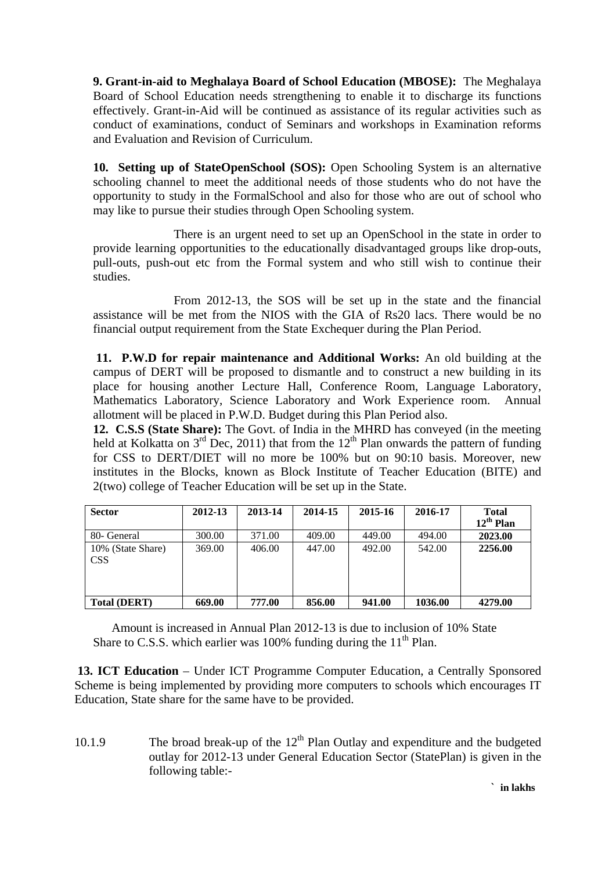**9. Grant-in-aid to Meghalaya Board of School Education (MBOSE):** The Meghalaya Board of School Education needs strengthening to enable it to discharge its functions effectively. Grant-in-Aid will be continued as assistance of its regular activities such as conduct of examinations, conduct of Seminars and workshops in Examination reforms and Evaluation and Revision of Curriculum.

**10. Setting up of StateOpenSchool (SOS):** Open Schooling System is an alternative schooling channel to meet the additional needs of those students who do not have the opportunity to study in the FormalSchool and also for those who are out of school who may like to pursue their studies through Open Schooling system.

 There is an urgent need to set up an OpenSchool in the state in order to provide learning opportunities to the educationally disadvantaged groups like drop-outs, pull-outs, push-out etc from the Formal system and who still wish to continue their studies.

 From 2012-13, the SOS will be set up in the state and the financial assistance will be met from the NIOS with the GIA of Rs20 lacs. There would be no financial output requirement from the State Exchequer during the Plan Period.

 **11. P.W.D for repair maintenance and Additional Works:** An old building at the campus of DERT will be proposed to dismantle and to construct a new building in its place for housing another Lecture Hall, Conference Room, Language Laboratory, Mathematics Laboratory, Science Laboratory and Work Experience room. Annual allotment will be placed in P.W.D. Budget during this Plan Period also.

**12. C.S.S (State Share):** The Govt. of India in the MHRD has conveyed (in the meeting held at Kolkatta on  $3<sup>rd</sup>$  Dec, 2011) that from the 12<sup>th</sup> Plan onwards the pattern of funding for CSS to DERT/DIET will no more be 100% but on 90:10 basis. Moreover, new institutes in the Blocks, known as Block Institute of Teacher Education (BITE) and 2(two) college of Teacher Education will be set up in the State.

| <b>Sector</b>                   | 2012-13 | 2013-14 | 2014-15 | 2015-16 | 2016-17 | <b>Total</b><br>$12^{th}$ Plan |
|---------------------------------|---------|---------|---------|---------|---------|--------------------------------|
| 80- General                     | 300.00  | 371.00  | 409.00  | 449.00  | 494.00  | 2023.00                        |
| 10% (State Share)<br><b>CSS</b> | 369.00  | 406.00  | 447.00  | 492.00  | 542.00  | 2256.00                        |
| <b>Total (DERT)</b>             | 669.00  | 777.00  | 856.00  | 941.00  | 1036.00 | 4279.00                        |

 Amount is increased in Annual Plan 2012-13 is due to inclusion of 10% State Share to C.S.S. which earlier was 100% funding during the  $11<sup>th</sup>$  Plan.

 **13. ICT Education** – Under ICT Programme Computer Education, a Centrally Sponsored Scheme is being implemented by providing more computers to schools which encourages IT Education, State share for the same have to be provided.

10.1.9 The broad break-up of the  $12<sup>th</sup>$  Plan Outlay and expenditure and the budgeted outlay for 2012-13 under General Education Sector (StatePlan) is given in the following table:-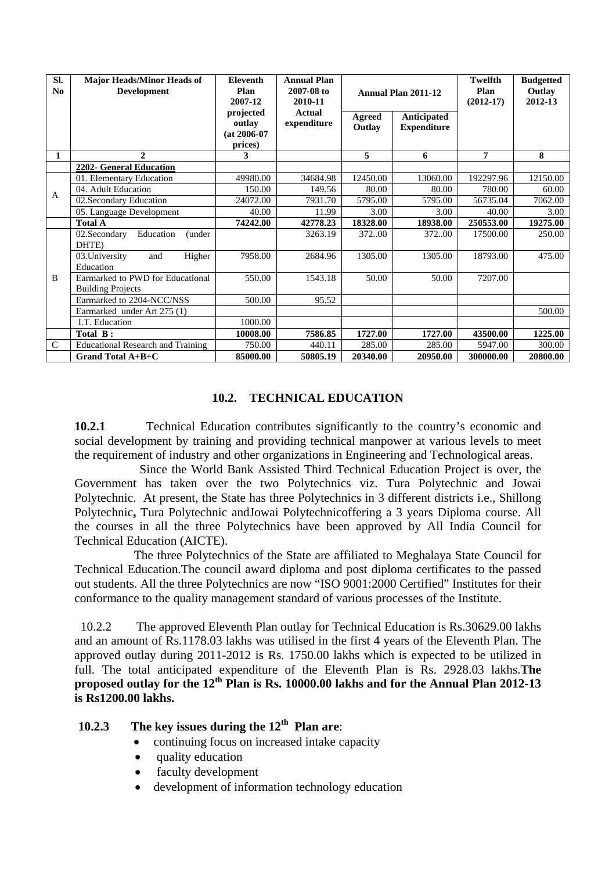| SI.<br>No     | <b>Major Heads/Minor Heads of</b><br><b>Development</b>      | <b>Eleventh</b><br>Plan<br>2007-12               | <b>Annual Plan</b><br>2007-08 to<br>2010-11 | <b>Annual Plan 2011-12</b> |                                   | Twelfth<br>Plan<br>$(2012-17)$ | <b>Budgetted</b><br>Outlay<br>2012-13 |
|---------------|--------------------------------------------------------------|--------------------------------------------------|---------------------------------------------|----------------------------|-----------------------------------|--------------------------------|---------------------------------------|
|               |                                                              | projected<br>outlay<br>$(at 2006-07)$<br>prices) | Actual<br>expenditure                       | <b>Agreed</b><br>Outlay    | Anticipated<br><b>Expenditure</b> |                                |                                       |
| 1             | $\mathbf{2}$                                                 | 3                                                |                                             | 5                          | 6                                 | 7                              | 8                                     |
|               | 2202- General Education                                      |                                                  |                                             |                            |                                   |                                |                                       |
|               | 01. Elementary Education                                     | 49980.00                                         | 34684.98                                    | 12450.00                   | 13060.00                          | 192297.96                      | 12150.00                              |
| $\mathsf{A}$  | 04. Adult Education                                          | 150.00                                           | 149.56                                      | 80.00                      | 80.00                             | 780.00                         | 60.00                                 |
|               | 02.Secondary Education                                       | 24072.00                                         | 7931.70                                     | 5795.00                    | 5795.00                           | 56735.04                       | 7062.00                               |
|               | 05. Language Development                                     | 40.00                                            | 11.99                                       | 3.00                       | 3.00                              | 40.00                          | 3.00                                  |
|               | <b>Total A</b>                                               | 74242.00                                         | 42778.23                                    | 18328.00                   | 18938.00                          | 250553.00                      | 19275.00                              |
|               | 02.Secondary<br>Education<br>(under<br>DHTE)                 |                                                  | 3263.19                                     | 37200                      | 37200                             | 17500.00                       | 250.00                                |
|               | 03. University<br>Higher<br>and<br>Education                 | 7958.00                                          | 2684.96                                     | 1305.00                    | 1305.00                           | 18793.00                       | 475.00                                |
| B             | Earmarked to PWD for Educational<br><b>Building Projects</b> | 550.00                                           | 1543.18                                     | 50.00                      | 50.00                             | 7207.00                        |                                       |
|               | Earmarked to 2204-NCC/NSS                                    | 500.00                                           | 95.52                                       |                            |                                   |                                |                                       |
|               | Earmarked under Art 275 (1)                                  |                                                  |                                             |                            |                                   |                                | 500.00                                |
|               | I.T. Education                                               | 1000.00                                          |                                             |                            |                                   |                                |                                       |
|               | Total B:                                                     | 10008.00                                         | 7586.85                                     | 1727.00                    | 1727.00                           | 43500.00                       | 1225.00                               |
| $\mathcal{C}$ | <b>Educational Research and Training</b>                     | 750.00                                           | 440.11                                      | 285.00                     | 285.00                            | 5947.00                        | 300.00                                |
|               | Grand Total A+B+C                                            | 85000.00                                         | 50805.19                                    | 20340.00                   | 20950.00                          | 300000.00                      | 20800.00                              |

### **10.2. TECHNICAL EDUCATION**

**10.2.1** Technical Education contributes significantly to the country's economic and social development by training and providing technical manpower at various levels to meet the requirement of industry and other organizations in Engineering and Technological areas.

 Since the World Bank Assisted Third Technical Education Project is over, the Government has taken over the two Polytechnics viz. Tura Polytechnic and Jowai Polytechnic. At present, the State has three Polytechnics in 3 different districts i.e., Shillong Polytechnic**,** Tura Polytechnic andJowai Polytechnicoffering a 3 years Diploma course. All the courses in all the three Polytechnics have been approved by All India Council for Technical Education (AICTE).

 The three Polytechnics of the State are affiliated to Meghalaya State Council for Technical Education.The council award diploma and post diploma certificates to the passed out students. All the three Polytechnics are now "ISO 9001:2000 Certified" Institutes for their conformance to the quality management standard of various processes of the Institute.

 10.2.2 The approved Eleventh Plan outlay for Technical Education is Rs.30629.00 lakhs and an amount of Rs.1178.03 lakhs was utilised in the first 4 years of the Eleventh Plan. The approved outlay during 2011-2012 is Rs. 1750.00 lakhs which is expected to be utilized in full. The total anticipated expenditure of the Eleventh Plan is Rs. 2928.03 lakhs.**The proposed outlay for the 12<sup>th</sup> Plan is Rs. 10000.00 lakhs and for the Annual Plan 2012-13 is Rs1200.00 lakhs.** 

# **10.2.3 The key issues during the 12th Plan are**:

- continuing focus on increased intake capacity
- quality education
- faculty development
- development of information technology education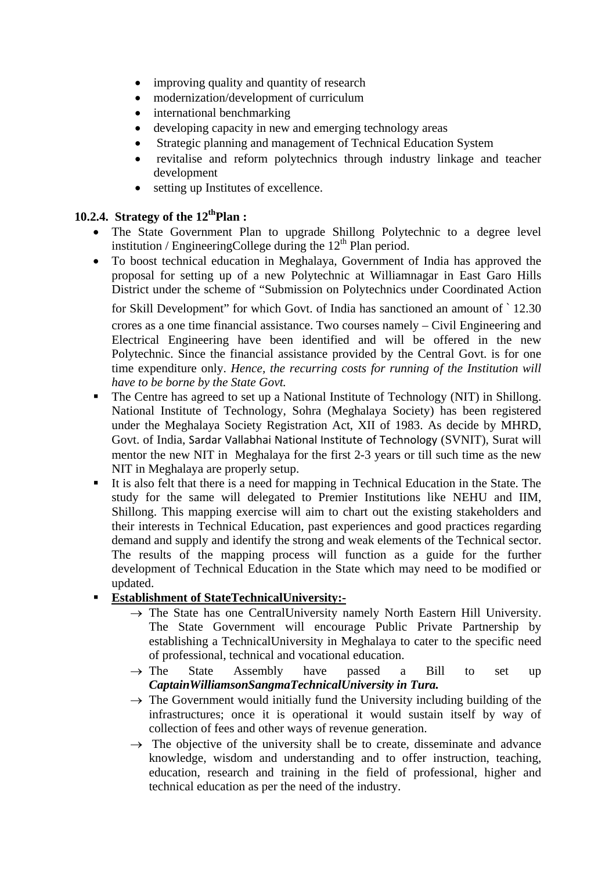- improving quality and quantity of research
- modernization/development of curriculum
- international benchmarking
- developing capacity in new and emerging technology areas
- Strategic planning and management of Technical Education System
- revitalise and reform polytechnics through industry linkage and teacher development
- setting up Institutes of excellence.

# **10.2.4. Strategy of the 12<sup>th</sup>Plan :**

- The State Government Plan to upgrade Shillong Polytechnic to a degree level institution / EngineeringCollege during the  $12<sup>th</sup>$  Plan period.
- To boost technical education in Meghalaya, Government of India has approved the proposal for setting up of a new Polytechnic at Williamnagar in East Garo Hills District under the scheme of "Submission on Polytechnics under Coordinated Action

for Skill Development" for which Govt. of India has sanctioned an amount of ` 12.30 crores as a one time financial assistance. Two courses namely – Civil Engineering and Electrical Engineering have been identified and will be offered in the new Polytechnic. Since the financial assistance provided by the Central Govt. is for one time expenditure only. *Hence, the recurring costs for running of the Institution will have to be borne by the State Govt.*

- The Centre has agreed to set up a National Institute of Technology (NIT) in Shillong. National Institute of Technology, Sohra (Meghalaya Society) has been registered under the Meghalaya Society Registration Act, XII of 1983. As decide by MHRD, Govt. of India, Sardar Vallabhai National Institute of Technology (SVNIT), Surat will mentor the new NIT in Meghalaya for the first 2-3 years or till such time as the new NIT in Meghalaya are properly setup.
- It is also felt that there is a need for mapping in Technical Education in the State. The study for the same will delegated to Premier Institutions like NEHU and IIM, Shillong. This mapping exercise will aim to chart out the existing stakeholders and their interests in Technical Education, past experiences and good practices regarding demand and supply and identify the strong and weak elements of the Technical sector. The results of the mapping process will function as a guide for the further development of Technical Education in the State which may need to be modified or updated.
- **Establishment of StateTechnicalUniversity:-**
	- $\rightarrow$  The State has one CentralUniversity namely North Eastern Hill University. The State Government will encourage Public Private Partnership by establishing a TechnicalUniversity in Meghalaya to cater to the specific need of professional, technical and vocational education.
	- $\rightarrow$  The State Assembly have passed a Bill to set up *CaptainWilliamsonSangmaTechnicalUniversity in Tura.*
	- $\rightarrow$  The Government would initially fund the University including building of the infrastructures; once it is operational it would sustain itself by way of collection of fees and other ways of revenue generation.
	- $\rightarrow$  The objective of the university shall be to create, disseminate and advance knowledge, wisdom and understanding and to offer instruction, teaching, education, research and training in the field of professional, higher and technical education as per the need of the industry.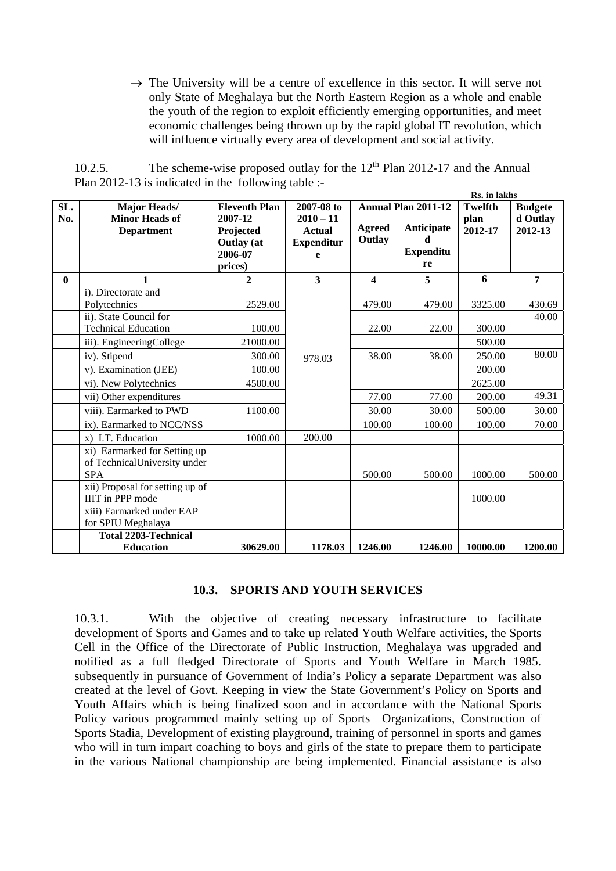$\rightarrow$  The University will be a centre of excellence in this sector. It will serve not only State of Meghalaya but the North Eastern Region as a whole and enable the youth of the region to exploit efficiently emerging opportunities, and meet economic challenges being thrown up by the rapid global IT revolution, which will influence virtually every area of development and social activity.

| 10.2.5. | The scheme-wise proposed outlay for the $12th$ Plan 2012-17 and the Annual |  |  |  |
|---------|----------------------------------------------------------------------------|--|--|--|
|         | Plan $2012-13$ is indicated in the following table :-                      |  |  |  |

|              |                                 |                      |                   |                         |                            | <b>Ks.</b> in lakhs |                |
|--------------|---------------------------------|----------------------|-------------------|-------------------------|----------------------------|---------------------|----------------|
| SL.          | <b>Major Heads/</b>             | <b>Eleventh Plan</b> | 2007-08 to        |                         | <b>Annual Plan 2011-12</b> | <b>Twelfth</b>      | <b>Budgete</b> |
| No.          | <b>Minor Heads of</b>           | 2007-12              | $2010 - 11$       |                         |                            | plan                | d Outlay       |
|              | <b>Department</b>               | Projected            | <b>Actual</b>     | Agreed                  | Anticipate                 | 2012-17             | 2012-13        |
|              |                                 | <b>Outlay</b> (at    | <b>Expenditur</b> | Outlay                  | d                          |                     |                |
|              |                                 | 2006-07              | e                 |                         | <b>Expenditu</b>           |                     |                |
|              |                                 | prices)              |                   |                         | re                         |                     |                |
| $\mathbf{0}$ | $\mathbf{1}$                    | $\overline{2}$       | $\mathbf{3}$      | $\overline{\mathbf{4}}$ | 5                          | 6                   | 7              |
|              | i). Directorate and             |                      |                   |                         |                            |                     |                |
|              | Polytechnics                    | 2529.00              |                   | 479.00                  | 479.00                     | 3325.00             | 430.69         |
|              | ii). State Council for          |                      |                   |                         |                            |                     | 40.00          |
|              | <b>Technical Education</b>      | 100.00               |                   | 22.00                   | 22.00                      | 300.00              |                |
|              | iii). EngineeringCollege        | 21000.00             |                   |                         |                            | 500.00              |                |
|              | iv). Stipend                    | 300.00               | 978.03            | 38.00                   | 38.00                      | 250.00              | 80.00          |
|              | v). Examination (JEE)           | 100.00               |                   |                         |                            | 200.00              |                |
|              | vi). New Polytechnics           | 4500.00              |                   |                         |                            | 2625.00             |                |
|              | vii) Other expenditures         |                      |                   | 77.00                   | 77.00                      | 200.00              | 49.31          |
|              | viii). Earmarked to PWD         | 1100.00              |                   | 30.00                   | 30.00                      | 500.00              | 30.00          |
|              | ix). Earmarked to NCC/NSS       |                      |                   | 100.00                  | 100.00                     | 100.00              | 70.00          |
|              | x) I.T. Education               | 1000.00              | 200.00            |                         |                            |                     |                |
|              | xi) Earmarked for Setting up    |                      |                   |                         |                            |                     |                |
|              | of TechnicalUniversity under    |                      |                   |                         |                            |                     |                |
|              | <b>SPA</b>                      |                      |                   | 500.00                  | 500.00                     | 1000.00             | 500.00         |
|              | xii) Proposal for setting up of |                      |                   |                         |                            |                     |                |
|              | <b>IIIT</b> in PPP mode         |                      |                   |                         |                            | 1000.00             |                |
|              | xiii) Earmarked under EAP       |                      |                   |                         |                            |                     |                |
|              | for SPIU Meghalaya              |                      |                   |                         |                            |                     |                |
|              | <b>Total 2203-Technical</b>     |                      |                   |                         |                            |                     |                |
|              | <b>Education</b>                | 30629.00             | 1178.03           | 1246.00                 | 1246.00                    | 10000.00            | 1200.00        |

#### **10.3. SPORTS AND YOUTH SERVICES**

10.3.1. With the objective of creating necessary infrastructure to facilitate development of Sports and Games and to take up related Youth Welfare activities, the Sports Cell in the Office of the Directorate of Public Instruction, Meghalaya was upgraded and notified as a full fledged Directorate of Sports and Youth Welfare in March 1985. subsequently in pursuance of Government of India's Policy a separate Department was also created at the level of Govt. Keeping in view the State Government's Policy on Sports and Youth Affairs which is being finalized soon and in accordance with the National Sports Policy various programmed mainly setting up of Sports Organizations, Construction of Sports Stadia, Development of existing playground, training of personnel in sports and games who will in turn impart coaching to boys and girls of the state to prepare them to participate in the various National championship are being implemented. Financial assistance is also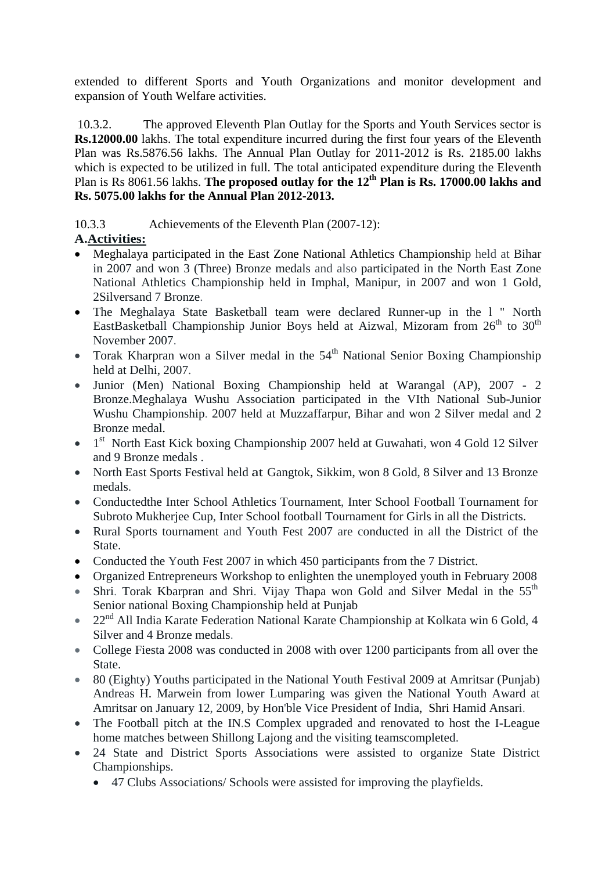extended to different Sports and Youth Organizations and monitor development and expansion of Youth Welfare activities.

 10.3.2. The approved Eleventh Plan Outlay for the Sports and Youth Services sector is **Rs.12000.00** lakhs. The total expenditure incurred during the first four years of the Eleventh Plan was Rs.5876.56 lakhs. The Annual Plan Outlay for 2011-2012 is Rs. 2185.00 lakhs which is expected to be utilized in full. The total anticipated expenditure during the Eleventh Plan is Rs 8061.56 lakhs. **The proposed outlay for the 12<sup>th</sup> Plan is Rs. 17000.00 lakhs and Rs. 5075.00 lakhs for the Annual Plan 2012-2013.** 

10.3.3 Achievements of the Eleventh Plan (2007-12):

# **A.Activities:**

- Meghalaya participated in the East Zone National Athletics Championship held at Bihar in 2007 and won 3 (Three) Bronze medals and also participated in the North East Zone National Athletics Championship held in Imphal, Manipur, in 2007 and won 1 Gold, 2Silversand 7 Bronze.
- The Meghalaya State Basketball team were declared Runner-up in the l " North EastBasketball Championship Junior Boys held at Aizwal, Mizoram from  $26<sup>th</sup>$  to  $30<sup>th</sup>$ November 2007.
- Torak Kharpran won a Silver medal in the  $54<sup>th</sup>$  National Senior Boxing Championship held at Delhi, 2007.
- Junior (Men) National Boxing Championship held at Warangal (AP), 2007 2 Bronze.Meghalaya Wushu Association participated in the VIth National Sub-Junior Wushu Championship. 2007 held at Muzzaffarpur, Bihar and won 2 Silver medal and 2 Bronze medal.
- $\bullet$  1<sup>st</sup> North East Kick boxing Championship 2007 held at Guwahati, won 4 Gold 12 Silver and 9 Bronze medals .
- North East Sports Festival held at Gangtok, Sikkim, won 8 Gold, 8 Silver and 13 Bronze medals.
- Conductedthe Inter School Athletics Tournament, Inter School Football Tournament for Subroto Mukherjee Cup, Inter School football Tournament for Girls in all the Districts.
- Rural Sports tournament and Youth Fest 2007 are conducted in all the District of the State.
- Conducted the Youth Fest 2007 in which 450 participants from the 7 District.
- Organized Entrepreneurs Workshop to enlighten the unemployed youth in February 2008
- Shri. Torak Kbarpran and Shri. Vijay Thapa won Gold and Silver Medal in the  $55<sup>th</sup>$ Senior national Boxing Championship held at Punjab
- 22<sup>nd</sup> All India Karate Federation National Karate Championship at Kolkata win 6 Gold, 4 Silver and 4 Bronze medals.
- College Fiesta 2008 was conducted in 2008 with over 1200 participants from all over the State.
- 80 (Eighty) Youths participated in the National Youth Festival 2009 at Amritsar (Punjab) Andreas H. Marwein from lower Lumparing was given the National Youth Award at Amritsar on January 12, 2009, by Hon'ble Vice President of India, Shri Hamid Ansari.
- The Football pitch at the IN.S Complex upgraded and renovated to host the I-League home matches between Shillong Lajong and the visiting teamscompleted.
- 24 State and District Sports Associations were assisted to organize State District Championships.
	- 47 Clubs Associations/ Schools were assisted for improving the playfields.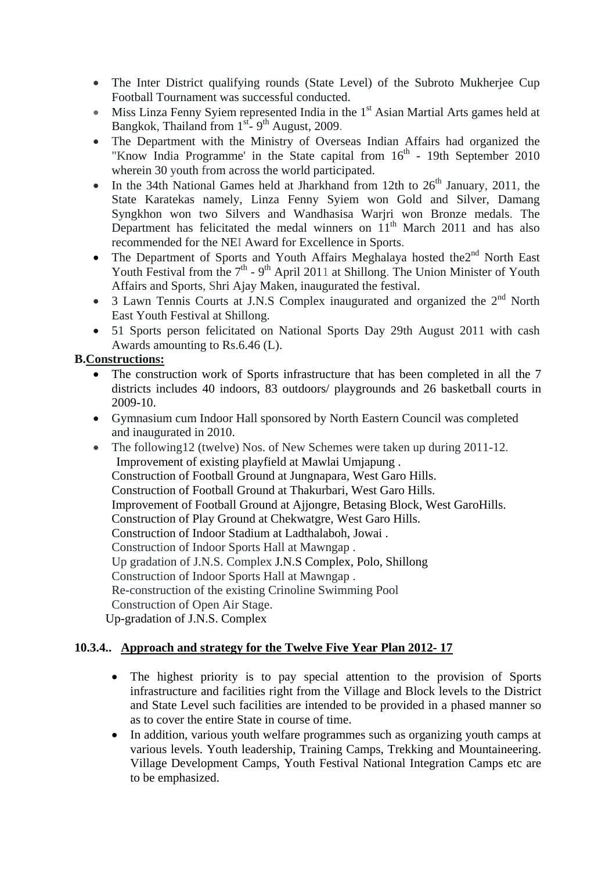- The Inter District qualifying rounds (State Level) of the Subroto Mukherjee Cup Football Tournament was successful conducted.
- $\bullet$  Miss Linza Fenny Syiem represented India in the 1<sup>st</sup> Asian Martial Arts games held at Bangkok, Thailand from 1<sup>st</sup>- 9<sup>th</sup> August, 2009.
- The Department with the Ministry of Overseas Indian Affairs had organized the "Know India Programme' in the State capital from  $16<sup>th</sup>$  - 19th September 2010 wherein 30 youth from across the world participated.
- In the 34th National Games held at Jharkhand from 12th to  $26<sup>th</sup>$  January, 2011, the State Karatekas namely, Linza Fenny Syiem won Gold and Silver, Damang Syngkhon won two Silvers and Wandhasisa Warjri won Bronze medals. The Department has felicitated the medal winners on  $11<sup>th</sup>$  March 2011 and has also recommended for the NEI Award for Excellence in Sports.
- The Department of Sports and Youth Affairs Meghalaya hosted the $2^{nd}$  North East Youth Festival from the  $7<sup>th</sup>$  -  $9<sup>th</sup>$  April 2011 at Shillong. The Union Minister of Youth Affairs and Sports, Shri Ajay Maken, inaugurated the festival.
- $\bullet$  3 Lawn Tennis Courts at J.N.S Complex inaugurated and organized the  $2<sup>nd</sup>$  North East Youth Festival at Shillong.
- 51 Sports person felicitated on National Sports Day 29th August 2011 with cash Awards amounting to Rs.6.46 (L).

## **B.Constructions:**

- The construction work of Sports infrastructure that has been completed in all the 7 districts includes 40 indoors, 83 outdoors/ playgrounds and 26 basketball courts in 2009-10.
- Gymnasium cum Indoor Hall sponsored by North Eastern Council was completed and inaugurated in 2010.
- The following12 (twelve) Nos. of New Schemes were taken up during 2011-12. Improvement of existing playfield at Mawlai Umjapung . Construction of Football Ground at Jungnapara, West Garo Hills. Construction of Football Ground at Thakurbari, West Garo Hills. Improvement of Football Ground at Ajjongre, Betasing Block, West GaroHills. Construction of Play Ground at Chekwatgre, West Garo Hills. Construction of Indoor Stadium at Ladthalaboh, Jowai . Construction of Indoor Sports Hall at Mawngap . Up gradation of J.N.S. Complex J.N.S Complex, Polo, Shillong Construction of Indoor Sports Hall at Mawngap . Re-construction of the existing Crinoline Swimming Pool Construction of Open Air Stage. Up-gradation of J.N.S. Complex

### **10.3.4.. Approach and strategy for the Twelve Five Year Plan 2012- 17**

- The highest priority is to pay special attention to the provision of Sports infrastructure and facilities right from the Village and Block levels to the District and State Level such facilities are intended to be provided in a phased manner so as to cover the entire State in course of time.
- In addition, various youth welfare programmes such as organizing youth camps at various levels. Youth leadership, Training Camps, Trekking and Mountaineering. Village Development Camps, Youth Festival National Integration Camps etc are to be emphasized.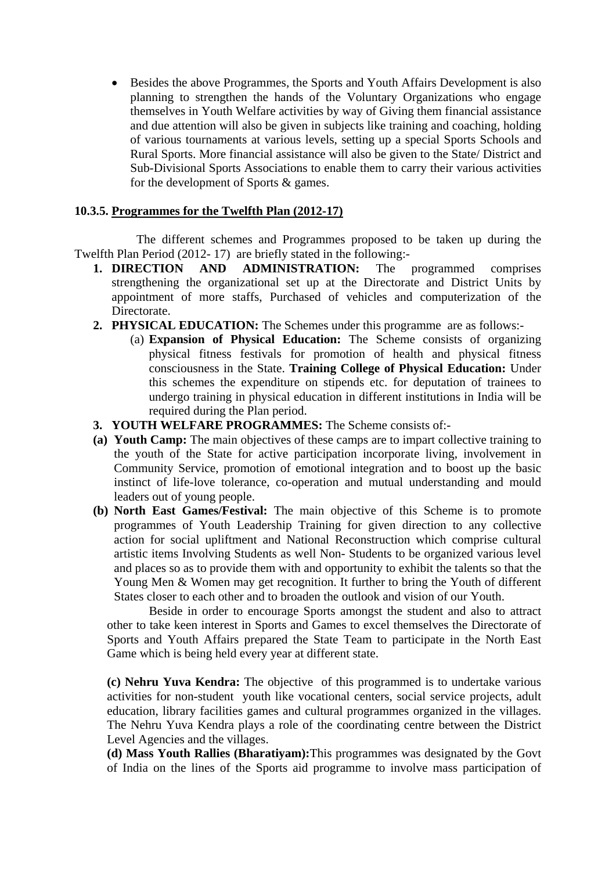• Besides the above Programmes, the Sports and Youth Affairs Development is also planning to strengthen the hands of the Voluntary Organizations who engage themselves in Youth Welfare activities by way of Giving them financial assistance and due attention will also be given in subjects like training and coaching, holding of various tournaments at various levels, setting up a special Sports Schools and Rural Sports. More financial assistance will also be given to the State/ District and Sub-Divisional Sports Associations to enable them to carry their various activities for the development of Sports & games.

#### **10.3.5. Programmes for the Twelfth Plan (2012-17)**

 The different schemes and Programmes proposed to be taken up during the Twelfth Plan Period (2012- 17) are briefly stated in the following:-

- **1. DIRECTION AND ADMINISTRATION:** The programmed comprises strengthening the organizational set up at the Directorate and District Units by appointment of more staffs, Purchased of vehicles and computerization of the Directorate.
- **2. PHYSICAL EDUCATION:** The Schemes under this programme are as follows:-
	- (a) **Expansion of Physical Education:** The Scheme consists of organizing physical fitness festivals for promotion of health and physical fitness consciousness in the State. **Training College of Physical Education:** Under this schemes the expenditure on stipends etc. for deputation of trainees to undergo training in physical education in different institutions in India will be required during the Plan period.
- **3. YOUTH WELFARE PROGRAMMES:** The Scheme consists of:-
- **(a) Youth Camp:** The main objectives of these camps are to impart collective training to the youth of the State for active participation incorporate living, involvement in Community Service, promotion of emotional integration and to boost up the basic instinct of life-love tolerance, co-operation and mutual understanding and mould leaders out of young people.
- **(b) North East Games/Festival:** The main objective of this Scheme is to promote programmes of Youth Leadership Training for given direction to any collective action for social upliftment and National Reconstruction which comprise cultural artistic items Involving Students as well Non- Students to be organized various level and places so as to provide them with and opportunity to exhibit the talents so that the Young Men & Women may get recognition. It further to bring the Youth of different States closer to each other and to broaden the outlook and vision of our Youth.

 Beside in order to encourage Sports amongst the student and also to attract other to take keen interest in Sports and Games to excel themselves the Directorate of Sports and Youth Affairs prepared the State Team to participate in the North East Game which is being held every year at different state.

**(c) Nehru Yuva Kendra:** The objective of this programmed is to undertake various activities for non-student youth like vocational centers, social service projects, adult education, library facilities games and cultural programmes organized in the villages. The Nehru Yuva Kendra plays a role of the coordinating centre between the District Level Agencies and the villages.

**(d) Mass Youth Rallies (Bharatiyam):**This programmes was designated by the Govt of India on the lines of the Sports aid programme to involve mass participation of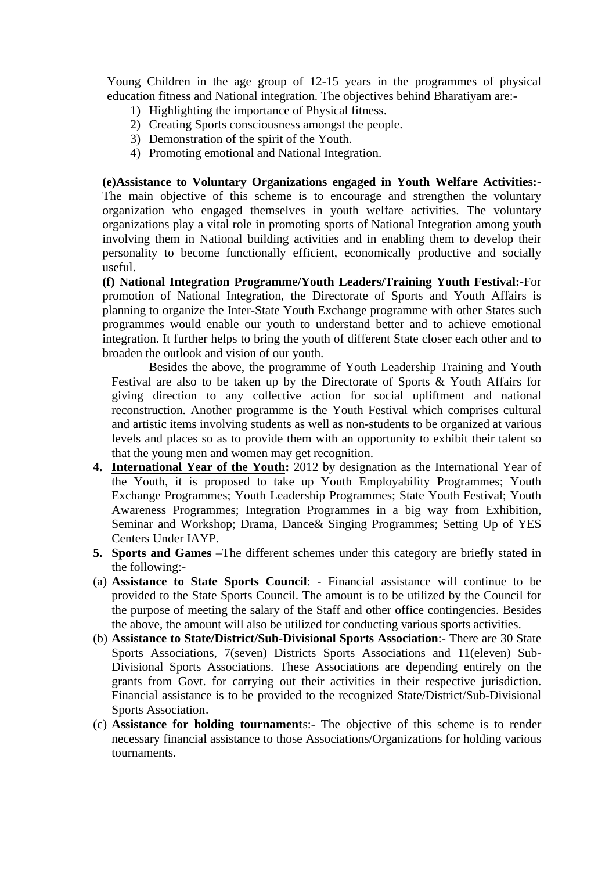Young Children in the age group of 12-15 years in the programmes of physical education fitness and National integration. The objectives behind Bharatiyam are:-

- 1) Highlighting the importance of Physical fitness.
- 2) Creating Sports consciousness amongst the people.
- 3) Demonstration of the spirit of the Youth.
- 4) Promoting emotional and National Integration.

**(e)Assistance to Voluntary Organizations engaged in Youth Welfare Activities:-** The main objective of this scheme is to encourage and strengthen the voluntary organization who engaged themselves in youth welfare activities. The voluntary organizations play a vital role in promoting sports of National Integration among youth involving them in National building activities and in enabling them to develop their personality to become functionally efficient, economically productive and socially useful.

**(f) National Integration Programme/Youth Leaders/Training Youth Festival:-**For promotion of National Integration, the Directorate of Sports and Youth Affairs is planning to organize the Inter-State Youth Exchange programme with other States such programmes would enable our youth to understand better and to achieve emotional integration. It further helps to bring the youth of different State closer each other and to broaden the outlook and vision of our youth.

Besides the above, the programme of Youth Leadership Training and Youth Festival are also to be taken up by the Directorate of Sports & Youth Affairs for giving direction to any collective action for social upliftment and national reconstruction. Another programme is the Youth Festival which comprises cultural and artistic items involving students as well as non-students to be organized at various levels and places so as to provide them with an opportunity to exhibit their talent so that the young men and women may get recognition.

- **4. International Year of the Youth:** 2012 by designation as the International Year of the Youth, it is proposed to take up Youth Employability Programmes; Youth Exchange Programmes; Youth Leadership Programmes; State Youth Festival; Youth Awareness Programmes; Integration Programmes in a big way from Exhibition, Seminar and Workshop; Drama, Dance& Singing Programmes; Setting Up of YES Centers Under IAYP.
- **5. Sports and Games** –The different schemes under this category are briefly stated in the following:-
- (a) **Assistance to State Sports Council**: Financial assistance will continue to be provided to the State Sports Council. The amount is to be utilized by the Council for the purpose of meeting the salary of the Staff and other office contingencies. Besides the above, the amount will also be utilized for conducting various sports activities.
- (b) **Assistance to State/District/Sub-Divisional Sports Association**:- There are 30 State Sports Associations, 7(seven) Districts Sports Associations and 11(eleven) Sub-Divisional Sports Associations. These Associations are depending entirely on the grants from Govt. for carrying out their activities in their respective jurisdiction. Financial assistance is to be provided to the recognized State/District/Sub-Divisional Sports Association.
- (c) **Assistance for holding tournament**s:- The objective of this scheme is to render necessary financial assistance to those Associations/Organizations for holding various tournaments.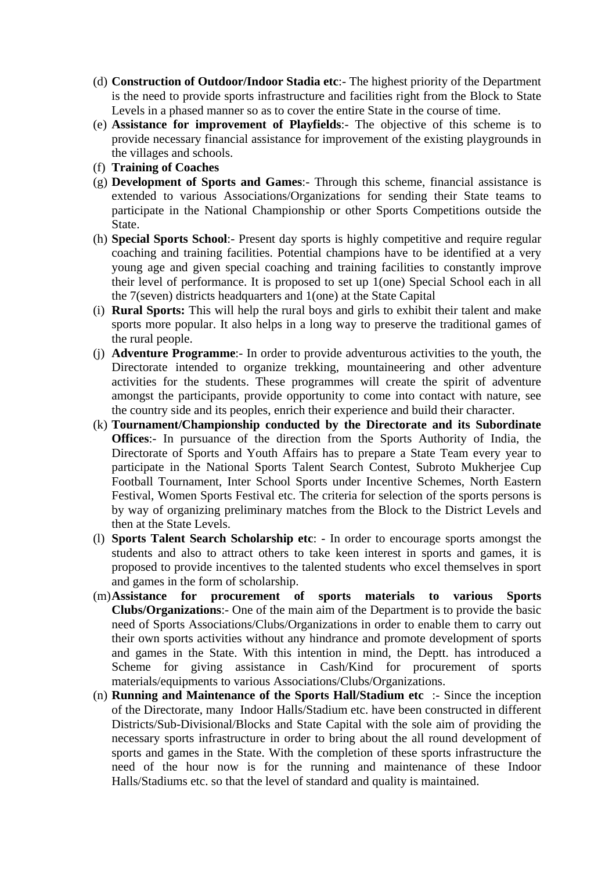- (d) **Construction of Outdoor/Indoor Stadia etc**:- The highest priority of the Department is the need to provide sports infrastructure and facilities right from the Block to State Levels in a phased manner so as to cover the entire State in the course of time.
- (e) **Assistance for improvement of Playfields**:- The objective of this scheme is to provide necessary financial assistance for improvement of the existing playgrounds in the villages and schools.
- (f) **Training of Coaches**
- (g) **Development of Sports and Games**:- Through this scheme, financial assistance is extended to various Associations/Organizations for sending their State teams to participate in the National Championship or other Sports Competitions outside the State.
- (h) **Special Sports School**:- Present day sports is highly competitive and require regular coaching and training facilities. Potential champions have to be identified at a very young age and given special coaching and training facilities to constantly improve their level of performance. It is proposed to set up 1(one) Special School each in all the 7(seven) districts headquarters and 1(one) at the State Capital
- (i) **Rural Sports:** This will help the rural boys and girls to exhibit their talent and make sports more popular. It also helps in a long way to preserve the traditional games of the rural people.
- (j) **Adventure Programme**:- In order to provide adventurous activities to the youth, the Directorate intended to organize trekking, mountaineering and other adventure activities for the students. These programmes will create the spirit of adventure amongst the participants, provide opportunity to come into contact with nature, see the country side and its peoples, enrich their experience and build their character.
- (k) **Tournament/Championship conducted by the Directorate and its Subordinate Offices**:- In pursuance of the direction from the Sports Authority of India, the Directorate of Sports and Youth Affairs has to prepare a State Team every year to participate in the National Sports Talent Search Contest, Subroto Mukherjee Cup Football Tournament, Inter School Sports under Incentive Schemes, North Eastern Festival, Women Sports Festival etc. The criteria for selection of the sports persons is by way of organizing preliminary matches from the Block to the District Levels and then at the State Levels.
- (l) **Sports Talent Search Scholarship etc**: In order to encourage sports amongst the students and also to attract others to take keen interest in sports and games, it is proposed to provide incentives to the talented students who excel themselves in sport and games in the form of scholarship.
- (m)**Assistance for procurement of sports materials to various Sports Clubs/Organizations**:- One of the main aim of the Department is to provide the basic need of Sports Associations/Clubs/Organizations in order to enable them to carry out their own sports activities without any hindrance and promote development of sports and games in the State. With this intention in mind, the Deptt. has introduced a Scheme for giving assistance in Cash/Kind for procurement of sports materials/equipments to various Associations/Clubs/Organizations.
- (n) **Running and Maintenance of the Sports Hall/Stadium etc** :- Since the inception of the Directorate, many Indoor Halls/Stadium etc. have been constructed in different Districts/Sub-Divisional/Blocks and State Capital with the sole aim of providing the necessary sports infrastructure in order to bring about the all round development of sports and games in the State. With the completion of these sports infrastructure the need of the hour now is for the running and maintenance of these Indoor Halls/Stadiums etc. so that the level of standard and quality is maintained.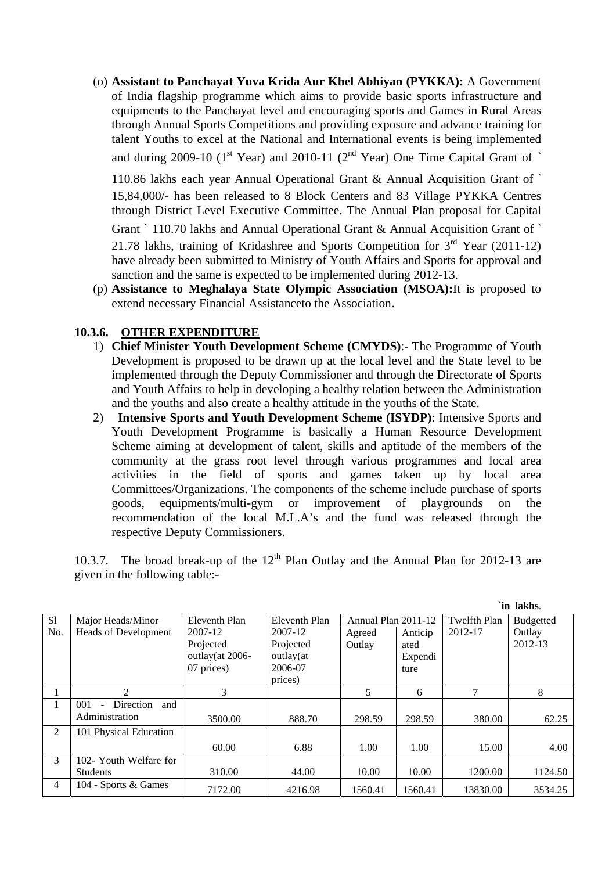(o) **Assistant to Panchayat Yuva Krida Aur Khel Abhiyan (PYKKA):** A Government of India flagship programme which aims to provide basic sports infrastructure and equipments to the Panchayat level and encouraging sports and Games in Rural Areas through Annual Sports Competitions and providing exposure and advance training for talent Youths to excel at the National and International events is being implemented and during 2009-10 ( $1^{\text{st}}$  Year) and 2010-11 ( $2^{\text{nd}}$  Year) One Time Capital Grant of `

110.86 lakhs each year Annual Operational Grant & Annual Acquisition Grant of ` 15,84,000/- has been released to 8 Block Centers and 83 Village PYKKA Centres through District Level Executive Committee. The Annual Plan proposal for Capital

Grant ` 110.70 lakhs and Annual Operational Grant & Annual Acquisition Grant of ` 21.78 lakhs, training of Kridashree and Sports Competition for 3rd Year (2011-12) have already been submitted to Ministry of Youth Affairs and Sports for approval and

sanction and the same is expected to be implemented during 2012-13.

(p) **Assistance to Meghalaya State Olympic Association (MSOA):**It is proposed to extend necessary Financial Assistanceto the Association.

### **10.3.6. OTHER EXPENDITURE**

- 1) **Chief Minister Youth Development Scheme (CMYDS)**:- The Programme of Youth Development is proposed to be drawn up at the local level and the State level to be implemented through the Deputy Commissioner and through the Directorate of Sports and Youth Affairs to help in developing a healthy relation between the Administration and the youths and also create a healthy attitude in the youths of the State.
- 2) **Intensive Sports and Youth Development Scheme (ISYDP)**: Intensive Sports and Youth Development Programme is basically a Human Resource Development Scheme aiming at development of talent, skills and aptitude of the members of the community at the grass root level through various programmes and local area activities in the field of sports and games taken up by local area Committees/Organizations. The components of the scheme include purchase of sports goods, equipments/multi-gym or improvement of playgrounds on the recommendation of the local M.L.A's and the fund was released through the respective Deputy Commissioners.

10.3.7. The broad break-up of the  $12<sup>th</sup>$  Plan Outlay and the Annual Plan for 2012-13 are given in the following table:-

**`in lakhs**.

|                |                                      |                 |               |                     |         |              | ш кимпэ.         |
|----------------|--------------------------------------|-----------------|---------------|---------------------|---------|--------------|------------------|
| S1             | Major Heads/Minor                    | Eleventh Plan   | Eleventh Plan | Annual Plan 2011-12 |         | Twelfth Plan | <b>Budgetted</b> |
| No.            | <b>Heads of Development</b>          | 2007-12         | 2007-12       | Agreed              | Anticip | 2012-17      | Outlay           |
|                |                                      | Projected       | Projected     | Outlay              | ated    |              | 2012-13          |
|                |                                      | outlay(at 2006- | outlay(at     |                     | Expendi |              |                  |
|                |                                      | 07 prices)      | 2006-07       |                     | ture    |              |                  |
|                |                                      |                 | prices)       |                     |         |              |                  |
|                | $\mathfrak{D}$                       | 3               |               | 5                   | 6       |              | 8                |
|                | 001<br><b>Direction</b><br>and<br>L, |                 |               |                     |         |              |                  |
|                | Administration                       | 3500.00         | 888.70        | 298.59              | 298.59  | 380.00       | 62.25            |
| $\overline{2}$ | 101 Physical Education               |                 |               |                     |         |              |                  |
|                |                                      | 60.00           | 6.88          | 1.00                | 1.00    | 15.00        | 4.00             |
| 3              | 102- Youth Welfare for               |                 |               |                     |         |              |                  |
|                | <b>Students</b>                      | 310.00          | 44.00         | 10.00               | 10.00   | 1200.00      | 1124.50          |
| 4              | 104 - Sports & Games                 | 7172.00         | 4216.98       | 1560.41             | 1560.41 | 13830.00     | 3534.25          |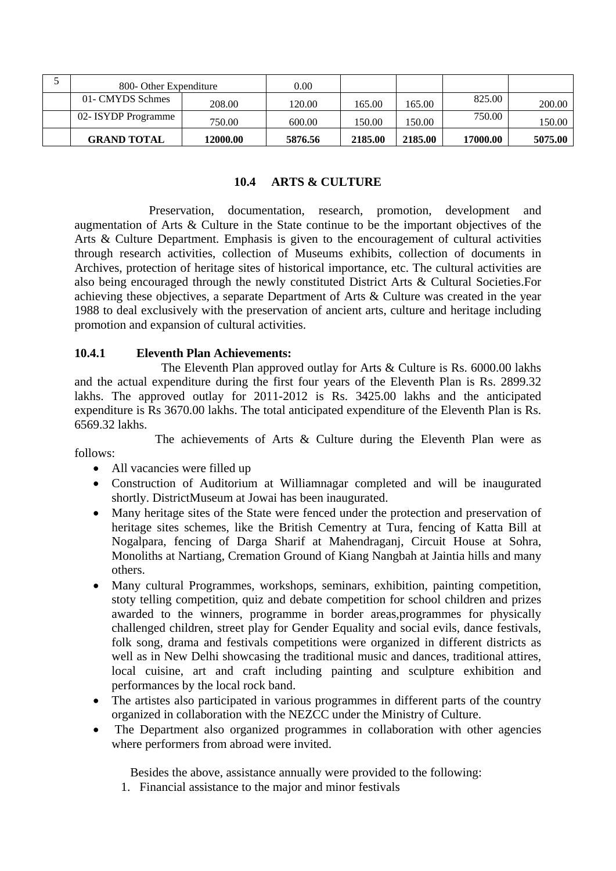| 800- Other Expenditure |          | 0.00    |         |         |          |         |
|------------------------|----------|---------|---------|---------|----------|---------|
| 01- CMYDS Schmes       | 208.00   | 120.00  | 165.00  | 165.00  | 825.00   | 200.00  |
| 02- ISYDP Programme    | 750.00   | 600.00  | 150.00  | 150.00  | 750.00   | 150.00  |
| <b>GRAND TOTAL</b>     | 12000.00 | 5876.56 | 2185.00 | 2185.00 | 17000.00 | 5075.00 |

#### **10.4 ARTS & CULTURE**

 Preservation, documentation, research, promotion, development and augmentation of Arts & Culture in the State continue to be the important objectives of the Arts & Culture Department. Emphasis is given to the encouragement of cultural activities through research activities, collection of Museums exhibits, collection of documents in Archives, protection of heritage sites of historical importance, etc. The cultural activities are also being encouraged through the newly constituted District Arts & Cultural Societies.For achieving these objectives, a separate Department of Arts & Culture was created in the year 1988 to deal exclusively with the preservation of ancient arts, culture and heritage including promotion and expansion of cultural activities.

#### **10.4.1 Eleventh Plan Achievements:**

 The Eleventh Plan approved outlay for Arts & Culture is Rs. 6000.00 lakhs and the actual expenditure during the first four years of the Eleventh Plan is Rs. 2899.32 lakhs. The approved outlay for 2011-2012 is Rs. 3425.00 lakhs and the anticipated expenditure is Rs 3670.00 lakhs. The total anticipated expenditure of the Eleventh Plan is Rs. 6569.32 lakhs.

 The achievements of Arts & Culture during the Eleventh Plan were as follows:

- All vacancies were filled up
- Construction of Auditorium at Williamnagar completed and will be inaugurated shortly. DistrictMuseum at Jowai has been inaugurated.
- Many heritage sites of the State were fenced under the protection and preservation of heritage sites schemes, like the British Cementry at Tura, fencing of Katta Bill at Nogalpara, fencing of Darga Sharif at Mahendraganj, Circuit House at Sohra, Monoliths at Nartiang, Cremation Ground of Kiang Nangbah at Jaintia hills and many others.
- Many cultural Programmes, workshops, seminars, exhibition, painting competition, stoty telling competition, quiz and debate competition for school children and prizes awarded to the winners, programme in border areas,programmes for physically challenged children, street play for Gender Equality and social evils, dance festivals, folk song, drama and festivals competitions were organized in different districts as well as in New Delhi showcasing the traditional music and dances, traditional attires, local cuisine, art and craft including painting and sculpture exhibition and performances by the local rock band.
- The artistes also participated in various programmes in different parts of the country organized in collaboration with the NEZCC under the Ministry of Culture.
- The Department also organized programmes in collaboration with other agencies where performers from abroad were invited.

Besides the above, assistance annually were provided to the following:

1. Financial assistance to the major and minor festivals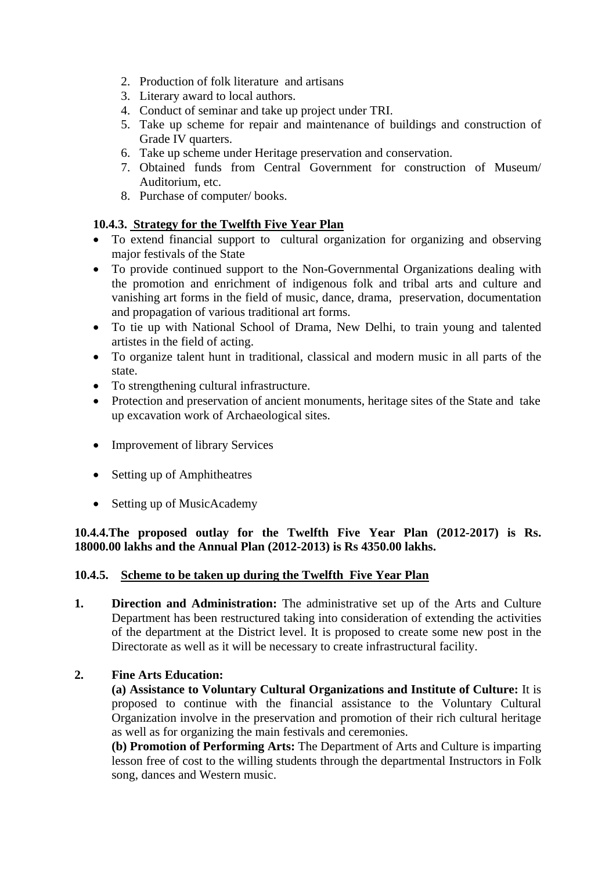- 2. Production of folk literature and artisans
- 3. Literary award to local authors.
- 4. Conduct of seminar and take up project under TRI.
- 5. Take up scheme for repair and maintenance of buildings and construction of Grade IV quarters.
- 6. Take up scheme under Heritage preservation and conservation.
- 7. Obtained funds from Central Government for construction of Museum/ Auditorium, etc.
- 8. Purchase of computer/ books.

## **10.4.3. Strategy for the Twelfth Five Year Plan**

- To extend financial support to cultural organization for organizing and observing major festivals of the State
- To provide continued support to the Non-Governmental Organizations dealing with the promotion and enrichment of indigenous folk and tribal arts and culture and vanishing art forms in the field of music, dance, drama, preservation, documentation and propagation of various traditional art forms.
- To tie up with National School of Drama, New Delhi, to train young and talented artistes in the field of acting.
- To organize talent hunt in traditional, classical and modern music in all parts of the state.
- To strengthening cultural infrastructure.
- Protection and preservation of ancient monuments, heritage sites of the State and take up excavation work of Archaeological sites.
- Improvement of library Services
- Setting up of Amphitheatres
- Setting up of MusicAcademy

**10.4.4.The proposed outlay for the Twelfth Five Year Plan (2012-2017) is Rs. 18000.00 lakhs and the Annual Plan (2012-2013) is Rs 4350.00 lakhs.** 

### **10.4.5. Scheme to be taken up during the Twelfth Five Year Plan**

**1. Direction and Administration:** The administrative set up of the Arts and Culture Department has been restructured taking into consideration of extending the activities of the department at the District level. It is proposed to create some new post in the Directorate as well as it will be necessary to create infrastructural facility.

### **2. Fine Arts Education:**

**(a) Assistance to Voluntary Cultural Organizations and Institute of Culture:** It is proposed to continue with the financial assistance to the Voluntary Cultural Organization involve in the preservation and promotion of their rich cultural heritage as well as for organizing the main festivals and ceremonies.

**(b) Promotion of Performing Arts:** The Department of Arts and Culture is imparting lesson free of cost to the willing students through the departmental Instructors in Folk song, dances and Western music.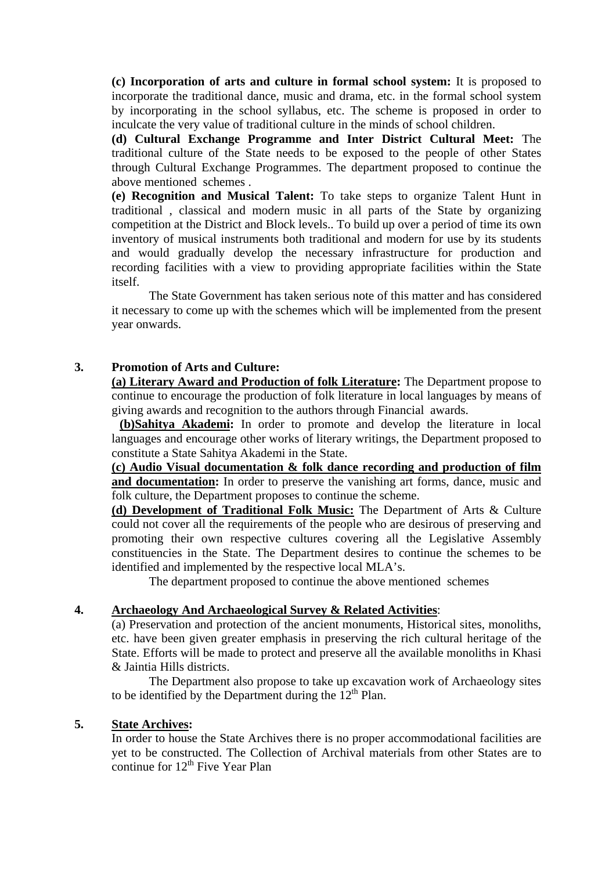**(c) Incorporation of arts and culture in formal school system:** It is proposed to incorporate the traditional dance, music and drama, etc. in the formal school system by incorporating in the school syllabus, etc. The scheme is proposed in order to inculcate the very value of traditional culture in the minds of school children.

**(d) Cultural Exchange Programme and Inter District Cultural Meet:** The traditional culture of the State needs to be exposed to the people of other States through Cultural Exchange Programmes. The department proposed to continue the above mentioned schemes .

**(e) Recognition and Musical Talent:** To take steps to organize Talent Hunt in traditional , classical and modern music in all parts of the State by organizing competition at the District and Block levels.. To build up over a period of time its own inventory of musical instruments both traditional and modern for use by its students and would gradually develop the necessary infrastructure for production and recording facilities with a view to providing appropriate facilities within the State itself.

 The State Government has taken serious note of this matter and has considered it necessary to come up with the schemes which will be implemented from the present year onwards.

#### **3. Promotion of Arts and Culture:**

**(a) Literary Award and Production of folk Literature:** The Department propose to continue to encourage the production of folk literature in local languages by means of giving awards and recognition to the authors through Financial awards.

**(b)Sahitya Akademi:** In order to promote and develop the literature in local languages and encourage other works of literary writings, the Department proposed to constitute a State Sahitya Akademi in the State.

**(c) Audio Visual documentation & folk dance recording and production of film and documentation:** In order to preserve the vanishing art forms, dance, music and folk culture, the Department proposes to continue the scheme.

**(d) Development of Traditional Folk Music:** The Department of Arts & Culture could not cover all the requirements of the people who are desirous of preserving and promoting their own respective cultures covering all the Legislative Assembly constituencies in the State. The Department desires to continue the schemes to be identified and implemented by the respective local MLA's.

The department proposed to continue the above mentioned schemes

#### **4. Archaeology And Archaeological Survey & Related Activities**:

(a) Preservation and protection of the ancient monuments, Historical sites, monoliths, etc. have been given greater emphasis in preserving the rich cultural heritage of the State. Efforts will be made to protect and preserve all the available monoliths in Khasi & Jaintia Hills districts.

The Department also propose to take up excavation work of Archaeology sites to be identified by the Department during the  $12<sup>th</sup>$  Plan.

#### **5. State Archives:**

In order to house the State Archives there is no proper accommodational facilities are yet to be constructed. The Collection of Archival materials from other States are to continue for  $12<sup>th</sup>$  Five Year Plan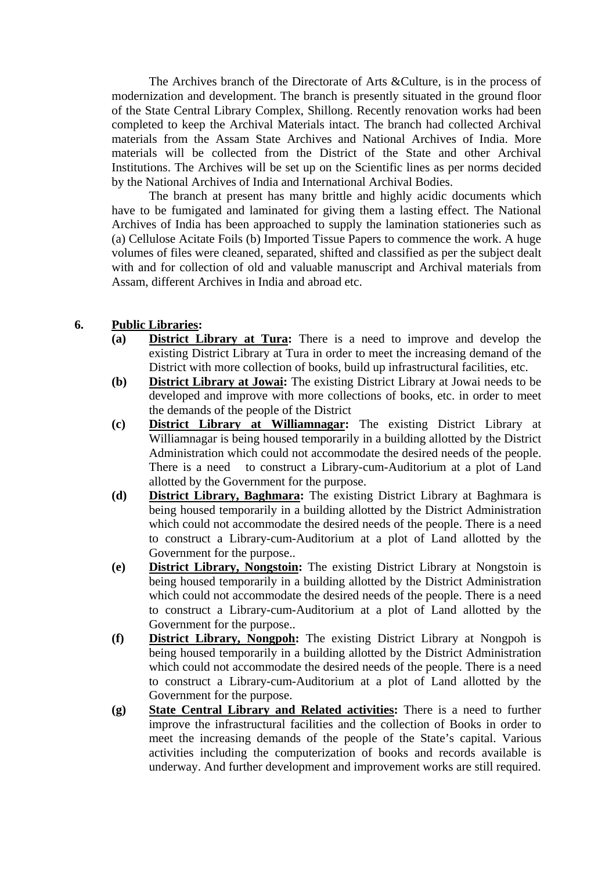The Archives branch of the Directorate of Arts &Culture, is in the process of modernization and development. The branch is presently situated in the ground floor of the State Central Library Complex, Shillong. Recently renovation works had been completed to keep the Archival Materials intact. The branch had collected Archival materials from the Assam State Archives and National Archives of India. More materials will be collected from the District of the State and other Archival Institutions. The Archives will be set up on the Scientific lines as per norms decided by the National Archives of India and International Archival Bodies.

 The branch at present has many brittle and highly acidic documents which have to be fumigated and laminated for giving them a lasting effect. The National Archives of India has been approached to supply the lamination stationeries such as (a) Cellulose Acitate Foils (b) Imported Tissue Papers to commence the work. A huge volumes of files were cleaned, separated, shifted and classified as per the subject dealt with and for collection of old and valuable manuscript and Archival materials from Assam, different Archives in India and abroad etc.

#### **6. Public Libraries:**

- **(a) District Library at Tura:** There is a need to improve and develop the existing District Library at Tura in order to meet the increasing demand of the District with more collection of books, build up infrastructural facilities, etc.
- **(b) District Library at Jowai:** The existing District Library at Jowai needs to be developed and improve with more collections of books, etc. in order to meet the demands of the people of the District
- **(c) District Library at Williamnagar:** The existing District Library at Williamnagar is being housed temporarily in a building allotted by the District Administration which could not accommodate the desired needs of the people. There is a need to construct a Library-cum-Auditorium at a plot of Land allotted by the Government for the purpose.
- **(d) District Library, Baghmara:** The existing District Library at Baghmara is being housed temporarily in a building allotted by the District Administration which could not accommodate the desired needs of the people. There is a need to construct a Library-cum-Auditorium at a plot of Land allotted by the Government for the purpose..
- **(e) District Library, Nongstoin:** The existing District Library at Nongstoin is being housed temporarily in a building allotted by the District Administration which could not accommodate the desired needs of the people. There is a need to construct a Library-cum-Auditorium at a plot of Land allotted by the Government for the purpose..
- **(f) District Library, Nongpoh:** The existing District Library at Nongpoh is being housed temporarily in a building allotted by the District Administration which could not accommodate the desired needs of the people. There is a need to construct a Library-cum-Auditorium at a plot of Land allotted by the Government for the purpose.
- **(g) State Central Library and Related activities:** There is a need to further improve the infrastructural facilities and the collection of Books in order to meet the increasing demands of the people of the State's capital. Various activities including the computerization of books and records available is underway. And further development and improvement works are still required.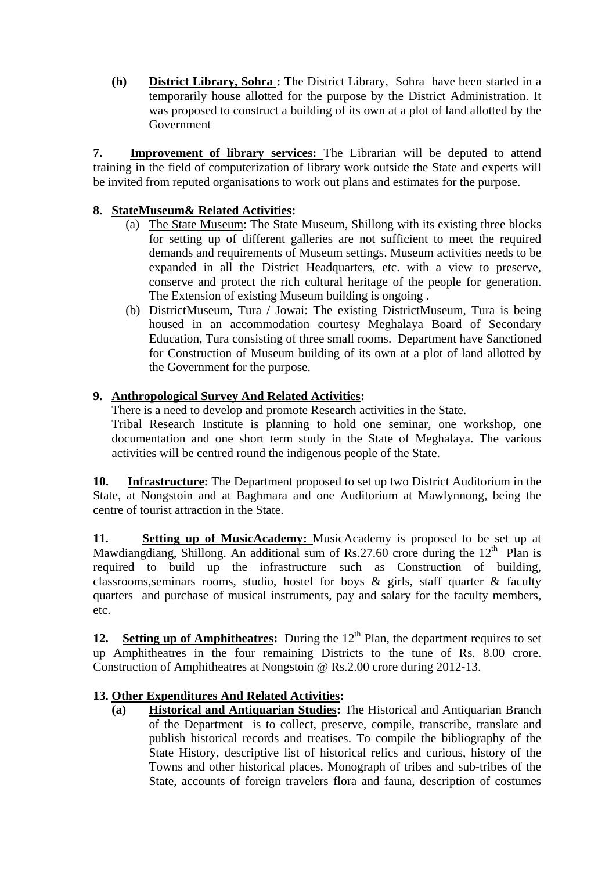**(h) District Library, Sohra :** The District Library, Sohra have been started in a temporarily house allotted for the purpose by the District Administration. It was proposed to construct a building of its own at a plot of land allotted by the Government

**7. Improvement of library services:** The Librarian will be deputed to attend training in the field of computerization of library work outside the State and experts will be invited from reputed organisations to work out plans and estimates for the purpose.

## **8. StateMuseum& Related Activities:**

- (a) The State Museum: The State Museum, Shillong with its existing three blocks for setting up of different galleries are not sufficient to meet the required demands and requirements of Museum settings. Museum activities needs to be expanded in all the District Headquarters, etc. with a view to preserve, conserve and protect the rich cultural heritage of the people for generation. The Extension of existing Museum building is ongoing .
- (b) DistrictMuseum, Tura / Jowai: The existing DistrictMuseum, Tura is being housed in an accommodation courtesy Meghalaya Board of Secondary Education, Tura consisting of three small rooms. Department have Sanctioned for Construction of Museum building of its own at a plot of land allotted by the Government for the purpose.

## **9. Anthropological Survey And Related Activities:**

There is a need to develop and promote Research activities in the State.

 Tribal Research Institute is planning to hold one seminar, one workshop, one documentation and one short term study in the State of Meghalaya. The various activities will be centred round the indigenous people of the State.

**10. Infrastructure:** The Department proposed to set up two District Auditorium in the State, at Nongstoin and at Baghmara and one Auditorium at Mawlynnong, being the centre of tourist attraction in the State.

**11. Setting up of MusicAcademy:** MusicAcademy is proposed to be set up at Mawdiangdiang, Shillong. An additional sum of Rs.27.60 crore during the  $12<sup>th</sup>$  Plan is required to build up the infrastructure such as Construction of building, classrooms, seminars rooms, studio, hostel for boys  $\&$  girls, staff quarter  $\&$  faculty quarters and purchase of musical instruments, pay and salary for the faculty members, etc.

**12.** Setting up of Amphitheatres: During the  $12<sup>th</sup>$  Plan, the department requires to set up Amphitheatres in the four remaining Districts to the tune of Rs. 8.00 crore. Construction of Amphitheatres at Nongstoin @ Rs.2.00 crore during 2012-13.

# **13. Other Expenditures And Related Activities:**

**(a) Historical and Antiquarian Studies:** The Historical and Antiquarian Branch of the Department is to collect, preserve, compile, transcribe, translate and publish historical records and treatises. To compile the bibliography of the State History, descriptive list of historical relics and curious, history of the Towns and other historical places. Monograph of tribes and sub-tribes of the State, accounts of foreign travelers flora and fauna, description of costumes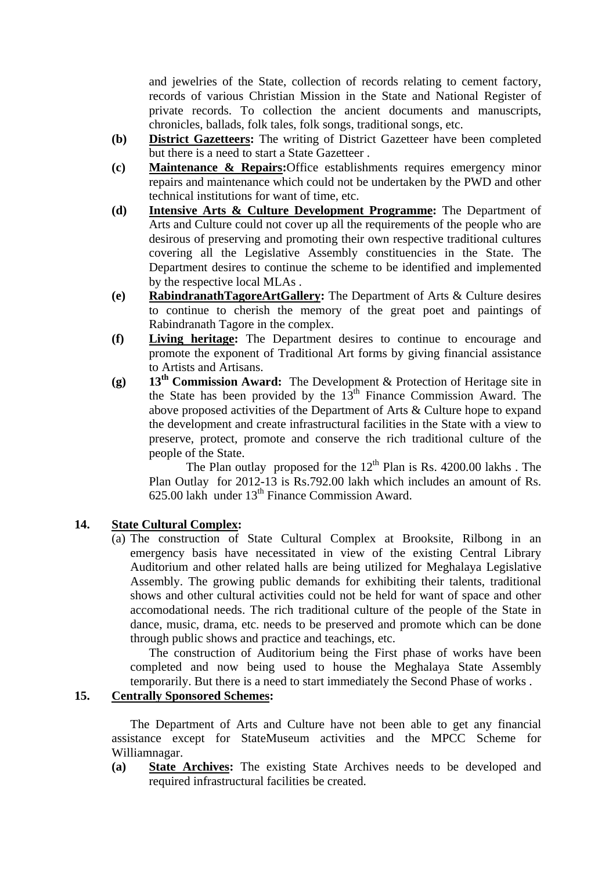and jewelries of the State, collection of records relating to cement factory, records of various Christian Mission in the State and National Register of private records. To collection the ancient documents and manuscripts, chronicles, ballads, folk tales, folk songs, traditional songs, etc.

- **(b) District Gazetteers:** The writing of District Gazetteer have been completed but there is a need to start a State Gazetteer .
- **(c) Maintenance & Repairs:**Office establishments requires emergency minor repairs and maintenance which could not be undertaken by the PWD and other technical institutions for want of time, etc.
- **(d) Intensive Arts & Culture Development Programme:** The Department of Arts and Culture could not cover up all the requirements of the people who are desirous of preserving and promoting their own respective traditional cultures covering all the Legislative Assembly constituencies in the State. The Department desires to continue the scheme to be identified and implemented by the respective local MLAs .
- **(e) RabindranathTagoreArtGallery:** The Department of Arts & Culture desires to continue to cherish the memory of the great poet and paintings of Rabindranath Tagore in the complex.
- **(f) Living heritage:** The Department desires to continue to encourage and promote the exponent of Traditional Art forms by giving financial assistance to Artists and Artisans.
- **(g) 13th Commission Award:** The Development & Protection of Heritage site in the State has been provided by the 13<sup>th</sup> Finance Commission Award. The above proposed activities of the Department of Arts & Culture hope to expand the development and create infrastructural facilities in the State with a view to preserve, protect, promote and conserve the rich traditional culture of the people of the State.

The Plan outlay proposed for the  $12<sup>th</sup>$  Plan is Rs. 4200.00 lakhs. The Plan Outlay for 2012-13 is Rs.792.00 lakh which includes an amount of Rs. 625.00 lakh under  $13<sup>th</sup>$  Finance Commission Award.

### **14. State Cultural Complex:**

(a) The construction of State Cultural Complex at Brooksite, Rilbong in an emergency basis have necessitated in view of the existing Central Library Auditorium and other related halls are being utilized for Meghalaya Legislative Assembly. The growing public demands for exhibiting their talents, traditional shows and other cultural activities could not be held for want of space and other accomodational needs. The rich traditional culture of the people of the State in dance, music, drama, etc. needs to be preserved and promote which can be done through public shows and practice and teachings, etc.

The construction of Auditorium being the First phase of works have been completed and now being used to house the Meghalaya State Assembly temporarily. But there is a need to start immediately the Second Phase of works .

# **15. Centrally Sponsored Schemes:**

 The Department of Arts and Culture have not been able to get any financial assistance except for StateMuseum activities and the MPCC Scheme for Williamnagar.

**(a) State Archives:** The existing State Archives needs to be developed and required infrastructural facilities be created.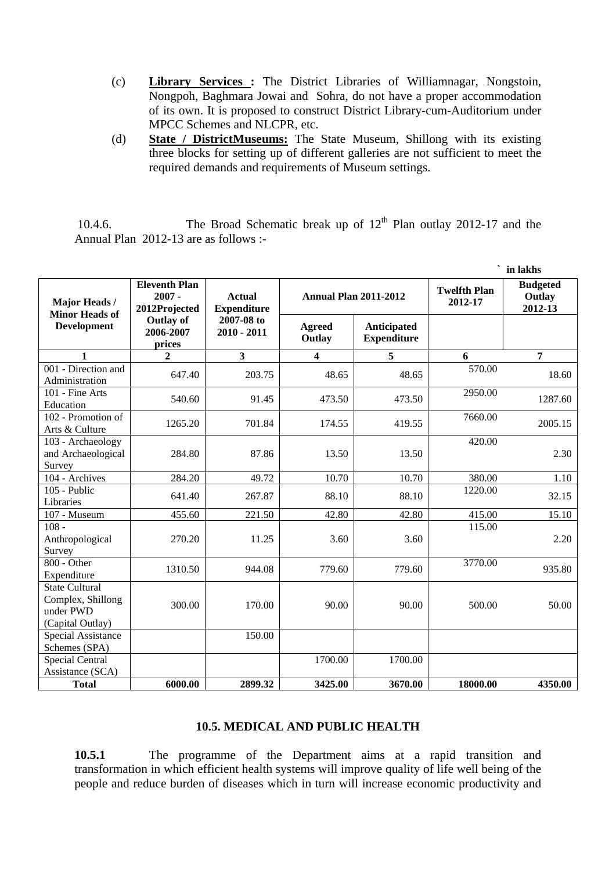- (c) **Library Services :** The District Libraries of Williamnagar, Nongstoin, Nongpoh, Baghmara Jowai and Sohra, do not have a proper accommodation of its own. It is proposed to construct District Library-cum-Auditorium under MPCC Schemes and NLCPR, etc.
- (d) **State / DistrictMuseums:** The State Museum, Shillong with its existing three blocks for setting up of different galleries are not sufficient to meet the required demands and requirements of Museum settings.

10.4.6. The Broad Schematic break up of  $12<sup>th</sup>$  Plan outlay 2012-17 and the Annual Plan 2012-13 are as follows :-

|                                                                             |                                                   |                                     |                              |                                   |                                | in lakhs                             |
|-----------------------------------------------------------------------------|---------------------------------------------------|-------------------------------------|------------------------------|-----------------------------------|--------------------------------|--------------------------------------|
| Major Heads /<br><b>Minor Heads of</b>                                      | <b>Eleventh Plan</b><br>$2007 -$<br>2012Projected | <b>Actual</b><br><b>Expenditure</b> | <b>Annual Plan 2011-2012</b> |                                   | <b>Twelfth Plan</b><br>2012-17 | <b>Budgeted</b><br>Outlay<br>2012-13 |
| <b>Development</b>                                                          | <b>Outlay of</b><br>2006-2007<br>prices           | 2007-08 to<br>$2010 - 2011$         | <b>Agreed</b><br>Outlay      | Anticipated<br><b>Expenditure</b> |                                |                                      |
| 1                                                                           | $\mathbf{2}$                                      | $\overline{\mathbf{3}}$             | $\overline{\mathbf{4}}$      | $\overline{5}$                    | 6                              | 7                                    |
| 001 - Direction and<br>Administration                                       | 647.40                                            | 203.75                              | 48.65                        | 48.65                             | 570.00                         | 18.60                                |
| 101 - Fine Arts<br>Education                                                | 540.60                                            | 91.45                               | 473.50                       | 473.50                            | 2950.00                        | 1287.60                              |
| 102 - Promotion of<br>Arts & Culture                                        | 1265.20                                           | 701.84                              | 174.55                       | 419.55                            | 7660.00                        | 2005.15                              |
| 103 - Archaeology<br>and Archaeological<br>Survey                           | 284.80                                            | 87.86                               | 13.50                        | 13.50                             | 420.00                         | 2.30                                 |
| 104 - Archives                                                              | 284.20                                            | 49.72                               | 10.70                        | 10.70                             | 380.00                         | 1.10                                 |
| 105 - Public<br>Libraries                                                   | 641.40                                            | 267.87                              | 88.10                        | 88.10                             | 1220.00                        | 32.15                                |
| 107 - Museum                                                                | 455.60                                            | 221.50                              | 42.80                        | 42.80                             | 415.00                         | 15.10                                |
| $108 -$<br>Anthropological<br>Survey                                        | 270.20                                            | 11.25                               | 3.60                         | 3.60                              | 115.00                         | 2.20                                 |
| 800 - Other<br>Expenditure                                                  | 1310.50                                           | 944.08                              | 779.60                       | 779.60                            | 3770.00                        | 935.80                               |
| <b>State Cultural</b><br>Complex, Shillong<br>under PWD<br>(Capital Outlay) | 300.00                                            | 170.00                              | 90.00                        | 90.00                             | 500.00                         | 50.00                                |
| <b>Special Assistance</b><br>Schemes (SPA)                                  |                                                   | 150.00                              |                              |                                   |                                |                                      |
| <b>Special Central</b><br>Assistance (SCA)                                  |                                                   |                                     | 1700.00                      | 1700.00                           |                                |                                      |
| <b>Total</b>                                                                | 6000.00                                           | 2899.32                             | 3425.00                      | 3670.00                           | 18000.00                       | 4350.00                              |

#### **10.5. MEDICAL AND PUBLIC HEALTH**

**10.5.1** The programme of the Department aims at a rapid transition and transformation in which efficient health systems will improve quality of life well being of the people and reduce burden of diseases which in turn will increase economic productivity and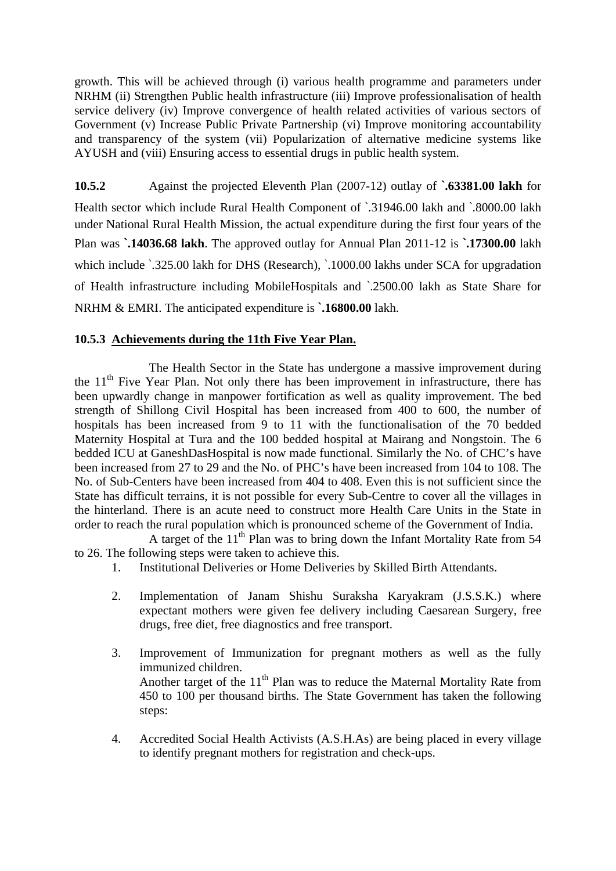growth. This will be achieved through (i) various health programme and parameters under NRHM (ii) Strengthen Public health infrastructure (iii) Improve professionalisation of health service delivery (iv) Improve convergence of health related activities of various sectors of Government (v) Increase Public Private Partnership (vi) Improve monitoring accountability and transparency of the system (vii) Popularization of alternative medicine systems like AYUSH and (viii) Ensuring access to essential drugs in public health system.

**10.5.2** Against the projected Eleventh Plan (2007-12) outlay of **`.63381.00 lakh** for Health sector which include Rural Health Component of `.31946.00 lakh and `.8000.00 lakh under National Rural Health Mission, the actual expenditure during the first four years of the Plan was **`.14036.68 lakh**. The approved outlay for Annual Plan 2011-12 is **`.17300.00** lakh which include  $\cdot$  325.00 lakh for DHS (Research),  $\cdot$  1000.00 lakhs under SCA for upgradation of Health infrastructure including MobileHospitals and `.2500.00 lakh as State Share for NRHM & EMRI. The anticipated expenditure is **`.16800.00** lakh.

## **10.5.3 Achievements during the 11th Five Year Plan.**

The Health Sector in the State has undergone a massive improvement during the  $11<sup>th</sup>$  Five Year Plan. Not only there has been improvement in infrastructure, there has been upwardly change in manpower fortification as well as quality improvement. The bed strength of Shillong Civil Hospital has been increased from 400 to 600, the number of hospitals has been increased from 9 to 11 with the functionalisation of the 70 bedded Maternity Hospital at Tura and the 100 bedded hospital at Mairang and Nongstoin. The 6 bedded ICU at GaneshDasHospital is now made functional. Similarly the No. of CHC's have been increased from 27 to 29 and the No. of PHC's have been increased from 104 to 108. The No. of Sub-Centers have been increased from 404 to 408. Even this is not sufficient since the State has difficult terrains, it is not possible for every Sub-Centre to cover all the villages in the hinterland. There is an acute need to construct more Health Care Units in the State in order to reach the rural population which is pronounced scheme of the Government of India.

A target of the  $11<sup>th</sup>$  Plan was to bring down the Infant Mortality Rate from 54 to 26. The following steps were taken to achieve this.

- 1. Institutional Deliveries or Home Deliveries by Skilled Birth Attendants.
- 2. Implementation of Janam Shishu Suraksha Karyakram (J.S.S.K.) where expectant mothers were given fee delivery including Caesarean Surgery, free drugs, free diet, free diagnostics and free transport.
- 3. Improvement of Immunization for pregnant mothers as well as the fully immunized children. Another target of the 11<sup>th</sup> Plan was to reduce the Maternal Mortality Rate from 450 to 100 per thousand births. The State Government has taken the following steps:
- 4. Accredited Social Health Activists (A.S.H.As) are being placed in every village to identify pregnant mothers for registration and check-ups.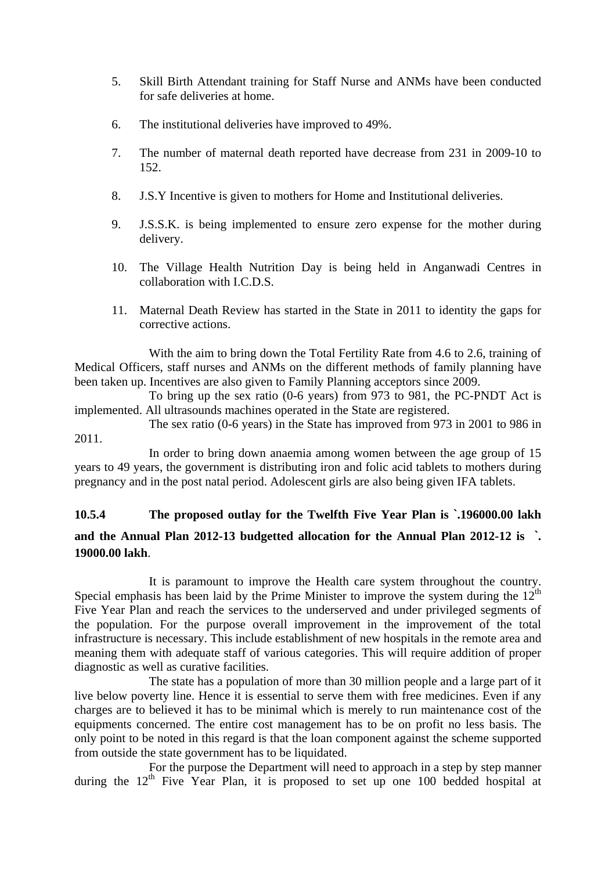- 5. Skill Birth Attendant training for Staff Nurse and ANMs have been conducted for safe deliveries at home.
- 6. The institutional deliveries have improved to 49%.
- 7. The number of maternal death reported have decrease from 231 in 2009-10 to 152.
- 8. J.S.Y Incentive is given to mothers for Home and Institutional deliveries.
- 9. J.S.S.K. is being implemented to ensure zero expense for the mother during delivery.
- 10. The Village Health Nutrition Day is being held in Anganwadi Centres in collaboration with I.C.D.S.
- 11. Maternal Death Review has started in the State in 2011 to identity the gaps for corrective actions.

 With the aim to bring down the Total Fertility Rate from 4.6 to 2.6, training of Medical Officers, staff nurses and ANMs on the different methods of family planning have been taken up. Incentives are also given to Family Planning acceptors since 2009.

 To bring up the sex ratio (0-6 years) from 973 to 981, the PC-PNDT Act is implemented. All ultrasounds machines operated in the State are registered.

 The sex ratio (0-6 years) in the State has improved from 973 in 2001 to 986 in 2011.

 In order to bring down anaemia among women between the age group of 15 years to 49 years, the government is distributing iron and folic acid tablets to mothers during pregnancy and in the post natal period. Adolescent girls are also being given IFA tablets.

# **10.5.4 The proposed outlay for the Twelfth Five Year Plan is `.196000.00 lakh and the Annual Plan 2012-13 budgetted allocation for the Annual Plan 2012-12 is `. 19000.00 lakh**.

 It is paramount to improve the Health care system throughout the country. Special emphasis has been laid by the Prime Minister to improve the system during the  $12<sup>th</sup>$ Five Year Plan and reach the services to the underserved and under privileged segments of the population. For the purpose overall improvement in the improvement of the total infrastructure is necessary. This include establishment of new hospitals in the remote area and meaning them with adequate staff of various categories. This will require addition of proper diagnostic as well as curative facilities.

The state has a population of more than 30 million people and a large part of it live below poverty line. Hence it is essential to serve them with free medicines. Even if any charges are to believed it has to be minimal which is merely to run maintenance cost of the equipments concerned. The entire cost management has to be on profit no less basis. The only point to be noted in this regard is that the loan component against the scheme supported from outside the state government has to be liquidated.

For the purpose the Department will need to approach in a step by step manner during the  $12<sup>th</sup>$  Five Year Plan, it is proposed to set up one 100 bedded hospital at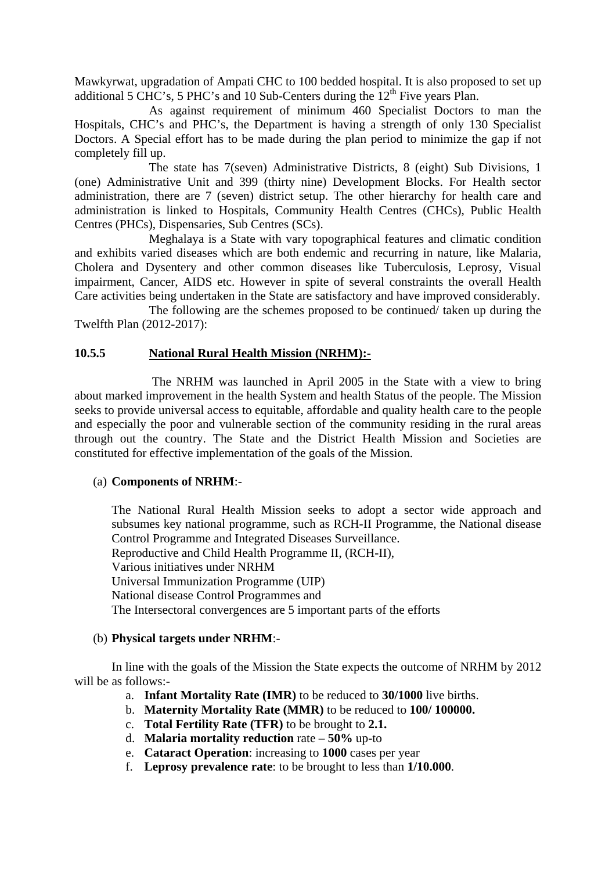Mawkyrwat, upgradation of Ampati CHC to 100 bedded hospital. It is also proposed to set up additional 5 CHC's, 5 PHC's and 10 Sub-Centers during the  $12<sup>th</sup>$  Five years Plan.

 As against requirement of minimum 460 Specialist Doctors to man the Hospitals, CHC's and PHC's, the Department is having a strength of only 130 Specialist Doctors. A Special effort has to be made during the plan period to minimize the gap if not completely fill up.

The state has 7(seven) Administrative Districts, 8 (eight) Sub Divisions, 1 (one) Administrative Unit and 399 (thirty nine) Development Blocks. For Health sector administration, there are 7 (seven) district setup. The other hierarchy for health care and administration is linked to Hospitals, Community Health Centres (CHCs), Public Health Centres (PHCs), Dispensaries, Sub Centres (SCs).

Meghalaya is a State with vary topographical features and climatic condition and exhibits varied diseases which are both endemic and recurring in nature, like Malaria, Cholera and Dysentery and other common diseases like Tuberculosis, Leprosy, Visual impairment, Cancer, AIDS etc. However in spite of several constraints the overall Health Care activities being undertaken in the State are satisfactory and have improved considerably.

The following are the schemes proposed to be continued/ taken up during the Twelfth Plan (2012-2017):

#### **10.5.5 National Rural Health Mission (NRHM):-**

 The NRHM was launched in April 2005 in the State with a view to bring about marked improvement in the health System and health Status of the people. The Mission seeks to provide universal access to equitable, affordable and quality health care to the people and especially the poor and vulnerable section of the community residing in the rural areas through out the country. The State and the District Health Mission and Societies are constituted for effective implementation of the goals of the Mission.

#### (a) **Components of NRHM**:-

The National Rural Health Mission seeks to adopt a sector wide approach and subsumes key national programme, such as RCH-II Programme, the National disease Control Programme and Integrated Diseases Surveillance. Reproductive and Child Health Programme II, (RCH-II), Various initiatives under NRHM Universal Immunization Programme (UIP) National disease Control Programmes and The Intersectoral convergences are 5 important parts of the efforts

#### (b) **Physical targets under NRHM**:-

 In line with the goals of the Mission the State expects the outcome of NRHM by 2012 will be as follows:-

- a. **Infant Mortality Rate (IMR)** to be reduced to **30/1000** live births.
- b. **Maternity Mortality Rate (MMR)** to be reduced to **100/ 100000.**
- c. **Total Fertility Rate (TFR)** to be brought to **2.1.**
- d. **Malaria mortality reduction** rate **50%** up-to
- e. **Cataract Operation**: increasing to **1000** cases per year
- f. **Leprosy prevalence rate**: to be brought to less than **1/10.000**.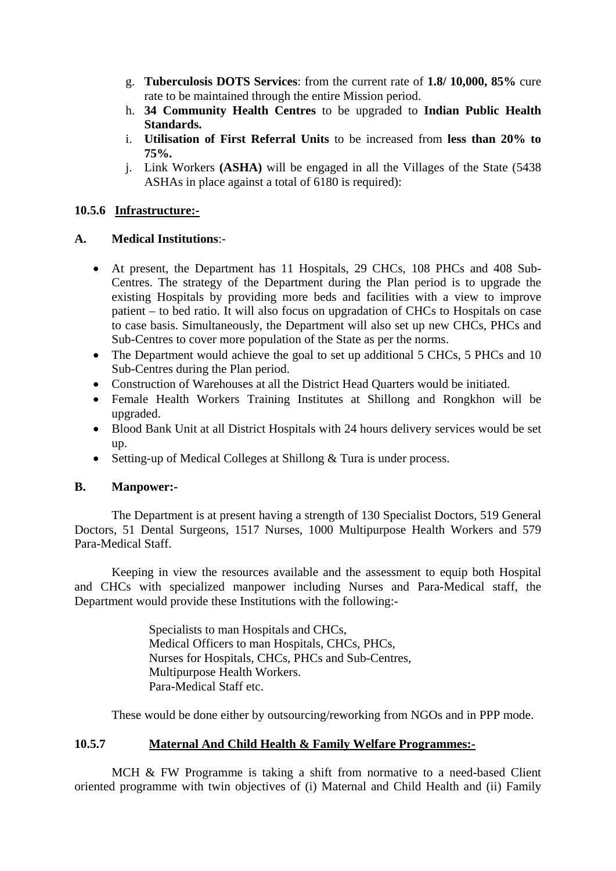- g. **Tuberculosis DOTS Services**: from the current rate of **1.8/ 10,000, 85%** cure rate to be maintained through the entire Mission period.
- h. **34 Community Health Centres** to be upgraded to **Indian Public Health Standards.**
- i. **Utilisation of First Referral Units** to be increased from **less than 20% to 75%.**
- j. Link Workers **(ASHA)** will be engaged in all the Villages of the State (5438 ASHAs in place against a total of 6180 is required):

#### **10.5.6 Infrastructure:-**

#### **A. Medical Institutions**:-

- At present, the Department has 11 Hospitals, 29 CHCs, 108 PHCs and 408 Sub-Centres. The strategy of the Department during the Plan period is to upgrade the existing Hospitals by providing more beds and facilities with a view to improve patient – to bed ratio. It will also focus on upgradation of CHCs to Hospitals on case to case basis. Simultaneously, the Department will also set up new CHCs, PHCs and Sub-Centres to cover more population of the State as per the norms.
- The Department would achieve the goal to set up additional 5 CHCs, 5 PHCs and 10 Sub-Centres during the Plan period.
- Construction of Warehouses at all the District Head Quarters would be initiated.
- Female Health Workers Training Institutes at Shillong and Rongkhon will be upgraded.
- Blood Bank Unit at all District Hospitals with 24 hours delivery services would be set up.
- Setting-up of Medical Colleges at Shillong & Tura is under process.

### **B. Manpower:-**

 The Department is at present having a strength of 130 Specialist Doctors, 519 General Doctors, 51 Dental Surgeons, 1517 Nurses, 1000 Multipurpose Health Workers and 579 Para-Medical Staff.

 Keeping in view the resources available and the assessment to equip both Hospital and CHCs with specialized manpower including Nurses and Para-Medical staff, the Department would provide these Institutions with the following:-

> Specialists to man Hospitals and CHCs, Medical Officers to man Hospitals, CHCs, PHCs, Nurses for Hospitals, CHCs, PHCs and Sub-Centres, Multipurpose Health Workers. Para-Medical Staff etc.

These would be done either by outsourcing/reworking from NGOs and in PPP mode.

#### **10.5.7 Maternal And Child Health & Family Welfare Programmes:-**

 MCH & FW Programme is taking a shift from normative to a need-based Client oriented programme with twin objectives of (i) Maternal and Child Health and (ii) Family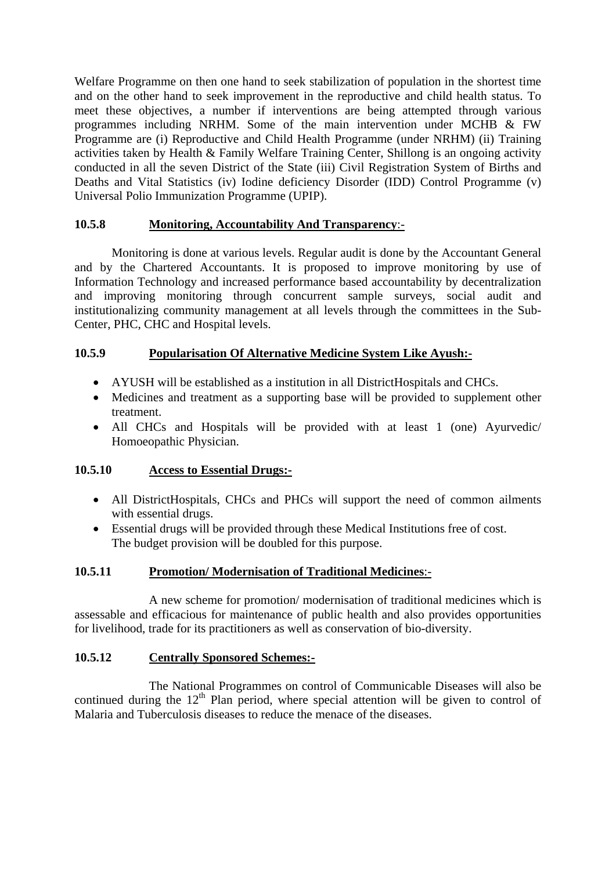Welfare Programme on then one hand to seek stabilization of population in the shortest time and on the other hand to seek improvement in the reproductive and child health status. To meet these objectives, a number if interventions are being attempted through various programmes including NRHM. Some of the main intervention under MCHB & FW Programme are (i) Reproductive and Child Health Programme (under NRHM) (ii) Training activities taken by Health & Family Welfare Training Center, Shillong is an ongoing activity conducted in all the seven District of the State (iii) Civil Registration System of Births and Deaths and Vital Statistics (iv) Iodine deficiency Disorder (IDD) Control Programme (v) Universal Polio Immunization Programme (UPIP).

### **10.5.8 Monitoring, Accountability And Transparency**:-

 Monitoring is done at various levels. Regular audit is done by the Accountant General and by the Chartered Accountants. It is proposed to improve monitoring by use of Information Technology and increased performance based accountability by decentralization and improving monitoring through concurrent sample surveys, social audit and institutionalizing community management at all levels through the committees in the Sub-Center, PHC, CHC and Hospital levels.

#### **10.5.9 Popularisation Of Alternative Medicine System Like Ayush:-**

- AYUSH will be established as a institution in all DistrictHospitals and CHCs.
- Medicines and treatment as a supporting base will be provided to supplement other treatment.
- All CHCs and Hospitals will be provided with at least 1 (one) Ayurvedic/ Homoeopathic Physician.

#### **10.5.10 Access to Essential Drugs:-**

- All DistrictHospitals, CHCs and PHCs will support the need of common ailments with essential drugs.
- Essential drugs will be provided through these Medical Institutions free of cost. The budget provision will be doubled for this purpose.

#### **10.5.11 Promotion/ Modernisation of Traditional Medicines**:-

 A new scheme for promotion/ modernisation of traditional medicines which is assessable and efficacious for maintenance of public health and also provides opportunities for livelihood, trade for its practitioners as well as conservation of bio-diversity.

#### **10.5.12 Centrally Sponsored Schemes:-**

 The National Programmes on control of Communicable Diseases will also be continued during the  $12<sup>th</sup>$  Plan period, where special attention will be given to control of Malaria and Tuberculosis diseases to reduce the menace of the diseases.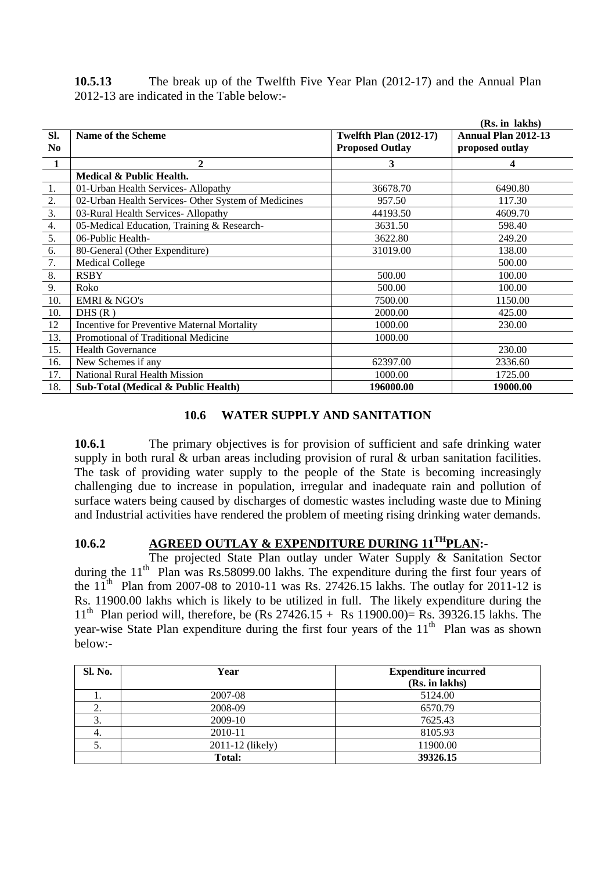| 10.5.13 | The break up of the Twelfth Five Year Plan (2012-17) and the Annual Plan |  |
|---------|--------------------------------------------------------------------------|--|
|         | 2012-13 are indicated in the Table below:-                               |  |

|                  |                                                     |                               | (Rs. in lakhs)             |
|------------------|-----------------------------------------------------|-------------------------------|----------------------------|
| Sl.              | Name of the Scheme                                  | <b>Twelfth Plan (2012-17)</b> | <b>Annual Plan 2012-13</b> |
| No               |                                                     | <b>Proposed Outlay</b>        | proposed outlay            |
| $\blacksquare$   | 2                                                   | 3                             | 4                          |
|                  | Medical & Public Health.                            |                               |                            |
| 1.               | 01-Urban Health Services-Allopathy                  | 36678.70                      | 6490.80                    |
| $\frac{2}{2}$    | 02-Urban Health Services- Other System of Medicines | 957.50                        | 117.30                     |
| $\overline{3}$ . | 03-Rural Health Services-Allopathy                  | 44193.50                      | 4609.70                    |
| 4.               | 05-Medical Education, Training & Research-          | 3631.50                       | 598.40                     |
| 5.               | 06-Public Health-                                   | 3622.80                       | 249.20                     |
| 6.               | 80-General (Other Expenditure)                      | 31019.00                      | 138.00                     |
| 7.               | <b>Medical College</b>                              |                               | 500.00                     |
| 8.               | <b>RSBY</b>                                         | 500.00                        | 100.00                     |
| 9.               | Roko                                                | 500.00                        | 100.00                     |
| 10.              | <b>EMRI &amp; NGO's</b>                             | 7500.00                       | 1150.00                    |
| 10.              | DHS(R)                                              | 2000.00                       | 425.00                     |
| 12               | <b>Incentive for Preventive Maternal Mortality</b>  | 1000.00                       | 230.00                     |
| 13.              | Promotional of Traditional Medicine                 | 1000.00                       |                            |
| 15.              | <b>Health Governance</b>                            |                               | 230.00                     |
| 16.              | New Schemes if any                                  | 62397.00                      | 2336.60                    |
| 17.              | National Rural Health Mission                       | 1000.00                       | 1725.00                    |
| 18.              | Sub-Total (Medical & Public Health)                 | 196000.00                     | 19000.00                   |

#### **10.6 WATER SUPPLY AND SANITATION**

**10.6.1** The primary objectives is for provision of sufficient and safe drinking water supply in both rural & urban areas including provision of rural & urban sanitation facilities. The task of providing water supply to the people of the State is becoming increasingly challenging due to increase in population, irregular and inadequate rain and pollution of surface waters being caused by discharges of domestic wastes including waste due to Mining and Industrial activities have rendered the problem of meeting rising drinking water demands.

## **10.6.2 AGREED OUTLAY & EXPENDITURE DURING 11THPLAN:-**

The projected State Plan outlay under Water Supply & Sanitation Sector during the  $11<sup>th</sup>$  Plan was Rs.58099.00 lakhs. The expenditure during the first four years of the  $11^{th}$  Plan from 2007-08 to 2010-11 was Rs. 27426.15 lakhs. The outlay for 2011-12 is Rs. 11900.00 lakhs which is likely to be utilized in full. The likely expenditure during the  $11^{th}$  Plan period will, therefore, be (Rs 27426.15 + Rs 11900.00)= Rs. 39326.15 lakhs. The year-wise State Plan expenditure during the first four years of the  $11<sup>th</sup>$  Plan was as shown below:-

| Sl. No. | Year             | <b>Expenditure incurred</b><br>(Rs. in lakhs) |
|---------|------------------|-----------------------------------------------|
| . .     | 2007-08          | 5124.00                                       |
| ∼.      | 2008-09          | 6570.79                                       |
| C.      | 2009-10          | 7625.43                                       |
| 4.      | 2010-11          | 8105.93                                       |
| J.      | 2011-12 (likely) | 11900.00                                      |
|         | Total:           | 39326.15                                      |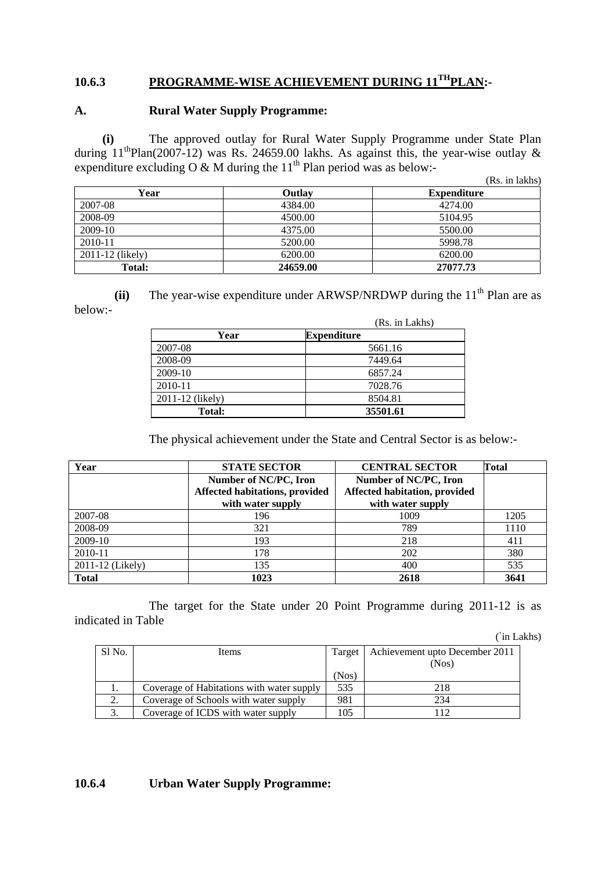# 10.6.3 PROGRAMME-WISE ACHIEVEMENT DURING 11<sup>TH</sup>PLAN:-

#### **A. Rural Water Supply Programme:**

 **(i)** The approved outlay for Rural Water Supply Programme under State Plan during  $11^{th}$ Plan(2007-12) was Rs. 24659.00 lakhs. As against this, the year-wise outlay & expenditure excluding O & M during the  $11<sup>th</sup>$  Plan period was as below:- $\overline{R}$  in lakeholds)

|                  |          | (Rs. 1n lakns)     |
|------------------|----------|--------------------|
| Year             | Outlay   | <b>Expenditure</b> |
| 2007-08          | 4384.00  | 4274.00            |
| 2008-09          | 4500.00  | 5104.95            |
| 2009-10          | 4375.00  | 5500.00            |
| $2010 - 11$      | 5200.00  | 5998.78            |
| 2011-12 (likely) | 6200.00  | 6200.00            |
| Total:           | 24659.00 | 27077.73           |

**(ii)** The year-wise expenditure under ARWSP/NRDWP during the  $11<sup>th</sup>$  Plan are as below:-

|                  | (Rs. in Lakhs)     |
|------------------|--------------------|
| Year             | <b>Expenditure</b> |
| 2007-08          | 5661.16            |
| 2008-09          | 7449.64            |
| 2009-10          | 6857.24            |
| 2010-11          | 7028.76            |
| 2011-12 (likely) | 8504.81            |
| Total:           | 35501.61           |

The physical achievement under the State and Central Sector is as below:-

| Year             | <b>STATE SECTOR</b>            | <b>CENTRAL SECTOR</b>         | <b>Total</b> |
|------------------|--------------------------------|-------------------------------|--------------|
|                  | Number of NC/PC, Iron          | Number of NC/PC, Iron         |              |
|                  | Affected habitations, provided | Affected habitation, provided |              |
|                  | with water supply              | with water supply             |              |
| 2007-08          | 196                            | 1009                          | 1205         |
| 2008-09          | 321                            | 789                           | 1110         |
| 2009-10          | 193                            | 218                           | 411          |
| 2010-11          | 178                            | 202                           | 380          |
| 2011-12 (Likely) | 135                            | 400                           | 535          |
| <b>Total</b>     | 1023                           | 2618                          | 3641         |

 The target for the State under 20 Point Programme during 2011-12 is as indicated in Table

(`in Lakhs)

| Sl No.       | Items                                     | Target | Achievement upto December 2011 |
|--------------|-------------------------------------------|--------|--------------------------------|
|              |                                           |        | (Nos)                          |
|              |                                           | (Nos)  |                                |
| 1.           | Coverage of Habitations with water supply | 535    | 218                            |
| 2.           | Coverage of Schools with water supply     | 981    | 234                            |
| $\sim$<br>J. | Coverage of ICDS with water supply        | 105    |                                |

#### **10.6.4 Urban Water Supply Programme:**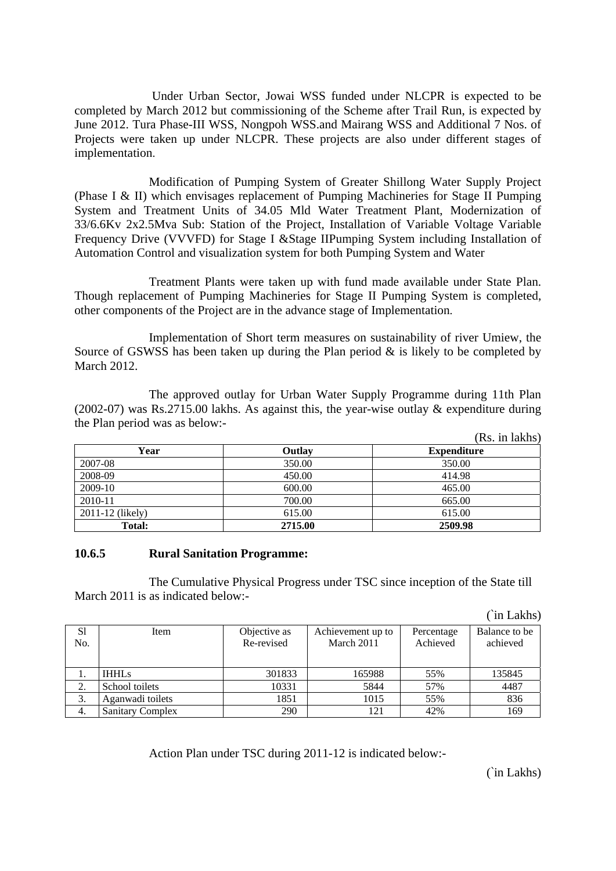Under Urban Sector, Jowai WSS funded under NLCPR is expected to be completed by March 2012 but commissioning of the Scheme after Trail Run, is expected by June 2012. Tura Phase-III WSS, Nongpoh WSS.and Mairang WSS and Additional 7 Nos. of Projects were taken up under NLCPR. These projects are also under different stages of implementation.

 Modification of Pumping System of Greater Shillong Water Supply Project (Phase I & II) which envisages replacement of Pumping Machineries for Stage II Pumping System and Treatment Units of 34.05 Mld Water Treatment Plant, Modernization of 33/6.6Kv 2x2.5Mva Sub: Station of the Project, Installation of Variable Voltage Variable Frequency Drive (VVVFD) for Stage I & Stage IIPumping System including Installation of Automation Control and visualization system for both Pumping System and Water

 Treatment Plants were taken up with fund made available under State Plan. Though replacement of Pumping Machineries for Stage II Pumping System is completed, other components of the Project are in the advance stage of Implementation.

 Implementation of Short term measures on sustainability of river Umiew, the Source of GSWSS has been taken up during the Plan period  $\&$  is likely to be completed by March 2012.

The approved outlay for Urban Water Supply Programme during 11th Plan (2002-07) was Rs.2715.00 lakhs. As against this, the year-wise outlay & expenditure during the Plan period was as below:-

|                  |         | (Rs. in lakhs)     |  |  |
|------------------|---------|--------------------|--|--|
| Year             | Outlay  | <b>Expenditure</b> |  |  |
| 2007-08          | 350.00  | 350.00             |  |  |
| 2008-09          | 450.00  | 414.98             |  |  |
| 2009-10          | 600.00  | 465.00             |  |  |
| 2010-11          | 700.00  | 665.00             |  |  |
| 2011-12 (likely) | 615.00  | 615.00             |  |  |
| Total:           | 2715.00 | 2509.98            |  |  |

#### **10.6.5 Rural Sanitation Programme:**

The Cumulative Physical Progress under TSC since inception of the State till March 2011 is as indicated below:-

(`in Lakhs)

| S1<br>No. | Item                    | Objective as<br>Re-revised | Achievement up to<br>March 2011 | Percentage<br>Achieved | Balance to be<br>achieved |
|-----------|-------------------------|----------------------------|---------------------------------|------------------------|---------------------------|
|           | <b>IHHLs</b>            | 301833                     | 165988                          | 55%                    | 135845                    |
| 2.        | School toilets          | 10331                      | 5844                            | 57%                    | 4487                      |
| 3.        | Aganwadi toilets        | 1851                       | 1015                            | 55%                    | 836                       |
|           | <b>Sanitary Complex</b> | 290                        | 121                             | 42%                    | 169                       |

Action Plan under TSC during 2011-12 is indicated below:-

(`in Lakhs)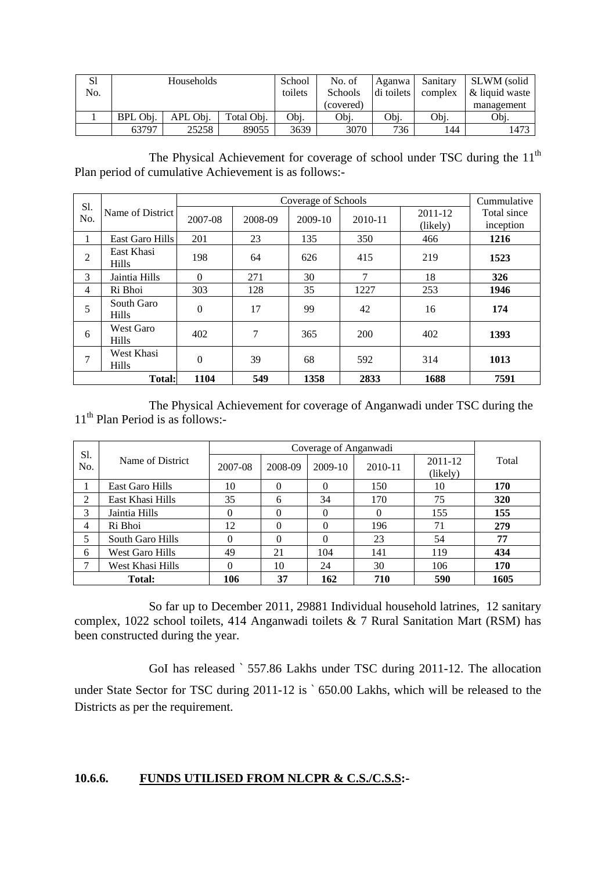| S1<br>No. | Households |          |            | School<br>toilets | No. of<br><b>Schools</b> | Aganwa  <br>di toilets | Sanitary<br>complex | SLWM (solid<br>& liquid waste |
|-----------|------------|----------|------------|-------------------|--------------------------|------------------------|---------------------|-------------------------------|
|           |            |          |            |                   | (covered)                |                        |                     | management                    |
|           | BPL Obi.   | APL Obi. | Total Obj. | Obi.              | Obi.                     | Obi.                   | Obi.                | Obi.                          |
|           | 63797      | 25258    | 89055      | 3639              | 3070                     | 736                    | 144                 | 1473                          |

The Physical Achievement for coverage of school under TSC during the  $11<sup>th</sup>$ Plan period of cumulative Achievement is as follows:-

|            |                                  |                | Cummulative |           |         |                     |                          |
|------------|----------------------------------|----------------|-------------|-----------|---------|---------------------|--------------------------|
| Sl.<br>No. | Name of District                 | 2007-08        | 2008-09     | $2009-10$ | 2010-11 | 2011-12<br>(likely) | Total since<br>inception |
| 1          | East Garo Hills                  | 201            | 23          | 135       | 350     | 466                 | 1216                     |
| 2          | East Khasi<br><b>Hills</b>       | 198            | 64          | 626       | 415     | 219                 | 1523                     |
| 3          | Jaintia Hills                    | $\Omega$       | 271         | 30        | 7       | 18                  | 326                      |
| 4          | Ri Bhoi                          | 303            | 128         | 35        | 1227    | 253                 | 1946                     |
| 5          | South Garo<br><b>Hills</b>       | $\overline{0}$ | 17          | 99        | 42      | 16                  | 174                      |
| 6          | <b>West Garo</b><br><b>Hills</b> | 402            | 7           | 365       | 200     | 402                 | 1393                     |
| 7          | West Khasi<br><b>Hills</b>       | $\theta$       | 39          | 68        | 592     | 314                 | 1013                     |
|            | <b>Total:</b>                    | 1104           | 549         | 1358      | 2833    | 1688                | 7591                     |

 The Physical Achievement for coverage of Anganwadi under TSC during the  $11<sup>th</sup>$  Plan Period is as follows:-

| Sl.<br>No. | Name of District       | 2007-08 | 2008-09  | 2009-10  | 2010-11  | 2011-12<br>(likely) | Total |
|------------|------------------------|---------|----------|----------|----------|---------------------|-------|
|            | East Garo Hills        | 10      | $\Omega$ | $\Omega$ | 150      | 10                  | 170   |
| 2          | East Khasi Hills       | 35      | 6        | 34       | 170      | 75                  | 320   |
| 3          | Jaintia Hills          | 0       | $\Omega$ | $\Omega$ | $\Omega$ | 155                 | 155   |
| 4          | Ri Bhoi                | 12      | $\Omega$ | 0        | 196      | 71                  | 279   |
| 5          | South Garo Hills       |         |          | 0        | 23       | 54                  | 77    |
| 6          | <b>West Garo Hills</b> | 49      | 21       | 104      | 141      | 119                 | 434   |
| ⇁          | West Khasi Hills       | 0       | 10       | 24       | 30       | 106                 | 170   |
| Total:     |                        | 106     | 37       | 162      | 710      | 590                 | 1605  |

 So far up to December 2011, 29881 Individual household latrines, 12 sanitary complex, 1022 school toilets, 414 Anganwadi toilets & 7 Rural Sanitation Mart (RSM) has been constructed during the year.

 GoI has released ` 557.86 Lakhs under TSC during 2011-12. The allocation under State Sector for TSC during 2011-12 is ` 650.00 Lakhs, which will be released to the Districts as per the requirement.

### **10.6.6. FUNDS UTILISED FROM NLCPR & C.S./C.S.S:-**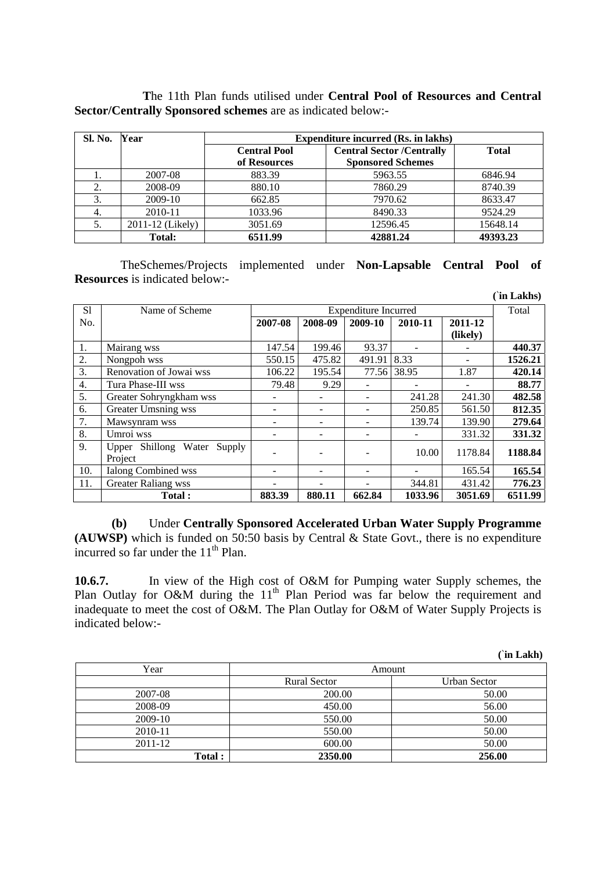|                                                                    |  |  |  |  | The 11th Plan funds utilised under <b>Central Pool of Resources and Central</b> |  |
|--------------------------------------------------------------------|--|--|--|--|---------------------------------------------------------------------------------|--|
| <b>Sector/Centrally Sponsored schemes are as indicated below:-</b> |  |  |  |  |                                                                                 |  |

| Sl. No. | Year             | <b>Expenditure incurred (Rs. in lakhs)</b> |                                  |              |  |  |  |  |
|---------|------------------|--------------------------------------------|----------------------------------|--------------|--|--|--|--|
|         |                  | <b>Central Pool</b>                        | <b>Central Sector /Centrally</b> | <b>Total</b> |  |  |  |  |
|         |                  | of Resources                               | <b>Sponsored Schemes</b>         |              |  |  |  |  |
|         | 2007-08          | 883.39                                     | 5963.55                          | 6846.94      |  |  |  |  |
|         | 2008-09          | 880.10                                     | 7860.29                          | 8740.39      |  |  |  |  |
| 3.      | 2009-10          | 662.85                                     | 7970.62                          | 8633.47      |  |  |  |  |
| 4.      | 2010-11          | 1033.96                                    | 8490.33                          | 9524.29      |  |  |  |  |
|         | 2011-12 (Likely) | 3051.69                                    | 12596.45                         | 15648.14     |  |  |  |  |
|         | Total:           | 6511.99                                    | 42881.24                         | 49393.23     |  |  |  |  |

 TheSchemes/Projects implemented under **Non-Lapsable Central Pool of Resources** is indicated below:-

|     |                                |         |         |         |             |          | (`in Lakhs) |
|-----|--------------------------------|---------|---------|---------|-------------|----------|-------------|
| S1  | Name of Scheme                 |         | Total   |         |             |          |             |
| No. |                                | 2007-08 | 2008-09 | 2009-10 | 2010-11     | 2011-12  |             |
|     |                                |         |         |         |             | (likely) |             |
| 1.  | Mairang wss                    | 147.54  | 199.46  | 93.37   |             |          | 440.37      |
| 2.  | Nongpoh wss                    | 550.15  | 475.82  | 491.91  | 8.33        | ۰        | 1526.21     |
| 3.  | Renovation of Jowai wss        | 106.22  | 195.54  |         | 77.56 38.95 | 1.87     | 420.14      |
| 4.  | Tura Phase-III wss             | 79.48   | 9.29    |         |             |          | 88.77       |
| 5.  | Greater Sohryngkham wss        |         |         | ٠       | 241.28      | 241.30   | 482.58      |
| 6.  | <b>Greater Umsning wss</b>     |         |         |         | 250.85      | 561.50   | 812.35      |
| 7.  | Mawsynram wss                  |         |         |         | 139.74      | 139.90   | 279.64      |
| 8.  | Umroi wss                      |         |         |         |             | 331.32   | 331.32      |
| 9.  | Upper Shillong Water<br>Supply |         |         |         | 10.00       | 1178.84  | 1188.84     |
|     | Project                        |         |         |         |             |          |             |
| 10. | <b>Ialong Combined wss</b>     |         |         | ۰       |             | 165.54   | 165.54      |
| 11. | <b>Greater Raliang wss</b>     |         |         |         | 344.81      | 431.42   | 776.23      |
|     | <b>Total:</b>                  | 883.39  | 880.11  | 662.84  | 1033.96     | 3051.69  | 6511.99     |

**(b)** Under **Centrally Sponsored Accelerated Urban Water Supply Programme (AUWSP)** which is funded on 50:50 basis by Central & State Govt., there is no expenditure incurred so far under the  $11<sup>th</sup>$  Plan.

**10.6.7.** In view of the High cost of O&M for Pumping water Supply schemes, the Plan Outlay for O&M during the  $11<sup>th</sup>$  Plan Period was far below the requirement and inadequate to meet the cost of O&M. The Plan Outlay for O&M of Water Supply Projects is indicated below:-

| Year    | Amount              |              |  |  |
|---------|---------------------|--------------|--|--|
|         | <b>Rural Sector</b> | Urban Sector |  |  |
| 2007-08 | 200.00              | 50.00        |  |  |
| 2008-09 | 450.00              | 56.00        |  |  |
| 2009-10 | 550.00              | 50.00        |  |  |
| 2010-11 | 550.00              | 50.00        |  |  |
| 2011-12 | 600.00              | 50.00        |  |  |
| Total : | 2350.00             | 256.00       |  |  |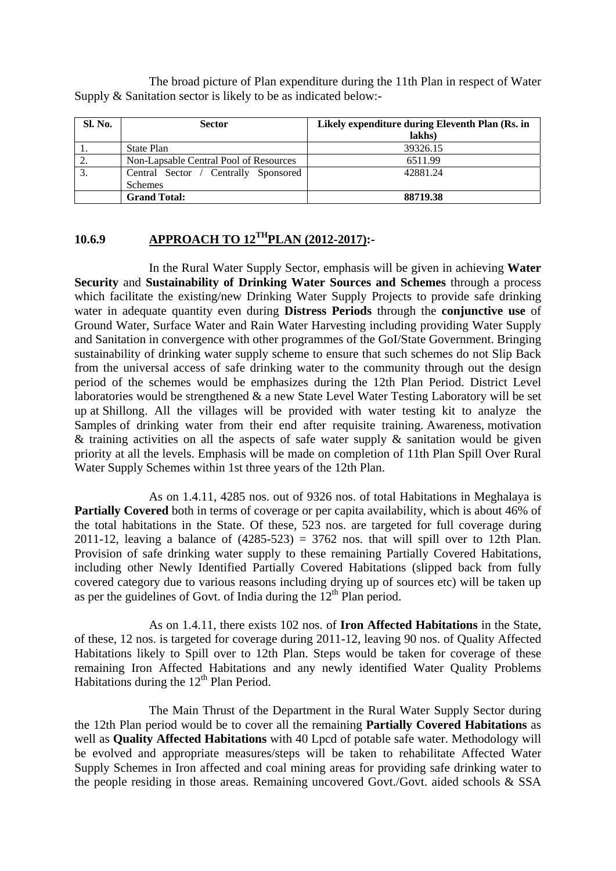The broad picture of Plan expenditure during the 11th Plan in respect of Water Supply & Sanitation sector is likely to be as indicated below:-

| Sl. No. | <b>Sector</b>                                          | Likely expenditure during Eleventh Plan (Rs. in<br>lakhs) |
|---------|--------------------------------------------------------|-----------------------------------------------------------|
|         | State Plan                                             | 39326.15                                                  |
|         | Non-Lapsable Central Pool of Resources                 | 6511.99                                                   |
|         | Central Sector / Centrally Sponsored<br><b>Schemes</b> | 42881.24                                                  |
|         | <b>Grand Total:</b>                                    | 88719.38                                                  |

### **10.6.9 APPROACH TO 12THPLAN (2012-2017):-**

In the Rural Water Supply Sector, emphasis will be given in achieving **Water Security** and **Sustainability of Drinking Water Sources and Schemes** through a process which facilitate the existing/new Drinking Water Supply Projects to provide safe drinking water in adequate quantity even during **Distress Periods** through the **conjunctive use** of Ground Water, Surface Water and Rain Water Harvesting including providing Water Supply and Sanitation in convergence with other programmes of the GoI/State Government. Bringing sustainability of drinking water supply scheme to ensure that such schemes do not Slip Back from the universal access of safe drinking water to the community through out the design period of the schemes would be emphasizes during the 12th Plan Period. District Level laboratories would be strengthened & a new State Level Water Testing Laboratory will be set up at Shillong. All the villages will be provided with water testing kit to analyze the Samples of drinking water from their end after requisite training. Awareness, motivation & training activities on all the aspects of safe water supply  $\&$  sanitation would be given priority at all the levels. Emphasis will be made on completion of 11th Plan Spill Over Rural Water Supply Schemes within 1st three years of the 12th Plan.

As on 1.4.11, 4285 nos. out of 9326 nos. of total Habitations in Meghalaya is **Partially Covered** both in terms of coverage or per capita availability, which is about 46% of the total habitations in the State. Of these, 523 nos. are targeted for full coverage during 2011-12, leaving a balance of  $(4285-523) = 3762$  nos. that will spill over to 12th Plan. Provision of safe drinking water supply to these remaining Partially Covered Habitations, including other Newly Identified Partially Covered Habitations (slipped back from fully covered category due to various reasons including drying up of sources etc) will be taken up as per the guidelines of Govt. of India during the  $12<sup>th</sup>$  Plan period.

As on 1.4.11, there exists 102 nos. of **Iron Affected Habitations** in the State, of these, 12 nos. is targeted for coverage during 2011-12, leaving 90 nos. of Quality Affected Habitations likely to Spill over to 12th Plan. Steps would be taken for coverage of these remaining Iron Affected Habitations and any newly identified Water Quality Problems Habitations during the  $12<sup>th</sup>$  Plan Period.

The Main Thrust of the Department in the Rural Water Supply Sector during the 12th Plan period would be to cover all the remaining **Partially Covered Habitations** as well as **Quality Affected Habitations** with 40 Lpcd of potable safe water. Methodology will be evolved and appropriate measures/steps will be taken to rehabilitate Affected Water Supply Schemes in Iron affected and coal mining areas for providing safe drinking water to the people residing in those areas. Remaining uncovered Govt./Govt. aided schools & SSA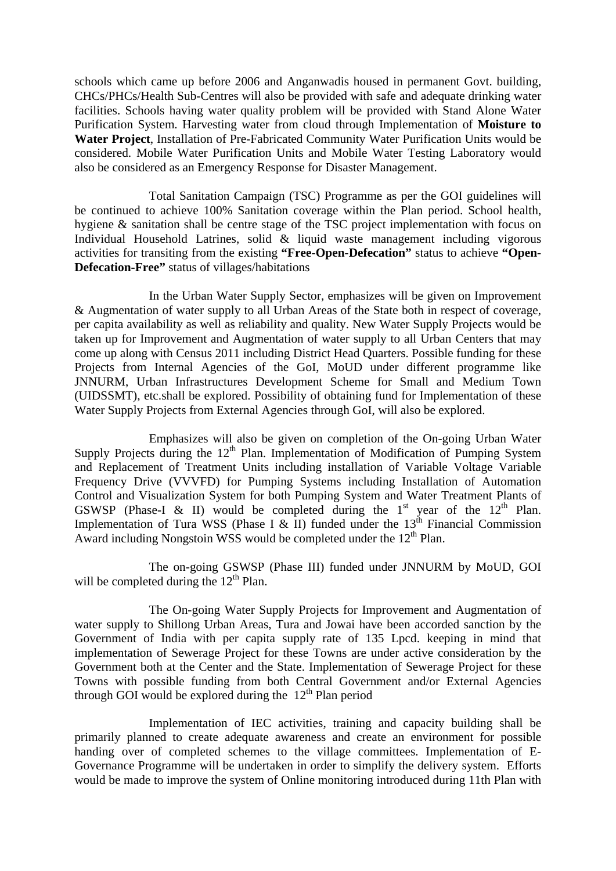schools which came up before 2006 and Anganwadis housed in permanent Govt. building, CHCs/PHCs/Health Sub-Centres will also be provided with safe and adequate drinking water facilities. Schools having water quality problem will be provided with Stand Alone Water Purification System. Harvesting water from cloud through Implementation of **Moisture to Water Project**, Installation of Pre-Fabricated Community Water Purification Units would be considered. Mobile Water Purification Units and Mobile Water Testing Laboratory would also be considered as an Emergency Response for Disaster Management.

 Total Sanitation Campaign (TSC) Programme as per the GOI guidelines will be continued to achieve 100% Sanitation coverage within the Plan period. School health, hygiene & sanitation shall be centre stage of the TSC project implementation with focus on Individual Household Latrines, solid & liquid waste management including vigorous activities for transiting from the existing **"Free-Open-Defecation"** status to achieve **"Open-Defecation-Free"** status of villages/habitations

 In the Urban Water Supply Sector, emphasizes will be given on Improvement & Augmentation of water supply to all Urban Areas of the State both in respect of coverage, per capita availability as well as reliability and quality. New Water Supply Projects would be taken up for Improvement and Augmentation of water supply to all Urban Centers that may come up along with Census 2011 including District Head Quarters. Possible funding for these Projects from Internal Agencies of the GoI, MoUD under different programme like JNNURM, Urban Infrastructures Development Scheme for Small and Medium Town (UIDSSMT), etc.shall be explored. Possibility of obtaining fund for Implementation of these Water Supply Projects from External Agencies through GoI, will also be explored.

 Emphasizes will also be given on completion of the On-going Urban Water Supply Projects during the  $12<sup>th</sup>$  Plan. Implementation of Modification of Pumping System and Replacement of Treatment Units including installation of Variable Voltage Variable Frequency Drive (VVVFD) for Pumping Systems including Installation of Automation Control and Visualization System for both Pumping System and Water Treatment Plants of GSWSP (Phase-I & II) would be completed during the  $1<sup>st</sup>$  year of the  $12<sup>th</sup>$  Plan. Implementation of Tura WSS (Phase I & II) funded under the  $13<sup>th</sup>$  Financial Commission Award including Nongstoin WSS would be completed under the  $12<sup>th</sup>$  Plan.

 The on-going GSWSP (Phase III) funded under JNNURM by MoUD, GOI will be completed during the  $12<sup>th</sup>$  Plan.

 The On-going Water Supply Projects for Improvement and Augmentation of water supply to Shillong Urban Areas, Tura and Jowai have been accorded sanction by the Government of India with per capita supply rate of 135 Lpcd. keeping in mind that implementation of Sewerage Project for these Towns are under active consideration by the Government both at the Center and the State. Implementation of Sewerage Project for these Towns with possible funding from both Central Government and/or External Agencies through GOI would be explored during the  $12<sup>th</sup>$  Plan period

Implementation of IEC activities, training and capacity building shall be primarily planned to create adequate awareness and create an environment for possible handing over of completed schemes to the village committees. Implementation of E-Governance Programme will be undertaken in order to simplify the delivery system. Efforts would be made to improve the system of Online monitoring introduced during 11th Plan with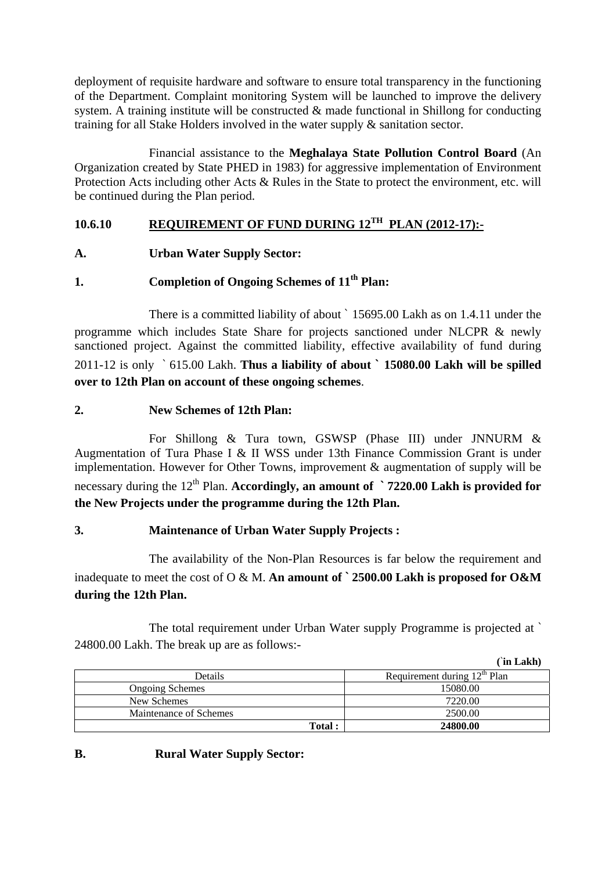deployment of requisite hardware and software to ensure total transparency in the functioning of the Department. Complaint monitoring System will be launched to improve the delivery system. A training institute will be constructed  $\&$  made functional in Shillong for conducting training for all Stake Holders involved in the water supply & sanitation sector.

 Financial assistance to the **Meghalaya State Pollution Control Board** (An Organization created by State PHED in 1983) for aggressive implementation of Environment Protection Acts including other Acts & Rules in the State to protect the environment, etc. will be continued during the Plan period.

# **10.6.10 REQUIREMENT OF FUND DURING 12TH PLAN (2012-17):-**

**A. Urban Water Supply Sector:** 

# **1. Completion of Ongoing Schemes of 11th Plan:**

 There is a committed liability of about ` 15695.00 Lakh as on 1.4.11 under the programme which includes State Share for projects sanctioned under NLCPR & newly sanctioned project. Against the committed liability, effective availability of fund during 2011-12 is only ` 615.00 Lakh. **Thus a liability of about ` 15080.00 Lakh will be spilled over to 12th Plan on account of these ongoing schemes**.

## **2. New Schemes of 12th Plan:**

 For Shillong & Tura town, GSWSP (Phase III) under JNNURM & Augmentation of Tura Phase I & II WSS under 13th Finance Commission Grant is under implementation. However for Other Towns, improvement & augmentation of supply will be necessary during the 12<sup>th</sup> Plan. **Accordingly, an amount of `7220.00 Lakh is provided for the New Projects under the programme during the 12th Plan.** 

# **3. Maintenance of Urban Water Supply Projects :**

 The availability of the Non-Plan Resources is far below the requirement and inadequate to meet the cost of O & M. **An amount of ` 2500.00 Lakh is proposed for O&M during the 12th Plan.** 

 The total requirement under Urban Water supply Programme is projected at ` 24800.00 Lakh. The break up are as follows:-

| in Lakh) |
|----------|
|----------|

|                        | III LANII                                |
|------------------------|------------------------------------------|
| Details                | Requirement during 12 <sup>th</sup> Plan |
| <b>Ongoing Schemes</b> | 15080.00                                 |
| New Schemes            | 7220.00                                  |
| Maintenance of Schemes | 2500.00                                  |
| <b>Total:</b>          | 24800.00                                 |

# **B. Rural Water Supply Sector:**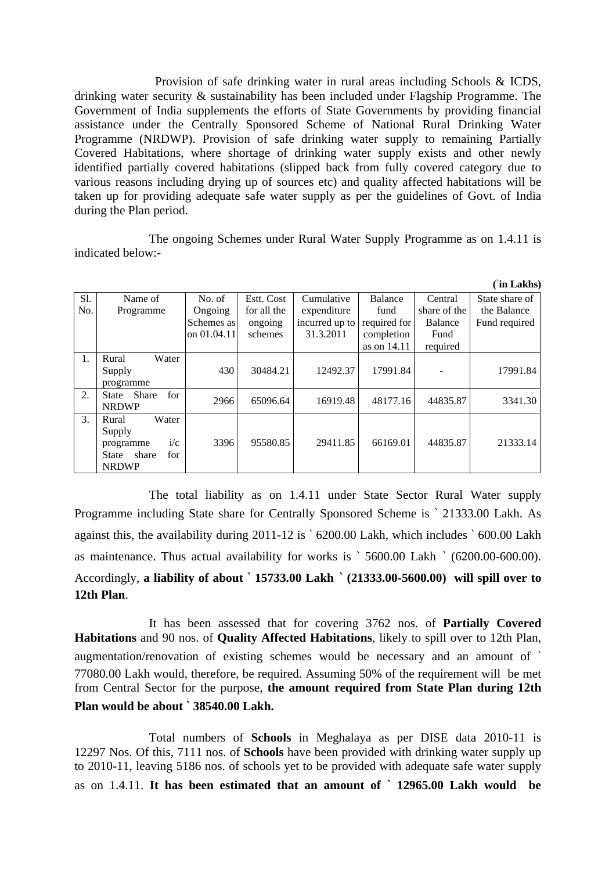Provision of safe drinking water in rural areas including Schools & ICDS, drinking water security & sustainability has been included under Flagship Programme. The Government of India supplements the efforts of State Governments by providing financial assistance under the Centrally Sponsored Scheme of National Rural Drinking Water Programme (NRDWP). Provision of safe drinking water supply to remaining Partially Covered Habitations, where shortage of drinking water supply exists and other newly identified partially covered habitations (slipped back from fully covered category due to various reasons including drying up of sources etc) and quality affected habitations will be taken up for providing adequate safe water supply as per the guidelines of Govt. of India during the Plan period.

The ongoing Schemes under Rural Water Supply Programme as on 1.4.11 is indicated below:-

 $\hat{C}$ **in I** alter

|     |                              |             |             |                |              |              | -ш Lariis)     |
|-----|------------------------------|-------------|-------------|----------------|--------------|--------------|----------------|
| S1. | Name of                      | No. of      | Estt. Cost  | Cumulative     | Balance      | Central      | State share of |
| No. | Programme                    | Ongoing     | for all the | expenditure    | fund         | share of the | the Balance    |
|     |                              | Schemes as  | ongoing     | incurred up to | required for | Balance      | Fund required  |
|     |                              | on 01.04.11 | schemes     | 31.3.2011      | completion   | Fund         |                |
|     |                              |             |             |                | as on 14.11  | required     |                |
| 1.  | Water<br>Rural               |             |             |                |              |              |                |
|     | Supply                       | 430         | 30484.21    | 12492.37       | 17991.84     |              | 17991.84       |
|     | programme                    |             |             |                |              |              |                |
| 2.  | for<br><b>Share</b><br>State | 2966        | 65096.64    | 16919.48       | 48177.16     | 44835.87     | 3341.30        |
|     | <b>NRDWP</b>                 |             |             |                |              |              |                |
| 3.  | Water<br>Rural               |             |             |                |              |              |                |
|     | Supply                       |             |             |                |              |              |                |
|     | i/c<br>programme             | 3396        | 95580.85    | 29411.85       | 66169.01     | 44835.87     | 21333.14       |
|     | share<br>for<br>State        |             |             |                |              |              |                |
|     | <b>NRDWP</b>                 |             |             |                |              |              |                |

The total liability as on 1.4.11 under State Sector Rural Water supply Programme including State share for Centrally Sponsored Scheme is ` 21333.00 Lakh. As against this, the availability during 2011-12 is ` 6200.00 Lakh, which includes ` 600.00 Lakh as maintenance. Thus actual availability for works is ` 5600.00 Lakh ` (6200.00-600.00). Accordingly, **a liability of about ` 15733.00 Lakh ` (21333.00-5600.00) will spill over to 12th Plan**.

 It has been assessed that for covering 3762 nos. of **Partially Covered Habitations** and 90 nos. of **Quality Affected Habitations**, likely to spill over to 12th Plan, augmentation/renovation of existing schemes would be necessary and an amount of ` 77080.00 Lakh would, therefore, be required. Assuming 50% of the requirement will be met from Central Sector for the purpose, **the amount required from State Plan during 12th Plan would be about ` 38540.00 Lakh.** 

Total numbers of **Schools** in Meghalaya as per DISE data 2010-11 is 12297 Nos. Of this, 7111 nos. of **Schools** have been provided with drinking water supply up to 2010-11, leaving 5186 nos. of schools yet to be provided with adequate safe water supply as on 1.4.11. **It has been estimated that an amount of ` 12965.00 Lakh would be**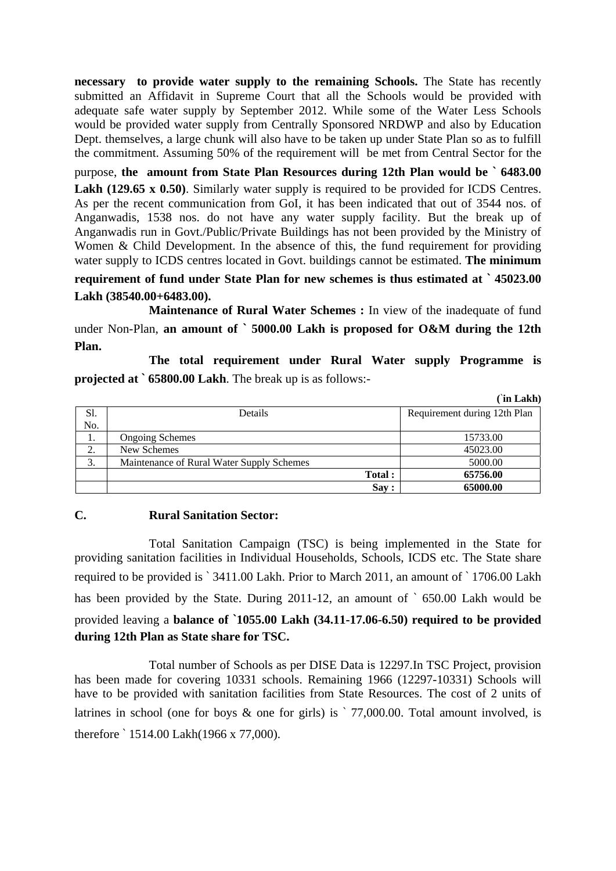**necessary to provide water supply to the remaining Schools.** The State has recently submitted an Affidavit in Supreme Court that all the Schools would be provided with adequate safe water supply by September 2012. While some of the Water Less Schools would be provided water supply from Centrally Sponsored NRDWP and also by Education Dept. themselves, a large chunk will also have to be taken up under State Plan so as to fulfill the commitment. Assuming 50% of the requirement will be met from Central Sector for the

purpose, **the amount from State Plan Resources during 12th Plan would be ` 6483.00**  Lakh (129.65 x 0.50). Similarly water supply is required to be provided for ICDS Centres. As per the recent communication from GoI, it has been indicated that out of 3544 nos. of Anganwadis, 1538 nos. do not have any water supply facility. But the break up of Anganwadis run in Govt./Public/Private Buildings has not been provided by the Ministry of Women & Child Development. In the absence of this, the fund requirement for providing water supply to ICDS centres located in Govt. buildings cannot be estimated. **The minimum** 

### **requirement of fund under State Plan for new schemes is thus estimated at ` 45023.00 Lakh (38540.00+6483.00).**

 **Maintenance of Rural Water Schemes :** In view of the inadequate of fund under Non-Plan, **an amount of ` 5000.00 Lakh is proposed for O&M during the 12th Plan.** 

 **The total requirement under Rural Water supply Programme is projected at ` 65800.00 Lakh**. The break up is as follows:-

 **(**`**in Lakh)**

|         |                                           |        | III Lakii)                   |
|---------|-------------------------------------------|--------|------------------------------|
| Sl.     | Details                                   |        | Requirement during 12th Plan |
| No.     |                                           |        |                              |
| .,      | <b>Ongoing Schemes</b>                    |        | 15733.00                     |
| ◠<br>۷. | New Schemes                               |        | 45023.00                     |
| 3.      | Maintenance of Rural Water Supply Schemes |        | 5000.00                      |
|         |                                           | Total: | 65756.00                     |
|         |                                           | Say:   | 65000.00                     |

#### **C. Rural Sanitation Sector:**

 Total Sanitation Campaign (TSC) is being implemented in the State for providing sanitation facilities in Individual Households, Schools, ICDS etc. The State share required to be provided is ` 3411.00 Lakh. Prior to March 2011, an amount of ` 1706.00 Lakh has been provided by the State. During 2011-12, an amount of `650,00 Lakh would be provided leaving a **balance of `1055.00 Lakh (34.11-17.06-6.50) required to be provided during 12th Plan as State share for TSC.** 

Total number of Schools as per DISE Data is 12297.In TSC Project, provision has been made for covering 10331 schools. Remaining 1966 (12297-10331) Schools will have to be provided with sanitation facilities from State Resources. The cost of 2 units of latrines in school (one for boys  $\&$  one for girls) is  $\degree$  77,000.00. Total amount involved, is therefore ` 1514.00 Lakh(1966 x 77,000).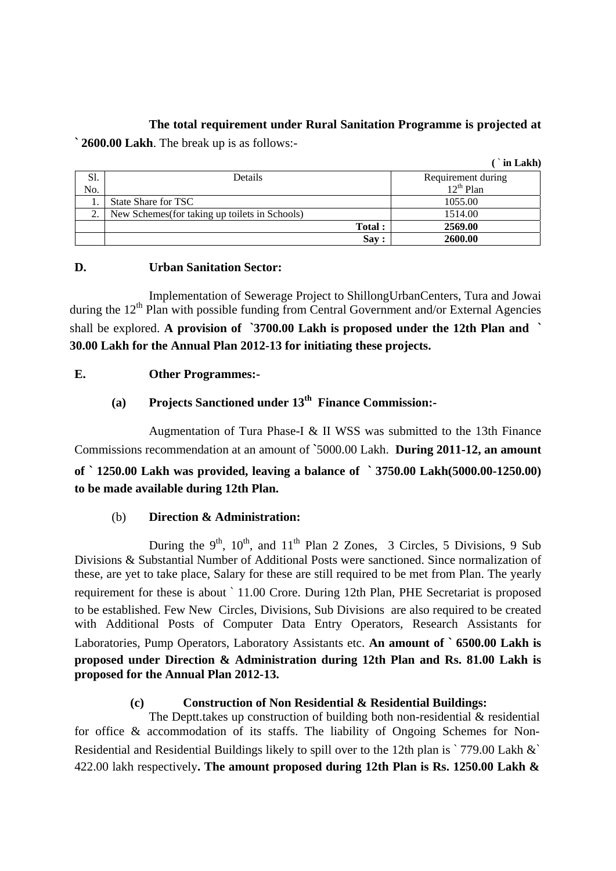## **The total requirement under Rural Sanitation Programme is projected at**

 $($  $\cdot$ **in** Lakh)

**` 2600.00 Lakh**. The break up is as follows:-

|     |                                                |        | III LANII          |
|-----|------------------------------------------------|--------|--------------------|
| Sl. | Details                                        |        | Requirement during |
| No. |                                                |        | $12^{th}$ Plan     |
|     | State Share for TSC                            |        | 1055.00            |
| ◠   | New Schemes (for taking up toilets in Schools) |        | 1514.00            |
|     |                                                | Total: | 2569.00            |
|     |                                                | Sav:   | 2600.00            |

### **D. Urban Sanitation Sector:**

Implementation of Sewerage Project to ShillongUrbanCenters, Tura and Jowai during the 12<sup>th</sup> Plan with possible funding from Central Government and/or External Agencies shall be explored. **A provision of `3700.00 Lakh is proposed under the 12th Plan and ` 30.00 Lakh for the Annual Plan 2012-13 for initiating these projects.** 

## **E. Other Programmes:-**

# **(a) Projects Sanctioned under 13th Finance Commission:-**

Augmentation of Tura Phase-I & II WSS was submitted to the 13th Finance Commissions recommendation at an amount of **`**5000.00 Lakh. **During 2011-12, an amount** 

# **of ` 1250.00 Lakh was provided, leaving a balance of ` 3750.00 Lakh(5000.00-1250.00) to be made available during 12th Plan.**

# (b) **Direction & Administration:**

During the  $9<sup>th</sup>$ ,  $10<sup>th</sup>$ , and  $11<sup>th</sup>$  Plan 2 Zones, 3 Circles, 5 Divisions, 9 Sub Divisions & Substantial Number of Additional Posts were sanctioned. Since normalization of these, are yet to take place, Salary for these are still required to be met from Plan. The yearly requirement for these is about ` 11.00 Crore. During 12th Plan, PHE Secretariat is proposed to be established. Few New Circles, Divisions, Sub Divisions are also required to be created with Additional Posts of Computer Data Entry Operators, Research Assistants for Laboratories, Pump Operators, Laboratory Assistants etc. **An amount of ` 6500.00 Lakh is proposed under Direction & Administration during 12th Plan and Rs. 81.00 Lakh is proposed for the Annual Plan 2012-13.**

### **(c) Construction of Non Residential & Residential Buildings:**

 The Deptt.takes up construction of building both non-residential & residential for office & accommodation of its staffs. The liability of Ongoing Schemes for Non-Residential and Residential Buildings likely to spill over to the 12th plan is `779.00 Lakh &` 422.00 lakh respectively**. The amount proposed during 12th Plan is Rs. 1250.00 Lakh &**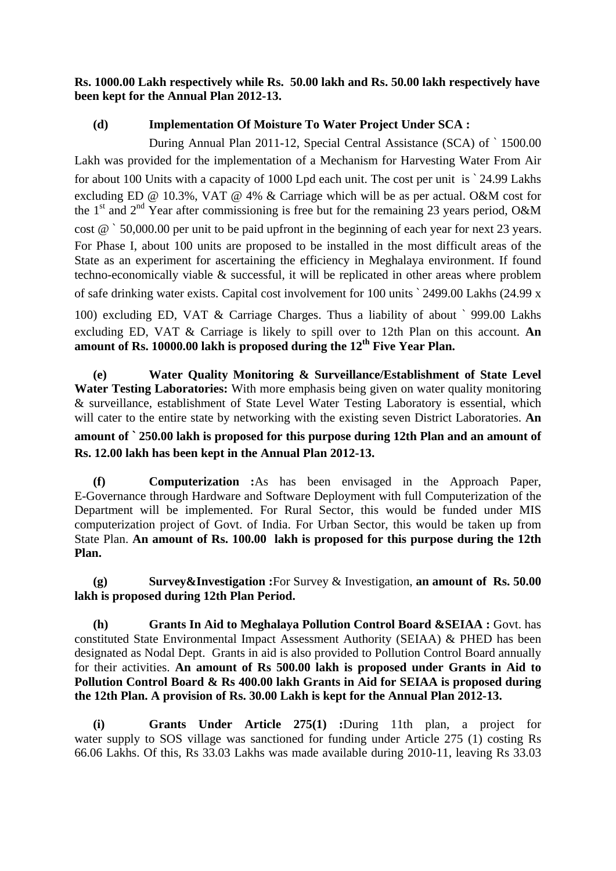**Rs. 1000.00 Lakh respectively while Rs. 50.00 lakh and Rs. 50.00 lakh respectively have been kept for the Annual Plan 2012-13.**

### **(d) Implementation Of Moisture To Water Project Under SCA :**

 During Annual Plan 2011-12, Special Central Assistance (SCA) of ` 1500.00 Lakh was provided for the implementation of a Mechanism for Harvesting Water From Air for about 100 Units with a capacity of 1000 Lpd each unit. The cost per unit is ` 24.99 Lakhs excluding ED @ 10.3%, VAT @ 4% & Carriage which will be as per actual. O&M cost for the 1<sup>st</sup> and 2<sup>nd</sup> Year after commissioning is free but for the remaining 23 years period, O&M cost @ ` 50,000.00 per unit to be paid upfront in the beginning of each year for next 23 years. For Phase I, about 100 units are proposed to be installed in the most difficult areas of the State as an experiment for ascertaining the efficiency in Meghalaya environment. If found techno-economically viable & successful, it will be replicated in other areas where problem of safe drinking water exists. Capital cost involvement for 100 units ` 2499.00 Lakhs (24.99 x 100) excluding ED, VAT & Carriage Charges. Thus a liability of about ` 999.00 Lakhs

excluding ED, VAT & Carriage is likely to spill over to 12th Plan on this account. **An amount of Rs. 10000.00 lakh is proposed during the 12th Five Year Plan.** 

**(e) Water Quality Monitoring & Surveillance/Establishment of State Level Water Testing Laboratories:** With more emphasis being given on water quality monitoring & surveillance, establishment of State Level Water Testing Laboratory is essential, which will cater to the entire state by networking with the existing seven District Laboratories. **An** 

# **amount of ` 250.00 lakh is proposed for this purpose during 12th Plan and an amount of Rs. 12.00 lakh has been kept in the Annual Plan 2012-13.**

**(f) Computerization :**As has been envisaged in the Approach Paper, E-Governance through Hardware and Software Deployment with full Computerization of the Department will be implemented. For Rural Sector, this would be funded under MIS computerization project of Govt. of India. For Urban Sector, this would be taken up from State Plan. **An amount of Rs. 100.00 lakh is proposed for this purpose during the 12th Plan.** 

**(g) Survey&Investigation :**For Survey & Investigation, **an amount of Rs. 50.00 lakh is proposed during 12th Plan Period.** 

**(h) Grants In Aid to Meghalaya Pollution Control Board &SEIAA :** Govt. has constituted State Environmental Impact Assessment Authority (SEIAA) & PHED has been designated as Nodal Dept. Grants in aid is also provided to Pollution Control Board annually for their activities. **An amount of Rs 500.00 lakh is proposed under Grants in Aid to Pollution Control Board & Rs 400.00 lakh Grants in Aid for SEIAA is proposed during the 12th Plan. A provision of Rs. 30.00 Lakh is kept for the Annual Plan 2012-13.** 

**(i) Grants Under Article 275(1) :**During 11th plan, a project for water supply to SOS village was sanctioned for funding under Article 275 (1) costing Rs 66.06 Lakhs. Of this, Rs 33.03 Lakhs was made available during 2010-11, leaving Rs 33.03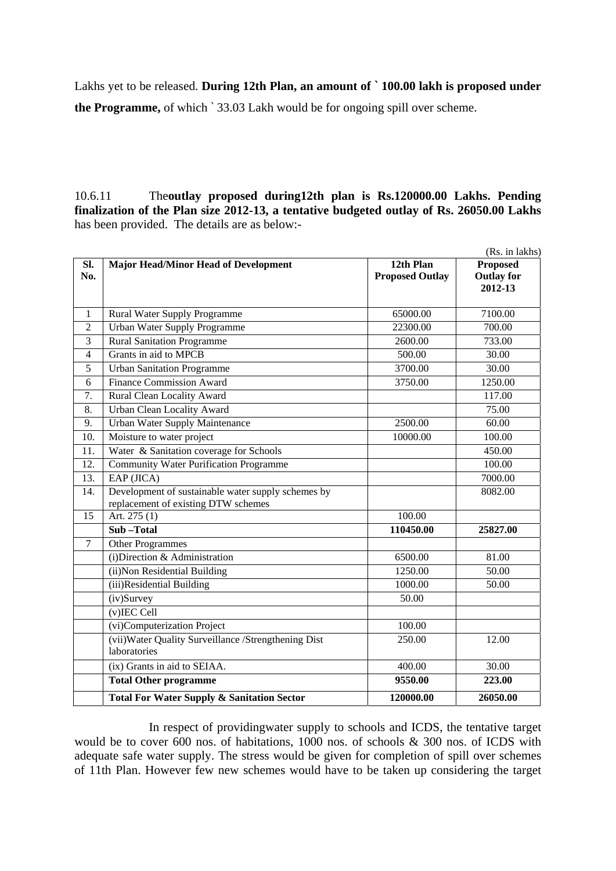Lakhs yet to be released. **During 12th Plan, an amount of ` 100.00 lakh is proposed under the Programme,** of which ` 33.03 Lakh would be for ongoing spill over scheme.

10.6.11 The**outlay proposed during12th plan is Rs.120000.00 Lakhs. Pending finalization of the Plan size 2012-13, a tentative budgeted outlay of Rs. 26050.00 Lakhs**  has been provided. The details are as below:-

|                |                                                                                           |                                     | (Rs. in lakhs)                                  |
|----------------|-------------------------------------------------------------------------------------------|-------------------------------------|-------------------------------------------------|
| Sl.<br>No.     | <b>Major Head/Minor Head of Development</b>                                               | 12th Plan<br><b>Proposed Outlay</b> | <b>Proposed</b><br><b>Outlay for</b><br>2012-13 |
| 1              | Rural Water Supply Programme                                                              | 65000.00                            | 7100.00                                         |
| $\overline{2}$ | <b>Urban Water Supply Programme</b>                                                       | 22300.00                            | 700.00                                          |
| 3              | <b>Rural Sanitation Programme</b>                                                         | 2600.00                             | 733.00                                          |
| $\overline{4}$ | Grants in aid to MPCB                                                                     | 500.00                              | 30.00                                           |
| 5              | <b>Urban Sanitation Programme</b>                                                         | 3700.00                             | 30.00                                           |
| 6              | <b>Finance Commission Award</b>                                                           | 3750.00                             | 1250.00                                         |
| 7.             | Rural Clean Locality Award                                                                |                                     | 117.00                                          |
| 8.             | <b>Urban Clean Locality Award</b>                                                         |                                     | 75.00                                           |
| 9.             | <b>Urban Water Supply Maintenance</b>                                                     | 2500.00                             | 60.00                                           |
| 10.            | Moisture to water project                                                                 | 10000.00                            | 100.00                                          |
| 11.            | Water & Sanitation coverage for Schools                                                   |                                     | 450.00                                          |
| 12.            | Community Water Purification Programme                                                    |                                     | 100.00                                          |
| 13.            | $EAP$ (JICA)                                                                              |                                     | 7000.00                                         |
| 14.            | Development of sustainable water supply schemes by<br>replacement of existing DTW schemes |                                     | 8082.00                                         |
| 15             | Art. 275 (1)                                                                              | 100.00                              |                                                 |
|                | Sub-Total                                                                                 | 110450.00                           | 25827.00                                        |
| $\tau$         | <b>Other Programmes</b>                                                                   |                                     |                                                 |
|                | $(i)$ Direction & Administration                                                          | 6500.00                             | 81.00                                           |
|                | (ii) Non Residential Building                                                             | 1250.00                             | 50.00                                           |
|                | (iii)Residential Building                                                                 | 1000.00                             | 50.00                                           |
|                | (iv)Survey                                                                                | 50.00                               |                                                 |
|                | $(v)$ IEC Cell                                                                            |                                     |                                                 |
|                | (vi)Computerization Project                                                               | 100.00                              |                                                 |
|                | (vii) Water Quality Surveillance / Strengthening Dist<br>laboratories                     | 250.00                              | 12.00                                           |
|                | (ix) Grants in aid to SEIAA.                                                              | 400.00                              | 30.00                                           |
|                | <b>Total Other programme</b>                                                              | 9550.00                             | 223.00                                          |
|                | <b>Total For Water Supply &amp; Sanitation Sector</b>                                     | 120000.00                           | 26050.00                                        |

In respect of providingwater supply to schools and ICDS, the tentative target would be to cover 600 nos. of habitations, 1000 nos. of schools & 300 nos. of ICDS with adequate safe water supply. The stress would be given for completion of spill over schemes of 11th Plan. However few new schemes would have to be taken up considering the target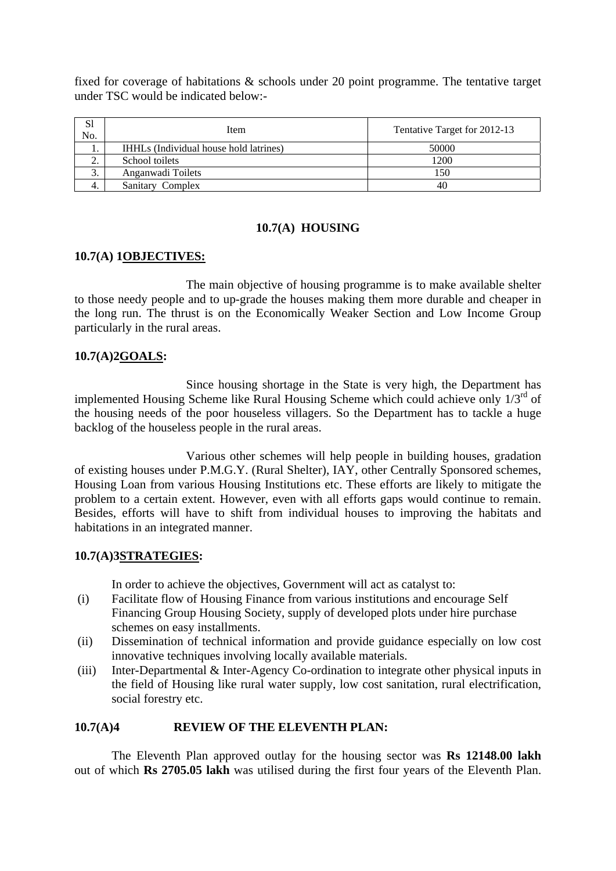fixed for coverage of habitations & schools under 20 point programme. The tentative target under TSC would be indicated below:-

| S1<br>No. | Item                                   | Tentative Target for 2012-13 |  |  |  |
|-----------|----------------------------------------|------------------------------|--|--|--|
| . .       | IHHLs (Individual house hold latrines) | 50000                        |  |  |  |
| ٠.        | School toilets                         | 1200                         |  |  |  |
| J.        | Anganwadi Toilets                      | 150                          |  |  |  |
|           | Sanitary Complex                       | 40                           |  |  |  |

#### **10.7(A) HOUSING**

#### **10.7(A) 1OBJECTIVES:**

The main objective of housing programme is to make available shelter to those needy people and to up-grade the houses making them more durable and cheaper in the long run. The thrust is on the Economically Weaker Section and Low Income Group particularly in the rural areas.

#### **10.7(A)2GOALS:**

 Since housing shortage in the State is very high, the Department has implemented Housing Scheme like Rural Housing Scheme which could achieve only  $1/3<sup>rd</sup>$  of the housing needs of the poor houseless villagers. So the Department has to tackle a huge backlog of the houseless people in the rural areas.

Various other schemes will help people in building houses, gradation of existing houses under P.M.G.Y. (Rural Shelter), IAY, other Centrally Sponsored schemes, Housing Loan from various Housing Institutions etc. These efforts are likely to mitigate the problem to a certain extent. However, even with all efforts gaps would continue to remain. Besides, efforts will have to shift from individual houses to improving the habitats and habitations in an integrated manner.

#### **10.7(A)3STRATEGIES:**

In order to achieve the objectives, Government will act as catalyst to:

- (i) Facilitate flow of Housing Finance from various institutions and encourage Self Financing Group Housing Society, supply of developed plots under hire purchase schemes on easy installments.
- (ii) Dissemination of technical information and provide guidance especially on low cost innovative techniques involving locally available materials.
- (iii) Inter-Departmental & Inter-Agency Co-ordination to integrate other physical inputs in the field of Housing like rural water supply, low cost sanitation, rural electrification, social forestry etc.

### **10.7(A)4 REVIEW OF THE ELEVENTH PLAN:**

The Eleventh Plan approved outlay for the housing sector was **Rs 12148.00 lakh**  out of which **Rs 2705.05 lakh** was utilised during the first four years of the Eleventh Plan.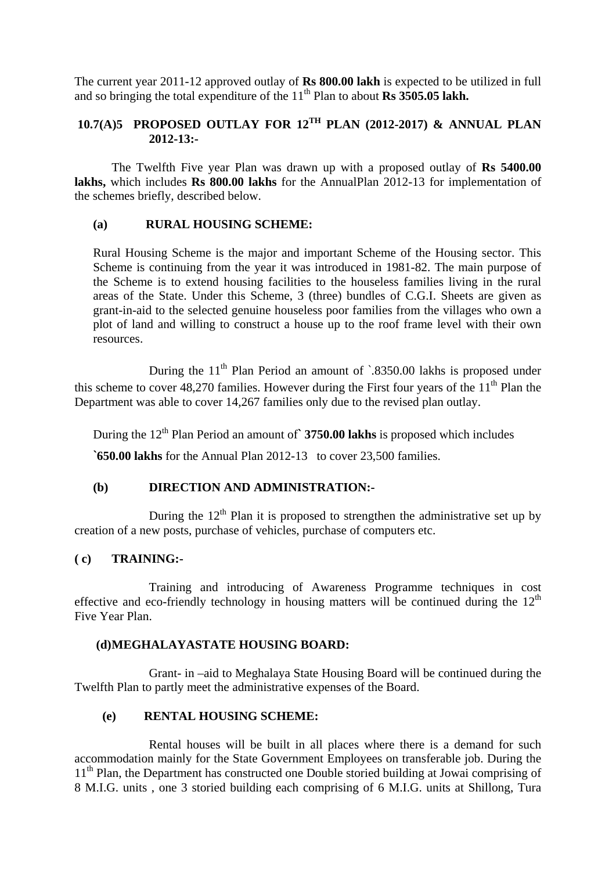The current year 2011-12 approved outlay of **Rs 800.00 lakh** is expected to be utilized in full and so bringing the total expenditure of the 11<sup>th</sup> Plan to about **Rs 3505.05 lakh.** 

### **10.7(A)5 PROPOSED OUTLAY FOR 12TH PLAN (2012-2017) & ANNUAL PLAN 2012-13:-**

The Twelfth Five year Plan was drawn up with a proposed outlay of **Rs 5400.00**  lakhs, which includes Rs 800.00 lakhs for the AnnualPlan 2012-13 for implementation of the schemes briefly, described below.

### **(a) RURAL HOUSING SCHEME:**

Rural Housing Scheme is the major and important Scheme of the Housing sector. This Scheme is continuing from the year it was introduced in 1981-82. The main purpose of the Scheme is to extend housing facilities to the houseless families living in the rural areas of the State. Under this Scheme, 3 (three) bundles of C.G.I. Sheets are given as grant-in-aid to the selected genuine houseless poor families from the villages who own a plot of land and willing to construct a house up to the roof frame level with their own resources.

During the  $11<sup>th</sup>$  Plan Period an amount of  $\cdot$ 8350.00 lakhs is proposed under this scheme to cover 48,270 families. However during the First four years of the  $11<sup>th</sup>$  Plan the Department was able to cover 14,267 families only due to the revised plan outlay.

During the 12th Plan Period an amount of**` 3750.00 lakhs** is proposed which includes

**`650.00 lakhs** for the Annual Plan 2012-13 to cover 23,500 families.

### **(b) DIRECTION AND ADMINISTRATION:-**

During the  $12<sup>th</sup>$  Plan it is proposed to strengthen the administrative set up by creation of a new posts, purchase of vehicles, purchase of computers etc.

#### **( c) TRAINING:-**

Training and introducing of Awareness Programme techniques in cost effective and eco-friendly technology in housing matters will be continued during the  $12<sup>th</sup>$ Five Year Plan.

#### **(d) MEGHALAYASTATE HOUSING BOARD:**

Grant- in –aid to Meghalaya State Housing Board will be continued during the Twelfth Plan to partly meet the administrative expenses of the Board.

### **(e) RENTAL HOUSING SCHEME:**

Rental houses will be built in all places where there is a demand for such accommodation mainly for the State Government Employees on transferable job. During the 11<sup>th</sup> Plan, the Department has constructed one Double storied building at Jowai comprising of 8 M.I.G. units , one 3 storied building each comprising of 6 M.I.G. units at Shillong, Tura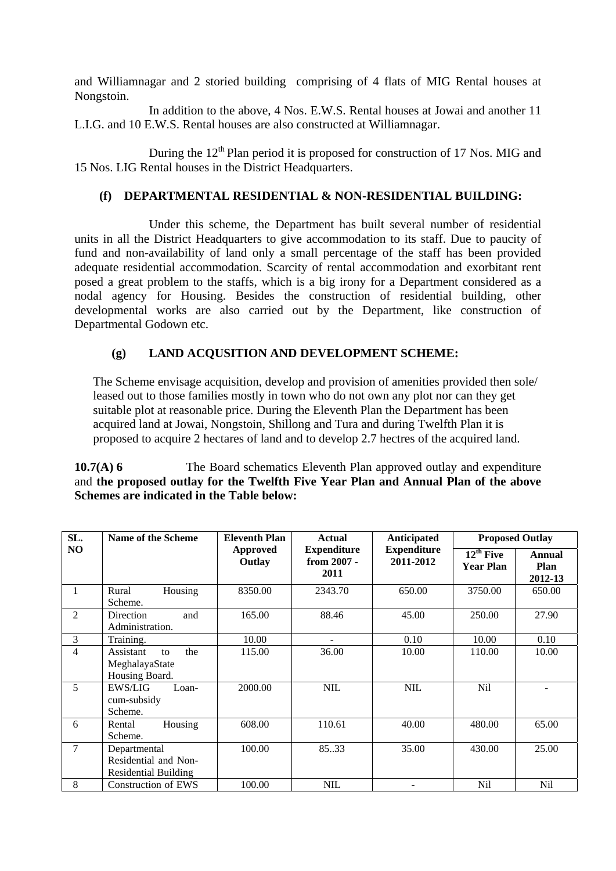and Williamnagar and 2 storied building comprising of 4 flats of MIG Rental houses at Nongstoin.

In addition to the above, 4 Nos. E.W.S. Rental houses at Jowai and another 11 L.I.G. and 10 E.W.S. Rental houses are also constructed at Williamnagar.

During the  $12<sup>th</sup>$  Plan period it is proposed for construction of 17 Nos. MIG and 15 Nos. LIG Rental houses in the District Headquarters.

### **(f) DEPARTMENTAL RESIDENTIAL & NON-RESIDENTIAL BUILDING:**

Under this scheme, the Department has built several number of residential units in all the District Headquarters to give accommodation to its staff. Due to paucity of fund and non-availability of land only a small percentage of the staff has been provided adequate residential accommodation. Scarcity of rental accommodation and exorbitant rent posed a great problem to the staffs, which is a big irony for a Department considered as a nodal agency for Housing. Besides the construction of residential building, other developmental works are also carried out by the Department, like construction of Departmental Godown etc.

### **(g) LAND ACQUSITION AND DEVELOPMENT SCHEME:**

The Scheme envisage acquisition, develop and provision of amenities provided then sole/ leased out to those families mostly in town who do not own any plot nor can they get suitable plot at reasonable price. During the Eleventh Plan the Department has been acquired land at Jowai, Nongstoin, Shillong and Tura and during Twelfth Plan it is proposed to acquire 2 hectares of land and to develop 2.7 hectres of the acquired land.

#### **10.7(A) 6** The Board schematics Eleventh Plan approved outlay and expenditure and **the proposed outlay for the Twelfth Five Year Plan and Annual Plan of the above Schemes are indicated in the Table below:**

| SL. | Name of the Scheme                                           | <b>Eleventh Plan</b>      | <b>Actual</b>                             | <b>Anticipated</b>              | <b>Proposed Outlay</b>                               |                           |
|-----|--------------------------------------------------------------|---------------------------|-------------------------------------------|---------------------------------|------------------------------------------------------|---------------------------|
| NO  |                                                              | <b>Approved</b><br>Outlay | <b>Expenditure</b><br>from 2007 -<br>2011 | <b>Expenditure</b><br>2011-2012 | $\overline{12}^{\text{th}}$ Five<br><b>Year Plan</b> | Annual<br>Plan<br>2012-13 |
|     | Rural<br>Housing<br>Scheme.                                  | 8350.00                   | 2343.70                                   | 650.00                          | 3750.00                                              | 650.00                    |
| 2   | Direction<br>and<br>Administration.                          | 165.00                    | 88.46                                     | 45.00                           | 250.00                                               | 27.90                     |
| 3   | Training.                                                    | 10.00                     | $\equiv$                                  | 0.10                            | 10.00                                                | 0.10                      |
| 4   | the<br>Assistant<br>to<br>MeghalayaState<br>Housing Board.   | 115.00                    | 36.00                                     | 10.00                           | 110.00                                               | 10.00                     |
| 5   | <b>EWS/LIG</b><br>Loan-<br>cum-subsidy<br>Scheme.            | 2000.00                   | <b>NIL</b>                                | <b>NIL</b>                      | <b>Nil</b>                                           |                           |
| 6   | Housing<br>Rental<br>Scheme.                                 | 608.00                    | 110.61                                    | 40.00                           | 480.00                                               | 65.00                     |
| 7   | Departmental<br>Residential and Non-<br>Residential Building | 100.00                    | 85.33                                     | 35.00                           | 430.00                                               | 25.00                     |
| 8   | <b>Construction of EWS</b>                                   | 100.00                    | <b>NIL</b>                                |                                 | <b>Nil</b>                                           | <b>Nil</b>                |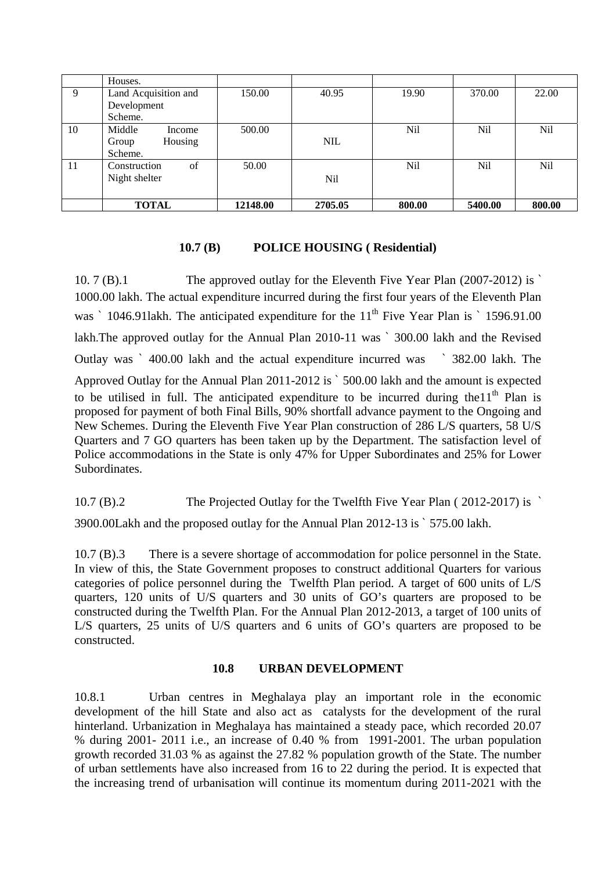|    | Houses.              |          |            |        |         |        |
|----|----------------------|----------|------------|--------|---------|--------|
| 9  | Land Acquisition and | 150.00   | 40.95      | 19.90  | 370.00  | 22.00  |
|    | Development          |          |            |        |         |        |
|    | Scheme.              |          |            |        |         |        |
| 10 | Middle<br>Income     | 500.00   |            | Nil    | Nil     | Nil    |
|    | Housing<br>Group     |          | <b>NIL</b> |        |         |        |
|    | Scheme.              |          |            |        |         |        |
| 11 | of<br>Construction   | 50.00    |            | Nil    | Nil     | Nil    |
|    | Night shelter        |          | <b>Nil</b> |        |         |        |
|    |                      |          |            |        |         |        |
|    | <b>TOTAL</b>         | 12148.00 | 2705.05    | 800.00 | 5400.00 | 800.00 |

### **10.7 (B) POLICE HOUSING ( Residential)**

10. 7 (B).1 The approved outlay for the Eleventh Five Year Plan (2007-2012) is ` 1000.00 lakh. The actual expenditure incurred during the first four years of the Eleventh Plan was  $\degree$  1046.911akh. The anticipated expenditure for the 11<sup>th</sup> Five Year Plan is  $\degree$  1596.91.00 lakh.The approved outlay for the Annual Plan 2010-11 was ` 300.00 lakh and the Revised Outlay was ` 400.00 lakh and the actual expenditure incurred was ` 382.00 lakh. The Approved Outlay for the Annual Plan 2011-2012 is ` 500.00 lakh and the amount is expected to be utilised in full. The anticipated expenditure to be incurred during the  $11<sup>th</sup>$  Plan is proposed for payment of both Final Bills, 90% shortfall advance payment to the Ongoing and New Schemes. During the Eleventh Five Year Plan construction of 286 L/S quarters, 58 U/S Quarters and 7 GO quarters has been taken up by the Department. The satisfaction level of Police accommodations in the State is only 47% for Upper Subordinates and 25% for Lower Subordinates.

10.7 (B).2 The Projected Outlay for the Twelfth Five Year Plan ( 2012-2017) is `

3900.00Lakh and the proposed outlay for the Annual Plan 2012-13 is ` 575.00 lakh.

10.7 (B).3 There is a severe shortage of accommodation for police personnel in the State. In view of this, the State Government proposes to construct additional Quarters for various categories of police personnel during the Twelfth Plan period. A target of 600 units of L/S quarters, 120 units of U/S quarters and 30 units of GO's quarters are proposed to be constructed during the Twelfth Plan. For the Annual Plan 2012-2013, a target of 100 units of L/S quarters, 25 units of U/S quarters and 6 units of GO's quarters are proposed to be constructed.

#### **10.8 URBAN DEVELOPMENT**

10.8.1 Urban centres in Meghalaya play an important role in the economic development of the hill State and also act as catalysts for the development of the rural hinterland. Urbanization in Meghalaya has maintained a steady pace, which recorded 20.07 % during 2001- 2011 i.e., an increase of 0.40 % from 1991-2001. The urban population growth recorded 31.03 % as against the 27.82 % population growth of the State. The number of urban settlements have also increased from 16 to 22 during the period. It is expected that the increasing trend of urbanisation will continue its momentum during 2011-2021 with the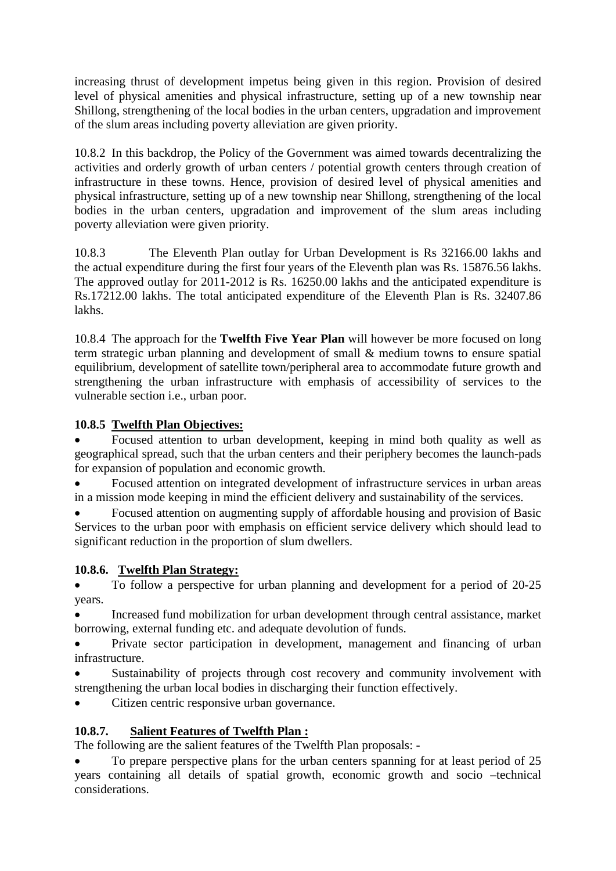increasing thrust of development impetus being given in this region. Provision of desired level of physical amenities and physical infrastructure, setting up of a new township near Shillong, strengthening of the local bodies in the urban centers, upgradation and improvement of the slum areas including poverty alleviation are given priority.

10.8.2 In this backdrop, the Policy of the Government was aimed towards decentralizing the activities and orderly growth of urban centers / potential growth centers through creation of infrastructure in these towns. Hence, provision of desired level of physical amenities and physical infrastructure, setting up of a new township near Shillong, strengthening of the local bodies in the urban centers, upgradation and improvement of the slum areas including poverty alleviation were given priority.

10.8.3 The Eleventh Plan outlay for Urban Development is Rs 32166.00 lakhs and the actual expenditure during the first four years of the Eleventh plan was Rs. 15876.56 lakhs. The approved outlay for 2011-2012 is Rs. 16250.00 lakhs and the anticipated expenditure is Rs.17212.00 lakhs. The total anticipated expenditure of the Eleventh Plan is Rs. 32407.86 lakhs.

10.8.4 The approach for the **Twelfth Five Year Plan** will however be more focused on long term strategic urban planning and development of small & medium towns to ensure spatial equilibrium, development of satellite town/peripheral area to accommodate future growth and strengthening the urban infrastructure with emphasis of accessibility of services to the vulnerable section i.e., urban poor.

## **10.8.5 Twelfth Plan Objectives:**

 Focused attention to urban development, keeping in mind both quality as well as geographical spread, such that the urban centers and their periphery becomes the launch-pads for expansion of population and economic growth.

 Focused attention on integrated development of infrastructure services in urban areas in a mission mode keeping in mind the efficient delivery and sustainability of the services.

 Focused attention on augmenting supply of affordable housing and provision of Basic Services to the urban poor with emphasis on efficient service delivery which should lead to significant reduction in the proportion of slum dwellers.

### **10.8.6. Twelfth Plan Strategy:**

• To follow a perspective for urban planning and development for a period of 20-25 years.

 Increased fund mobilization for urban development through central assistance, market borrowing, external funding etc. and adequate devolution of funds.

 Private sector participation in development, management and financing of urban infrastructure.

 Sustainability of projects through cost recovery and community involvement with strengthening the urban local bodies in discharging their function effectively.

Citizen centric responsive urban governance.

# **10.8.7. Salient Features of Twelfth Plan :**

The following are the salient features of the Twelfth Plan proposals: -

 To prepare perspective plans for the urban centers spanning for at least period of 25 years containing all details of spatial growth, economic growth and socio –technical considerations.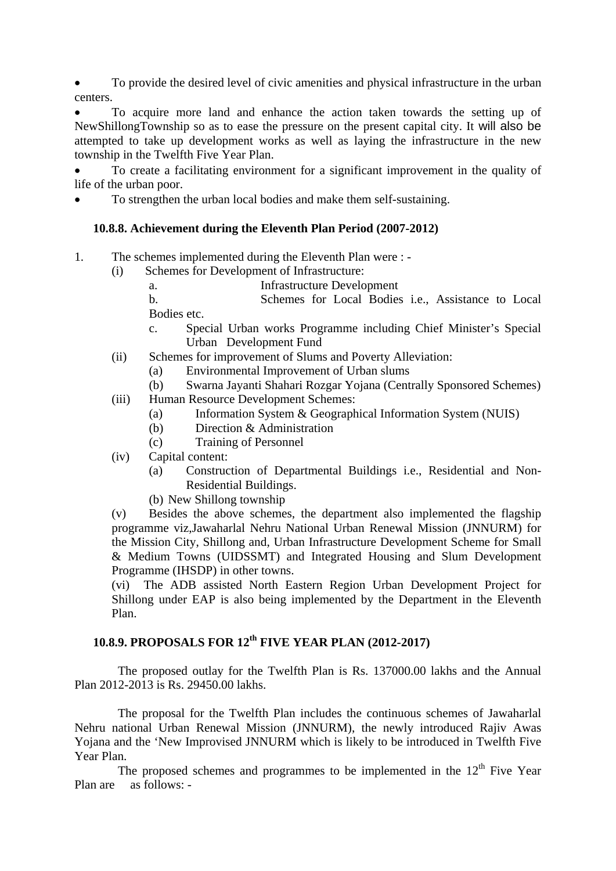To provide the desired level of civic amenities and physical infrastructure in the urban centers.

 To acquire more land and enhance the action taken towards the setting up of NewShillongTownship so as to ease the pressure on the present capital city. It will also be attempted to take up development works as well as laying the infrastructure in the new township in the Twelfth Five Year Plan.

 To create a facilitating environment for a significant improvement in the quality of life of the urban poor.

To strengthen the urban local bodies and make them self-sustaining.

#### **10.8.8. Achievement during the Eleventh Plan Period (2007-2012)**

- 1. The schemes implemented during the Eleventh Plan were :
	- (i) Schemes for Development of Infrastructure:
		- a. Infrastructure Development

b. Schemes for Local Bodies i.e., Assistance to Local Bodies etc.

- c. Special Urban works Programme including Chief Minister's Special Urban Development Fund
- (ii) Schemes for improvement of Slums and Poverty Alleviation:
	- (a) Environmental Improvement of Urban slums
	- (b) Swarna Jayanti Shahari Rozgar Yojana (Centrally Sponsored Schemes)
- (iii) Human Resource Development Schemes:
	- (a) Information System & Geographical Information System (NUIS)
	- (b) Direction & Administration
	- (c) Training of Personnel
- (iv) Capital content:
	- (a) Construction of Departmental Buildings i.e., Residential and Non-Residential Buildings.
	- (b) New Shillong township

(v) Besides the above schemes, the department also implemented the flagship programme viz,Jawaharlal Nehru National Urban Renewal Mission (JNNURM) for the Mission City, Shillong and, Urban Infrastructure Development Scheme for Small & Medium Towns (UIDSSMT) and Integrated Housing and Slum Development Programme (IHSDP) in other towns.

(vi) The ADB assisted North Eastern Region Urban Development Project for Shillong under EAP is also being implemented by the Department in the Eleventh Plan.

# **10.8.9. PROPOSALS FOR 12th FIVE YEAR PLAN (2012-2017)**

 The proposed outlay for the Twelfth Plan is Rs. 137000.00 lakhs and the Annual Plan 2012-2013 is Rs. 29450.00 lakhs.

 The proposal for the Twelfth Plan includes the continuous schemes of Jawaharlal Nehru national Urban Renewal Mission (JNNURM), the newly introduced Rajiv Awas Yojana and the 'New Improvised JNNURM which is likely to be introduced in Twelfth Five Year Plan.

The proposed schemes and programmes to be implemented in the  $12<sup>th</sup>$  Five Year Plan are as follows: -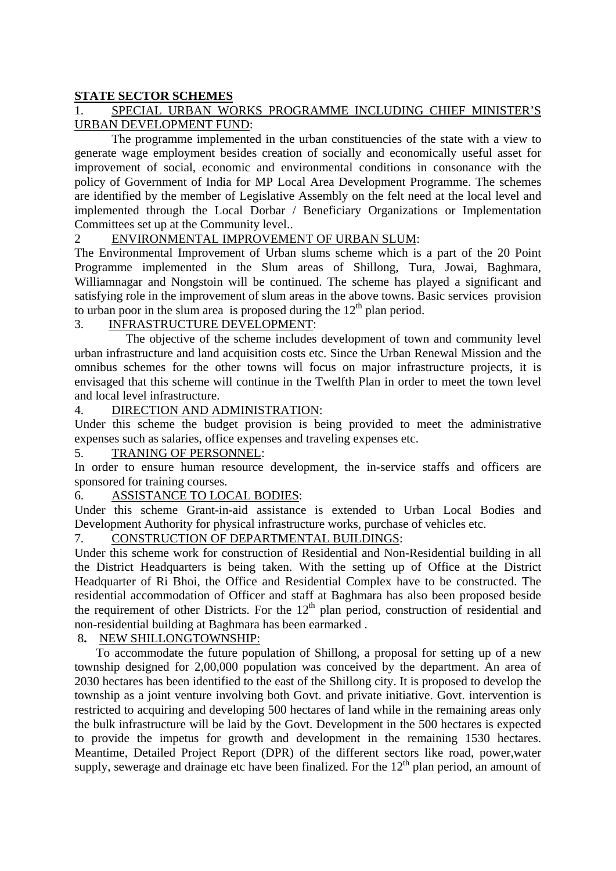### **STATE SECTOR SCHEMES**

### 1. SPECIAL URBAN WORKS PROGRAMME INCLUDING CHIEF MINISTER'S URBAN DEVELOPMENT FUND:

 The programme implemented in the urban constituencies of the state with a view to generate wage employment besides creation of socially and economically useful asset for improvement of social, economic and environmental conditions in consonance with the policy of Government of India for MP Local Area Development Programme. The schemes are identified by the member of Legislative Assembly on the felt need at the local level and implemented through the Local Dorbar / Beneficiary Organizations or Implementation Committees set up at the Community level..

### 2 ENVIRONMENTAL IMPROVEMENT OF URBAN SLUM:

The Environmental Improvement of Urban slums scheme which is a part of the 20 Point Programme implemented in the Slum areas of Shillong, Tura, Jowai, Baghmara, Williamnagar and Nongstoin will be continued. The scheme has played a significant and satisfying role in the improvement of slum areas in the above towns. Basic services provision to urban poor in the slum area is proposed during the  $12<sup>th</sup>$  plan period.

### 3. INFRASTRUCTURE DEVELOPMENT:

 The objective of the scheme includes development of town and community level urban infrastructure and land acquisition costs etc. Since the Urban Renewal Mission and the omnibus schemes for the other towns will focus on major infrastructure projects, it is envisaged that this scheme will continue in the Twelfth Plan in order to meet the town level and local level infrastructure.

#### 4. DIRECTION AND ADMINISTRATION:

Under this scheme the budget provision is being provided to meet the administrative expenses such as salaries, office expenses and traveling expenses etc.

#### 5. TRANING OF PERSONNEL:

In order to ensure human resource development, the in-service staffs and officers are sponsored for training courses.

#### 6. ASSISTANCE TO LOCAL BODIES:

Under this scheme Grant-in-aid assistance is extended to Urban Local Bodies and Development Authority for physical infrastructure works, purchase of vehicles etc.

## 7. CONSTRUCTION OF DEPARTMENTAL BUILDINGS:

Under this scheme work for construction of Residential and Non-Residential building in all the District Headquarters is being taken. With the setting up of Office at the District Headquarter of Ri Bhoi, the Office and Residential Complex have to be constructed. The residential accommodation of Officer and staff at Baghmara has also been proposed beside the requirement of other Districts. For the  $12<sup>th</sup>$  plan period, construction of residential and non-residential building at Baghmara has been earmarked .

#### 8**.** NEW SHILLONGTOWNSHIP:

 To accommodate the future population of Shillong, a proposal for setting up of a new township designed for 2,00,000 population was conceived by the department. An area of 2030 hectares has been identified to the east of the Shillong city. It is proposed to develop the township as a joint venture involving both Govt. and private initiative. Govt. intervention is restricted to acquiring and developing 500 hectares of land while in the remaining areas only the bulk infrastructure will be laid by the Govt. Development in the 500 hectares is expected to provide the impetus for growth and development in the remaining 1530 hectares. Meantime, Detailed Project Report (DPR) of the different sectors like road, power,water supply, sewerage and drainage etc have been finalized. For the  $12<sup>th</sup>$  plan period, an amount of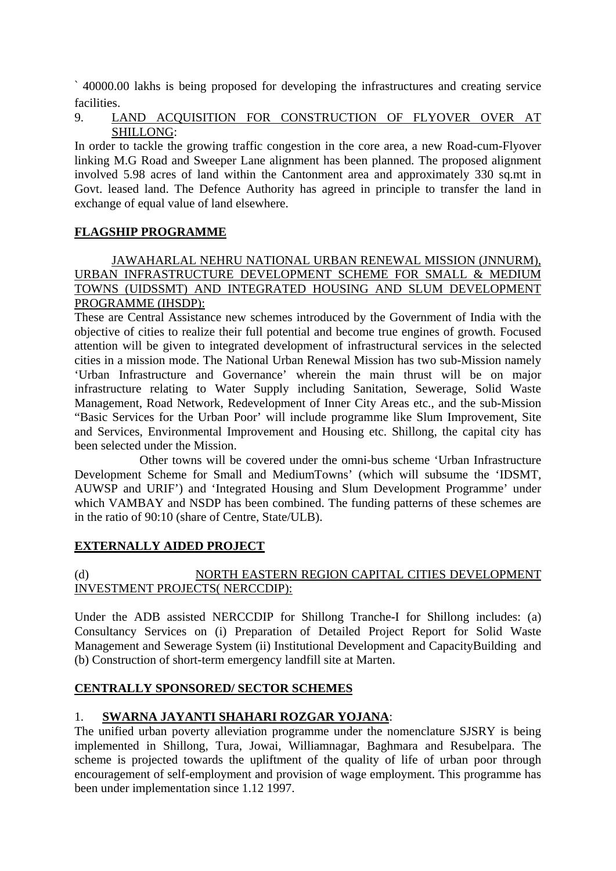` 40000.00 lakhs is being proposed for developing the infrastructures and creating service facilities.

### 9. LAND ACQUISITION FOR CONSTRUCTION OF FLYOVER OVER AT SHILLONG:

In order to tackle the growing traffic congestion in the core area, a new Road-cum-Flyover linking M.G Road and Sweeper Lane alignment has been planned. The proposed alignment involved 5.98 acres of land within the Cantonment area and approximately 330 sq.mt in Govt. leased land. The Defence Authority has agreed in principle to transfer the land in exchange of equal value of land elsewhere.

## **FLAGSHIP PROGRAMME**

### JAWAHARLAL NEHRU NATIONAL URBAN RENEWAL MISSION (JNNURM), URBAN INFRASTRUCTURE DEVELOPMENT SCHEME FOR SMALL & MEDIUM TOWNS (UIDSSMT) AND INTEGRATED HOUSING AND SLUM DEVELOPMENT PROGRAMME (IHSDP):

These are Central Assistance new schemes introduced by the Government of India with the objective of cities to realize their full potential and become true engines of growth. Focused attention will be given to integrated development of infrastructural services in the selected cities in a mission mode. The National Urban Renewal Mission has two sub-Mission namely 'Urban Infrastructure and Governance' wherein the main thrust will be on major infrastructure relating to Water Supply including Sanitation, Sewerage, Solid Waste Management, Road Network, Redevelopment of Inner City Areas etc., and the sub-Mission "Basic Services for the Urban Poor' will include programme like Slum Improvement, Site and Services, Environmental Improvement and Housing etc. Shillong, the capital city has been selected under the Mission.

 Other towns will be covered under the omni-bus scheme 'Urban Infrastructure Development Scheme for Small and MediumTowns' (which will subsume the 'IDSMT, AUWSP and URIF') and 'Integrated Housing and Slum Development Programme' under which VAMBAY and NSDP has been combined. The funding patterns of these schemes are in the ratio of 90:10 (share of Centre, State/ULB).

### **EXTERNALLY AIDED PROJECT**

## (d) NORTH EASTERN REGION CAPITAL CITIES DEVELOPMENT INVESTMENT PROJECTS( NERCCDIP):

Under the ADB assisted NERCCDIP for Shillong Tranche-I for Shillong includes: (a) Consultancy Services on (i) Preparation of Detailed Project Report for Solid Waste Management and Sewerage System (ii) Institutional Development and CapacityBuilding and (b) Construction of short-term emergency landfill site at Marten.

### **CENTRALLY SPONSORED/ SECTOR SCHEMES**

### 1. **SWARNA JAYANTI SHAHARI ROZGAR YOJANA**:

The unified urban poverty alleviation programme under the nomenclature SJSRY is being implemented in Shillong, Tura, Jowai, Williamnagar, Baghmara and Resubelpara. The scheme is projected towards the upliftment of the quality of life of urban poor through encouragement of self-employment and provision of wage employment. This programme has been under implementation since 1.12 1997.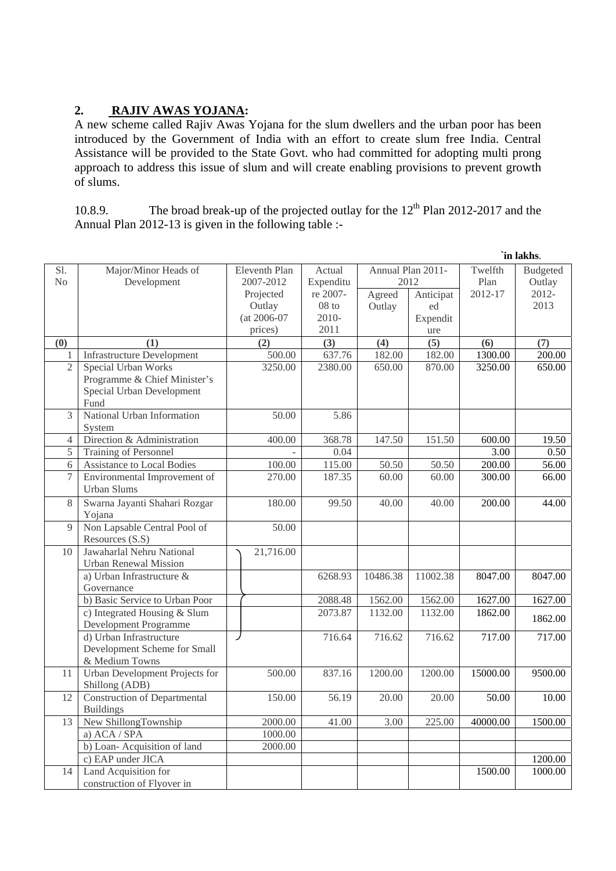# **2. RAJIV AWAS YOJANA:**

A new scheme called Rajiv Awas Yojana for the slum dwellers and the urban poor has been introduced by the Government of India with an effort to create slum free India. Central Assistance will be provided to the State Govt. who had committed for adopting multi prong approach to address this issue of slum and will create enabling provisions to prevent growth of slums.

10.8.9. The broad break-up of the projected outlay for the  $12<sup>th</sup>$  Plan 2012-2017 and the Annual Plan 2012-13 is given in the following table :-

|                |                                      |               |           |                   |           |          | `in lakhs.      |
|----------------|--------------------------------------|---------------|-----------|-------------------|-----------|----------|-----------------|
| Sl.            | Major/Minor Heads of                 | Eleventh Plan | Actual    | Annual Plan 2011- |           | Twelfth  | <b>Budgeted</b> |
| N <sub>0</sub> | Development                          | 2007-2012     | Expenditu | 2012              |           | Plan     | Outlay          |
|                |                                      | Projected     | re 2007-  | Agreed            | Anticipat | 2012-17  | $2012 -$        |
|                |                                      | Outlay        | $08$ to   | Outlay            | ed        |          | 2013            |
|                |                                      | (at 2006-07   | 2010-     |                   | Expendit  |          |                 |
|                |                                      | prices)       | 2011      |                   | ure       |          |                 |
| (0)            | (1)                                  | (2)           | (3)       | (4)               | (5)       | (6)      | (7)             |
| 1              | <b>Infrastructure Development</b>    | 500.00        | 637.76    | 182.00            | 182.00    | 1300.00  | 200.00          |
| $\overline{2}$ | Special Urban Works                  | 3250.00       | 2380.00   | 650.00            | 870.00    | 3250.00  | 650.00          |
|                | Programme & Chief Minister's         |               |           |                   |           |          |                 |
|                | Special Urban Development            |               |           |                   |           |          |                 |
|                | Fund                                 |               |           |                   |           |          |                 |
| 3              | National Urban Information<br>System | 50.00         | 5.86      |                   |           |          |                 |
| 4              | Direction & Administration           | 400.00        | 368.78    | 147.50            | 151.50    | 600.00   | 19.50           |
| 5              | Training of Personnel                |               | 0.04      |                   |           | 3.00     | 0.50            |
| 6              | Assistance to Local Bodies           | 100.00        | 115.00    | 50.50             | 50.50     | 200.00   | 56.00           |
| 7              | Environmental Improvement of         | 270.00        | 187.35    | 60.00             | 60.00     | 300.00   | 66.00           |
|                | <b>Urban Slums</b>                   |               |           |                   |           |          |                 |
| 8              | Swarna Jayanti Shahari Rozgar        | 180.00        | 99.50     | 40.00             | 40.00     | 200.00   | 44.00           |
|                | Yojana                               |               |           |                   |           |          |                 |
| 9              | Non Lapsable Central Pool of         | 50.00         |           |                   |           |          |                 |
|                | Resources (S.S)                      |               |           |                   |           |          |                 |
| 10             | Jawaharlal Nehru National            | 21,716.00     |           |                   |           |          |                 |
|                | <b>Urban Renewal Mission</b>         |               |           |                   |           |          |                 |
|                | a) Urban Infrastructure &            |               | 6268.93   | 10486.38          | 11002.38  | 8047.00  | 8047.00         |
|                | Governance                           |               |           |                   |           |          |                 |
|                | b) Basic Service to Urban Poor       |               | 2088.48   | 1562.00           | 1562.00   | 1627.00  | 1627.00         |
|                | c) Integrated Housing & Slum         |               | 2073.87   | 1132.00           | 1132.00   | 1862.00  | 1862.00         |
|                | Development Programme                |               |           |                   |           |          |                 |
|                | d) Urban Infrastructure              |               | 716.64    | 716.62            | 716.62    | 717.00   | 717.00          |
|                | Development Scheme for Small         |               |           |                   |           |          |                 |
|                | & Medium Towns                       |               |           |                   |           |          |                 |
| 11             | Urban Development Projects for       | 500.00        | 837.16    | 1200.00           | 1200.00   | 15000.00 | 9500.00         |
|                | Shillong (ADB)                       |               |           |                   |           |          |                 |
| 12             | <b>Construction of Departmental</b>  | 150.00        | 56.19     | 20.00             | 20.00     | 50.00    | 10.00           |
|                | <b>Buildings</b>                     |               |           |                   |           |          |                 |
| 13             | New ShillongTownship                 | 2000.00       | 41.00     | 3.00              | 225.00    | 40000.00 | 1500.00         |
|                | a) ACA / SPA                         | 1000.00       |           |                   |           |          |                 |
|                | b) Loan-Acquisition of land          | 2000.00       |           |                   |           |          |                 |
|                | c) EAP under JICA                    |               |           |                   |           |          | 1200.00         |
| 14             | Land Acquisition for                 |               |           |                   |           | 1500.00  | 1000.00         |
|                | construction of Flyover in           |               |           |                   |           |          |                 |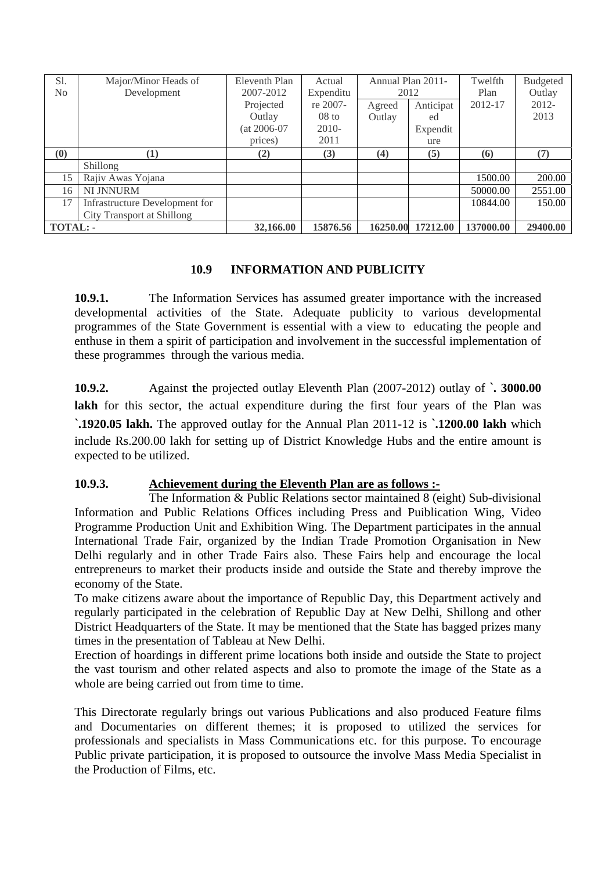| Sl.                        | Major/Minor Heads of           | Eleventh Plan  | Actual    | Annual Plan 2011- |           | Twelfth   | <b>Budgeted</b> |
|----------------------------|--------------------------------|----------------|-----------|-------------------|-----------|-----------|-----------------|
| No                         | Development                    | 2007-2012      | Expenditu | 2012              |           | Plan      | Outlay          |
|                            |                                | Projected      | re 2007-  | Agreed            | Anticipat | 2012-17   | $2012 -$        |
|                            |                                | Outlay         | $08$ to   | Outlay            | ed        |           | 2013            |
|                            |                                | $(at 2006-07)$ | $2010-$   |                   | Expendit  |           |                 |
|                            |                                | prices)        | 2011      |                   | ure       |           |                 |
| $\left( \mathbf{0}\right)$ | (1)                            | (2)            | (3)       | (4)               | (5)       | (6)       | (7)             |
|                            | Shillong                       |                |           |                   |           |           |                 |
| 15                         | Rajiv Awas Yojana              |                |           |                   |           | 1500.00   | 200.00          |
| 16                         | NI JNNURM                      |                |           |                   |           | 50000.00  | 2551.00         |
| 17                         | Infrastructure Development for |                |           |                   |           | 10844.00  | 150.00          |
|                            | City Transport at Shillong     |                |           |                   |           |           |                 |
| <b>TOTAL: -</b>            |                                | 32,166.00      | 15876.56  | 16250.00          | 17212.00  | 137000.00 | 29400.00        |

### **10.9 INFORMATION AND PUBLICITY**

**10.9.1.** The Information Services has assumed greater importance with the increased developmental activities of the State. Adequate publicity to various developmental programmes of the State Government is essential with a view to educating the people and enthuse in them a spirit of participation and involvement in the successful implementation of these programmes through the various media.

**10.9.2.** Against **t**he projected outlay Eleventh Plan (2007-2012) outlay of **`. 3000.00**  lakh for this sector, the actual expenditure during the first four years of the Plan was **`.1920.05 lakh.** The approved outlay for the Annual Plan 2011-12 is **`.1200.00 lakh** which include Rs.200.00 lakh for setting up of District Knowledge Hubs and the entire amount is expected to be utilized.

### **10.9.3. Achievement during the Eleventh Plan are as follows :-**

The Information & Public Relations sector maintained 8 (eight) Sub-divisional Information and Public Relations Offices including Press and Puiblication Wing, Video Programme Production Unit and Exhibition Wing. The Department participates in the annual International Trade Fair, organized by the Indian Trade Promotion Organisation in New Delhi regularly and in other Trade Fairs also. These Fairs help and encourage the local entrepreneurs to market their products inside and outside the State and thereby improve the economy of the State.

To make citizens aware about the importance of Republic Day, this Department actively and regularly participated in the celebration of Republic Day at New Delhi, Shillong and other District Headquarters of the State. It may be mentioned that the State has bagged prizes many times in the presentation of Tableau at New Delhi.

Erection of hoardings in different prime locations both inside and outside the State to project the vast tourism and other related aspects and also to promote the image of the State as a whole are being carried out from time to time.

This Directorate regularly brings out various Publications and also produced Feature films and Documentaries on different themes; it is proposed to utilized the services for professionals and specialists in Mass Communications etc. for this purpose. To encourage Public private participation, it is proposed to outsource the involve Mass Media Specialist in the Production of Films, etc.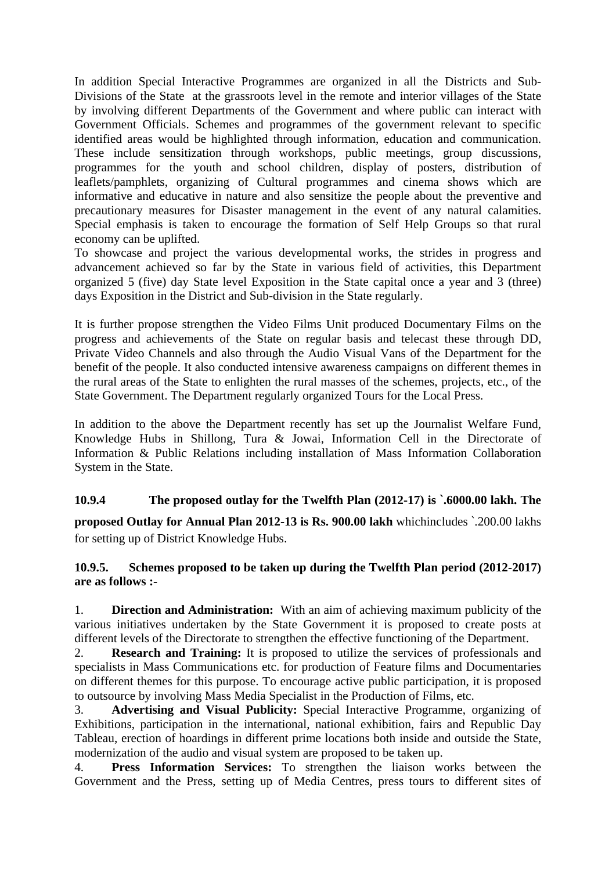In addition Special Interactive Programmes are organized in all the Districts and Sub-Divisions of the State at the grassroots level in the remote and interior villages of the State by involving different Departments of the Government and where public can interact with Government Officials. Schemes and programmes of the government relevant to specific identified areas would be highlighted through information, education and communication. These include sensitization through workshops, public meetings, group discussions, programmes for the youth and school children, display of posters, distribution of leaflets/pamphlets, organizing of Cultural programmes and cinema shows which are informative and educative in nature and also sensitize the people about the preventive and precautionary measures for Disaster management in the event of any natural calamities. Special emphasis is taken to encourage the formation of Self Help Groups so that rural economy can be uplifted.

To showcase and project the various developmental works, the strides in progress and advancement achieved so far by the State in various field of activities, this Department organized 5 (five) day State level Exposition in the State capital once a year and 3 (three) days Exposition in the District and Sub-division in the State regularly.

It is further propose strengthen the Video Films Unit produced Documentary Films on the progress and achievements of the State on regular basis and telecast these through DD, Private Video Channels and also through the Audio Visual Vans of the Department for the benefit of the people. It also conducted intensive awareness campaigns on different themes in the rural areas of the State to enlighten the rural masses of the schemes, projects, etc., of the State Government. The Department regularly organized Tours for the Local Press.

In addition to the above the Department recently has set up the Journalist Welfare Fund, Knowledge Hubs in Shillong, Tura & Jowai, Information Cell in the Directorate of Information & Public Relations including installation of Mass Information Collaboration System in the State.

### **10.9.4 The proposed outlay for the Twelfth Plan (2012-17) is `.6000.00 lakh. The**

**proposed Outlay for Annual Plan 2012-13 is Rs. 900.00 lakh** whichincludes `.200.00 lakhs for setting up of District Knowledge Hubs.

### **10.9.5. Schemes proposed to be taken up during the Twelfth Plan period (2012-2017) are as follows :-**

1. **Direction and Administration:** With an aim of achieving maximum publicity of the various initiatives undertaken by the State Government it is proposed to create posts at different levels of the Directorate to strengthen the effective functioning of the Department.

2. **Research and Training:** It is proposed to utilize the services of professionals and specialists in Mass Communications etc. for production of Feature films and Documentaries on different themes for this purpose. To encourage active public participation, it is proposed to outsource by involving Mass Media Specialist in the Production of Films, etc.

3. **Advertising and Visual Publicity:** Special Interactive Programme, organizing of Exhibitions, participation in the international, national exhibition, fairs and Republic Day Tableau, erection of hoardings in different prime locations both inside and outside the State, modernization of the audio and visual system are proposed to be taken up.

4. **Press Information Services:** To strengthen the liaison works between the Government and the Press, setting up of Media Centres, press tours to different sites of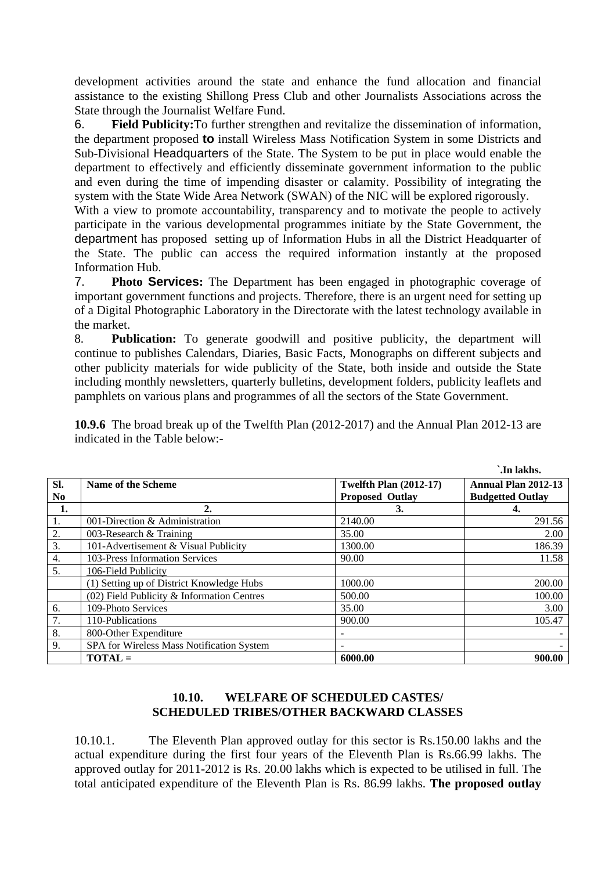development activities around the state and enhance the fund allocation and financial assistance to the existing Shillong Press Club and other Journalists Associations across the State through the Journalist Welfare Fund.

6. **Field Publicity:**To further strengthen and revitalize the dissemination of information, the department proposed **to** install Wireless Mass Notification System in some Districts and Sub-Divisional Headquarters of the State. The System to be put in place would enable the department to effectively and efficiently disseminate government information to the public and even during the time of impending disaster or calamity. Possibility of integrating the system with the State Wide Area Network (SWAN) of the NIC will be explored rigorously.

With a view to promote accountability, transparency and to motivate the people to actively participate in the various developmental programmes initiate by the State Government, the department has proposed setting up of Information Hubs in all the District Headquarter of the State. The public can access the required information instantly at the proposed Information Hub.

7. **Photo Services:** The Department has been engaged in photographic coverage of important government functions and projects. Therefore, there is an urgent need for setting up of a Digital Photographic Laboratory in the Directorate with the latest technology available in the market.

8. **Publication:** To generate goodwill and positive publicity, the department will continue to publishes Calendars, Diaries, Basic Facts, Monographs on different subjects and other publicity materials for wide publicity of the State, both inside and outside the State including monthly newsletters, quarterly bulletins, development folders, publicity leaflets and pamphlets on various plans and programmes of all the sectors of the State Government.

**10.9.6** The broad break up of the Twelfth Plan (2012-2017) and the Annual Plan 2012-13 are indicated in the Table below:-

|                |                                              |                               | `.In lakhs.             |
|----------------|----------------------------------------------|-------------------------------|-------------------------|
| SI.            | Name of the Scheme                           | <b>Twelfth Plan (2012-17)</b> | Annual Plan 2012-13     |
| N <sub>0</sub> |                                              | <b>Proposed Outlay</b>        | <b>Budgetted Outlay</b> |
| 1.             | 2.                                           | 3.                            |                         |
| 1.             | 001-Direction & Administration               | 2140.00                       | 291.56                  |
| 2.             | 003-Research & Training                      | 35.00                         | 2.00                    |
| 3.             | 101-Advertisement & Visual Publicity         | 1300.00                       | 186.39                  |
| 4.             | 103-Press Information Services               | 90.00                         | 11.58                   |
| 5.             | 106-Field Publicity                          |                               |                         |
|                | (1) Setting up of District Knowledge Hubs    | 1000.00                       | 200.00                  |
|                | $(02)$ Field Publicity & Information Centres | 500.00                        | 100.00                  |
| 6.             | 109-Photo Services                           | 35.00                         | 3.00                    |
| 7.             | 110-Publications                             | 900.00                        | 105.47                  |
| 8.             | 800-Other Expenditure                        |                               |                         |
| 9.             | SPA for Wireless Mass Notification System    | $\overline{\phantom{a}}$      |                         |
|                | $TOTAL =$                                    | 6000.00                       | 900.00                  |

### **10.10. WELFARE OF SCHEDULED CASTES/ SCHEDULED TRIBES/OTHER BACKWARD CLASSES**

10.10.1. The Eleventh Plan approved outlay for this sector is Rs.150.00 lakhs and the actual expenditure during the first four years of the Eleventh Plan is Rs.66.99 lakhs. The approved outlay for 2011-2012 is Rs. 20.00 lakhs which is expected to be utilised in full. The total anticipated expenditure of the Eleventh Plan is Rs. 86.99 lakhs. **The proposed outlay**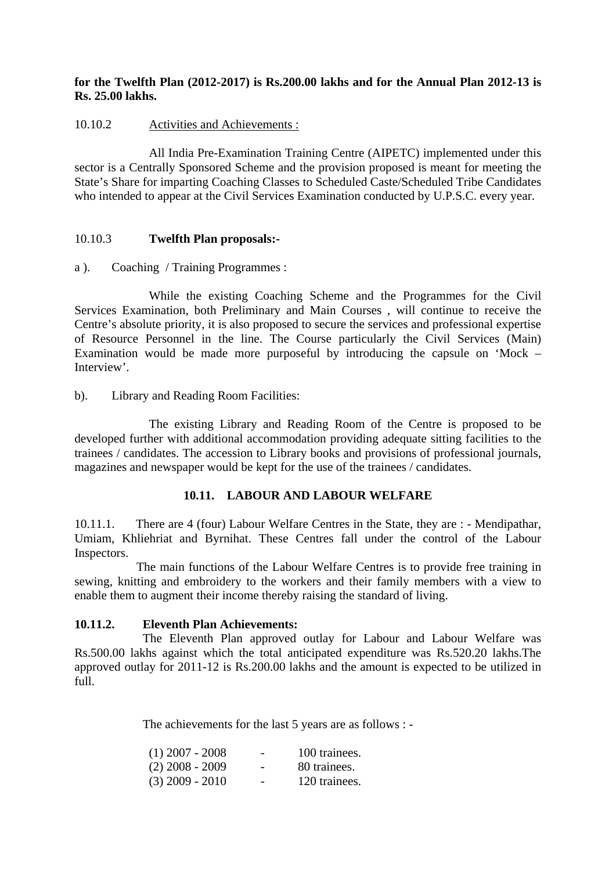### **for the Twelfth Plan (2012-2017) is Rs.200.00 lakhs and for the Annual Plan 2012-13 is Rs. 25.00 lakhs.**

### 10.10.2 Activities and Achievements :

All India Pre-Examination Training Centre (AIPETC) implemented under this sector is a Centrally Sponsored Scheme and the provision proposed is meant for meeting the State's Share for imparting Coaching Classes to Scheduled Caste/Scheduled Tribe Candidates who intended to appear at the Civil Services Examination conducted by U.P.S.C. every year.

### 10.10.3 **Twelfth Plan proposals:-**

#### a ). Coaching / Training Programmes :

 While the existing Coaching Scheme and the Programmes for the Civil Services Examination, both Preliminary and Main Courses , will continue to receive the Centre's absolute priority, it is also proposed to secure the services and professional expertise of Resource Personnel in the line. The Course particularly the Civil Services (Main) Examination would be made more purposeful by introducing the capsule on 'Mock – Interview'.

### b). Library and Reading Room Facilities:

 The existing Library and Reading Room of the Centre is proposed to be developed further with additional accommodation providing adequate sitting facilities to the trainees / candidates. The accession to Library books and provisions of professional journals, magazines and newspaper would be kept for the use of the trainees / candidates.

#### **10.11. LABOUR AND LABOUR WELFARE**

10.11.1. There are 4 (four) Labour Welfare Centres in the State, they are : - Mendipathar, Umiam, Khliehriat and Byrnihat. These Centres fall under the control of the Labour Inspectors.

 The main functions of the Labour Welfare Centres is to provide free training in sewing, knitting and embroidery to the workers and their family members with a view to enable them to augment their income thereby raising the standard of living.

### **10.11.2. Eleventh Plan Achievements:**

 The Eleventh Plan approved outlay for Labour and Labour Welfare was Rs.500.00 lakhs against which the total anticipated expenditure was Rs.520.20 lakhs.The approved outlay for 2011-12 is Rs.200.00 lakhs and the amount is expected to be utilized in full.

The achievements for the last 5 years are as follows : -

| $(1)$ 2007 - 2008 | -                        | 100 trainees. |
|-------------------|--------------------------|---------------|
| $(2)$ 2008 - 2009 | -                        | 80 trainees.  |
| $(3)$ 2009 - 2010 | $\overline{\phantom{0}}$ | 120 trainees. |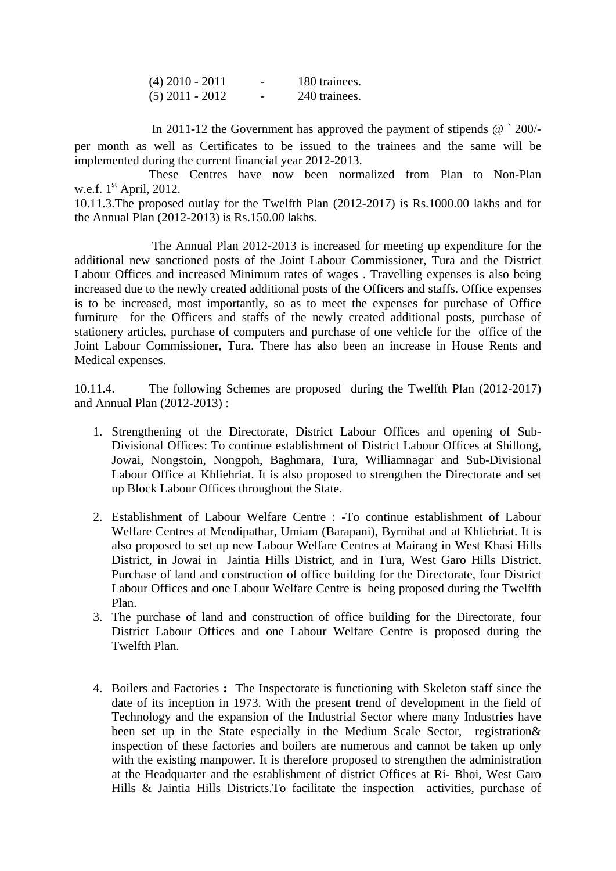| $(4)$ 2010 - 2011 | $\overline{\phantom{0}}$ | 180 trainees. |
|-------------------|--------------------------|---------------|
| $(5)$ 2011 - 2012 | -                        | 240 trainees. |

In 2011-12 the Government has approved the payment of stipends @ ` 200/ per month as well as Certificates to be issued to the trainees and the same will be implemented during the current financial year 2012-2013.

 These Centres have now been normalized from Plan to Non-Plan w.e.f.  $1<sup>st</sup>$  April, 2012.

10.11.3.The proposed outlay for the Twelfth Plan (2012-2017) is Rs.1000.00 lakhs and for the Annual Plan (2012-2013) is Rs.150.00 lakhs.

 The Annual Plan 2012-2013 is increased for meeting up expenditure for the additional new sanctioned posts of the Joint Labour Commissioner, Tura and the District Labour Offices and increased Minimum rates of wages . Travelling expenses is also being increased due to the newly created additional posts of the Officers and staffs. Office expenses is to be increased, most importantly, so as to meet the expenses for purchase of Office furniture for the Officers and staffs of the newly created additional posts, purchase of stationery articles, purchase of computers and purchase of one vehicle for the office of the Joint Labour Commissioner, Tura. There has also been an increase in House Rents and Medical expenses.

10.11.4. The following Schemes are proposed during the Twelfth Plan (2012-2017) and Annual Plan (2012-2013) :

- 1. Strengthening of the Directorate, District Labour Offices and opening of Sub-Divisional Offices: To continue establishment of District Labour Offices at Shillong, Jowai, Nongstoin, Nongpoh, Baghmara, Tura, Williamnagar and Sub-Divisional Labour Office at Khliehriat. It is also proposed to strengthen the Directorate and set up Block Labour Offices throughout the State.
- 2. Establishment of Labour Welfare Centre : -To continue establishment of Labour Welfare Centres at Mendipathar, Umiam (Barapani), Byrnihat and at Khliehriat. It is also proposed to set up new Labour Welfare Centres at Mairang in West Khasi Hills District, in Jowai in Jaintia Hills District, and in Tura, West Garo Hills District. Purchase of land and construction of office building for the Directorate, four District Labour Offices and one Labour Welfare Centre is being proposed during the Twelfth Plan.
- 3. The purchase of land and construction of office building for the Directorate, four District Labour Offices and one Labour Welfare Centre is proposed during the Twelfth Plan.
- 4. Boilers and Factories **:** The Inspectorate is functioning with Skeleton staff since the date of its inception in 1973. With the present trend of development in the field of Technology and the expansion of the Industrial Sector where many Industries have been set up in the State especially in the Medium Scale Sector, registration & inspection of these factories and boilers are numerous and cannot be taken up only with the existing manpower. It is therefore proposed to strengthen the administration at the Headquarter and the establishment of district Offices at Ri- Bhoi, West Garo Hills & Jaintia Hills Districts.To facilitate the inspection activities, purchase of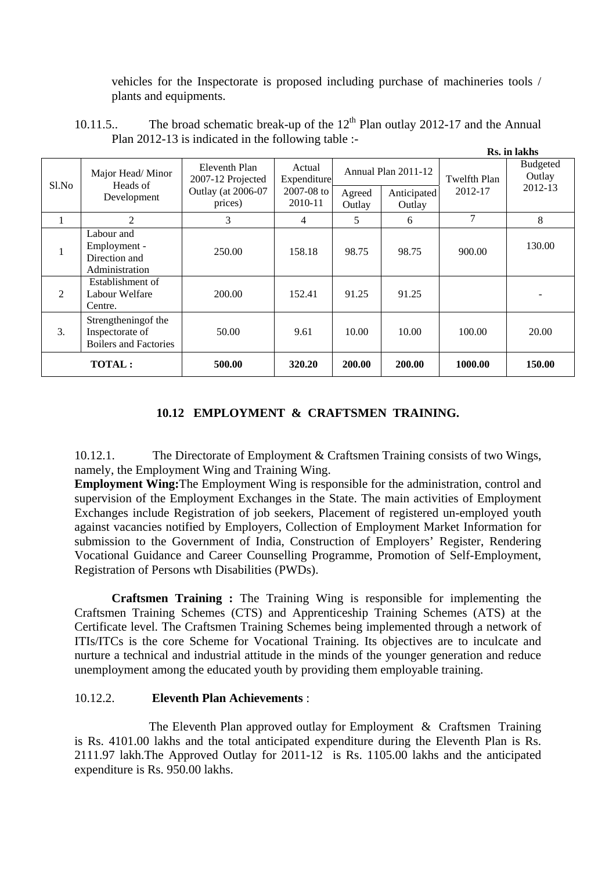vehicles for the Inspectorate is proposed including purchase of machineries tools / plants and equipments.

|               | Rs. in lakhs                                                            |                                    |                                                    |                     |                       |                |                           |
|---------------|-------------------------------------------------------------------------|------------------------------------|----------------------------------------------------|---------------------|-----------------------|----------------|---------------------------|
| Sl.No         | Major Head/Minor<br>Heads of<br>Development                             | Eleventh Plan<br>2007-12 Projected | Actual<br>Expenditure<br>$2007 - 08$ to<br>2010-11 | Annual Plan 2011-12 |                       | Twelfth Plan   | <b>Budgeted</b><br>Outlay |
|               |                                                                         | Outlay (at 2006-07<br>prices)      |                                                    | Agreed<br>Outlay    | Anticipated<br>Outlay | 2012-17        | 2012-13                   |
|               | 2                                                                       | 3                                  | 4                                                  | 5                   | 6                     | $\overline{7}$ | 8                         |
| 1             | Labour and<br>Employment -<br>Direction and<br>Administration           | 250.00                             | 158.18                                             | 98.75               | 98.75                 | 900.00         | 130.00                    |
| 2             | Establishment of<br>Labour Welfare<br>Centre.                           | 200.00                             | 152.41                                             | 91.25               | 91.25                 |                |                           |
| 3.            | Strengthening of the<br>Inspectorate of<br><b>Boilers and Factories</b> | 50.00                              | 9.61                                               | 10.00               | 10.00                 | 100.00         | 20.00                     |
| <b>TOTAL:</b> |                                                                         | 500.00                             | 320.20                                             | 200.00              | 200.00                | 1000.00        | 150.00                    |

10.11.5.. The broad schematic break-up of the  $12<sup>th</sup>$  Plan outlay 2012-17 and the Annual Plan 2012-13 is indicated in the following table :-

### **10.12 EMPLOYMENT & CRAFTSMEN TRAINING.**

10.12.1. The Directorate of Employment & Craftsmen Training consists of two Wings, namely, the Employment Wing and Training Wing.

**Employment Wing:**The Employment Wing is responsible for the administration, control and supervision of the Employment Exchanges in the State. The main activities of Employment Exchanges include Registration of job seekers, Placement of registered un-employed youth against vacancies notified by Employers, Collection of Employment Market Information for submission to the Government of India, Construction of Employers' Register, Rendering Vocational Guidance and Career Counselling Programme, Promotion of Self-Employment, Registration of Persons wth Disabilities (PWDs).

**Craftsmen Training :** The Training Wing is responsible for implementing the Craftsmen Training Schemes (CTS) and Apprenticeship Training Schemes (ATS) at the Certificate level. The Craftsmen Training Schemes being implemented through a network of ITIs/ITCs is the core Scheme for Vocational Training. Its objectives are to inculcate and nurture a technical and industrial attitude in the minds of the younger generation and reduce unemployment among the educated youth by providing them employable training.

#### 10.12.2. **Eleventh Plan Achievements** :

 The Eleventh Plan approved outlay for Employment & Craftsmen Training is Rs. 4101.00 lakhs and the total anticipated expenditure during the Eleventh Plan is Rs. 2111.97 lakh.The Approved Outlay for 2011-12 is Rs. 1105.00 lakhs and the anticipated expenditure is Rs. 950.00 lakhs.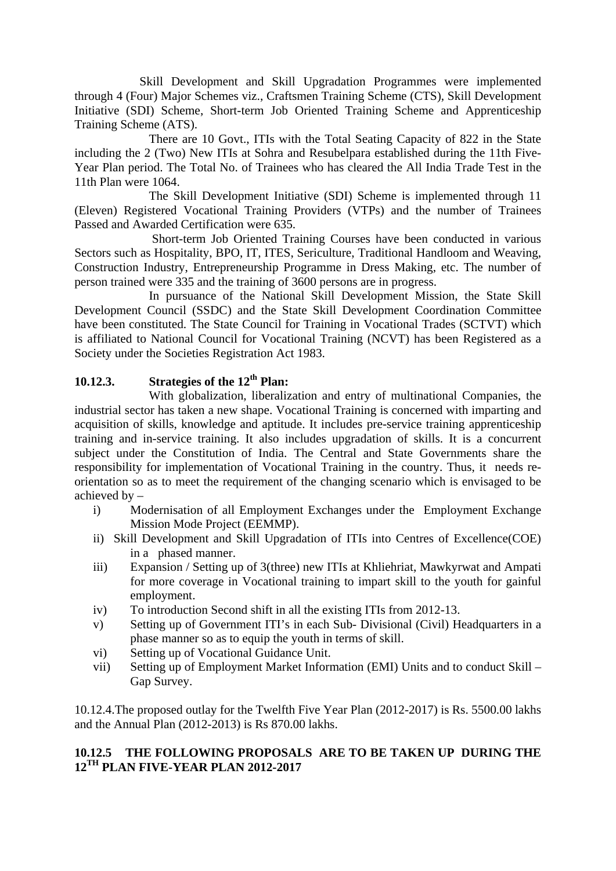Skill Development and Skill Upgradation Programmes were implemented through 4 (Four) Major Schemes viz., Craftsmen Training Scheme (CTS), Skill Development Initiative (SDI) Scheme, Short-term Job Oriented Training Scheme and Apprenticeship Training Scheme (ATS).

 There are 10 Govt., ITIs with the Total Seating Capacity of 822 in the State including the 2 (Two) New ITIs at Sohra and Resubelpara established during the 11th Five-Year Plan period. The Total No. of Trainees who has cleared the All India Trade Test in the 11th Plan were 1064.

 The Skill Development Initiative (SDI) Scheme is implemented through 11 (Eleven) Registered Vocational Training Providers (VTPs) and the number of Trainees Passed and Awarded Certification were 635.

 Short-term Job Oriented Training Courses have been conducted in various Sectors such as Hospitality, BPO, IT, ITES, Sericulture, Traditional Handloom and Weaving, Construction Industry, Entrepreneurship Programme in Dress Making, etc. The number of person trained were 335 and the training of 3600 persons are in progress.

 In pursuance of the National Skill Development Mission, the State Skill Development Council (SSDC) and the State Skill Development Coordination Committee have been constituted. The State Council for Training in Vocational Trades (SCTVT) which is affiliated to National Council for Vocational Training (NCVT) has been Registered as a Society under the Societies Registration Act 1983.

## **10.12.3.** Strategies of the 12<sup>th</sup> Plan:

 With globalization, liberalization and entry of multinational Companies, the industrial sector has taken a new shape. Vocational Training is concerned with imparting and acquisition of skills, knowledge and aptitude. It includes pre-service training apprenticeship training and in-service training. It also includes upgradation of skills. It is a concurrent subject under the Constitution of India. The Central and State Governments share the responsibility for implementation of Vocational Training in the country. Thus, it needs reorientation so as to meet the requirement of the changing scenario which is envisaged to be achieved by –

- i) Modernisation of all Employment Exchanges under the Employment Exchange Mission Mode Project (EEMMP).
- ii) Skill Development and Skill Upgradation of ITIs into Centres of Excellence(COE) in a phased manner.
- iii) Expansion / Setting up of 3(three) new ITIs at Khliehriat, Mawkyrwat and Ampati for more coverage in Vocational training to impart skill to the youth for gainful employment.
- iv) To introduction Second shift in all the existing ITIs from 2012-13.
- v) Setting up of Government ITI's in each Sub- Divisional (Civil) Headquarters in a phase manner so as to equip the youth in terms of skill.
- vi) Setting up of Vocational Guidance Unit.
- vii) Setting up of Employment Market Information (EMI) Units and to conduct Skill Gap Survey.

10.12.4.The proposed outlay for the Twelfth Five Year Plan (2012-2017) is Rs. 5500.00 lakhs and the Annual Plan (2012-2013) is Rs 870.00 lakhs.

## **10.12.5 THE FOLLOWING PROPOSALS ARE TO BE TAKEN UP DURING THE 12TH PLAN FIVE-YEAR PLAN 2012-2017**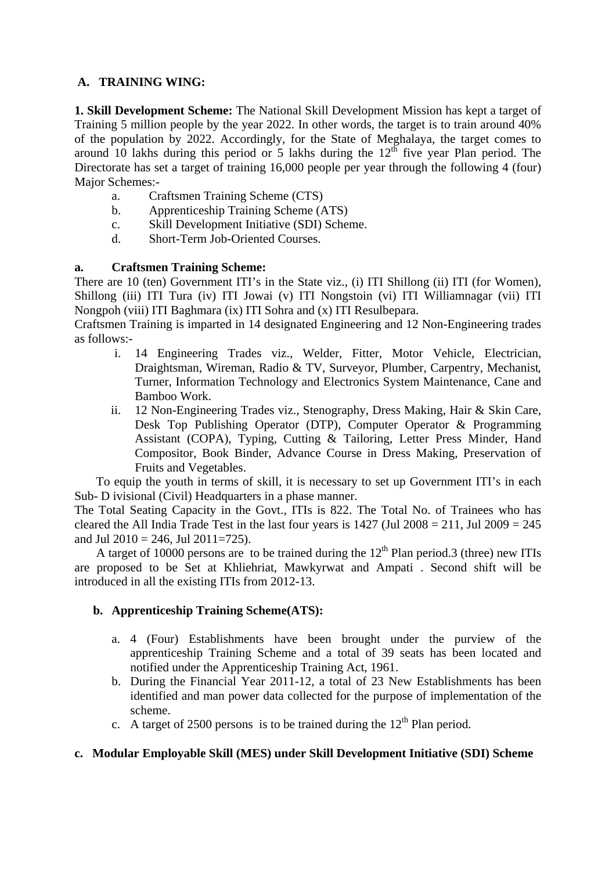### **A. TRAINING WING:**

**1. Skill Development Scheme:** The National Skill Development Mission has kept a target of Training 5 million people by the year 2022. In other words, the target is to train around 40% of the population by 2022. Accordingly, for the State of Meghalaya, the target comes to around 10 lakhs during this period or 5 lakhs during the  $12<sup>th</sup>$  five year Plan period. The Directorate has set a target of training 16,000 people per year through the following 4 (four) Major Schemes:-

- a. Craftsmen Training Scheme (CTS)
- b. Apprenticeship Training Scheme (ATS)
- c. Skill Development Initiative (SDI) Scheme.
- d. Short-Term Job-Oriented Courses.

### **a. Craftsmen Training Scheme:**

There are 10 (ten) Government ITI's in the State viz., (i) ITI Shillong (ii) ITI (for Women), Shillong (iii) ITI Tura (iv) ITI Jowai (v) ITI Nongstoin (vi) ITI Williamnagar (vii) ITI Nongpoh (viii) ITI Baghmara (ix) ITI Sohra and (x) ITI Resulbepara.

Craftsmen Training is imparted in 14 designated Engineering and 12 Non-Engineering trades as follows:-

- i. 14 Engineering Trades viz., Welder, Fitter, Motor Vehicle, Electrician, Draightsman, Wireman, Radio & TV, Surveyor, Plumber, Carpentry, Mechanist, Turner, Information Technology and Electronics System Maintenance, Cane and Bamboo Work.
- ii. 12 Non-Engineering Trades viz., Stenography, Dress Making, Hair & Skin Care, Desk Top Publishing Operator (DTP), Computer Operator & Programming Assistant (COPA), Typing, Cutting & Tailoring, Letter Press Minder, Hand Compositor, Book Binder, Advance Course in Dress Making, Preservation of Fruits and Vegetables.

 To equip the youth in terms of skill, it is necessary to set up Government ITI's in each Sub- D ivisional (Civil) Headquarters in a phase manner.

The Total Seating Capacity in the Govt., ITIs is 822. The Total No. of Trainees who has cleared the All India Trade Test in the last four years is  $1427$  (Jul  $2008 = 211$ , Jul  $2009 = 245$ ) and Jul 2010 = 246, Jul 2011=725).

A target of 10000 persons are to be trained during the  $12<sup>th</sup>$  Plan period.3 (three) new ITIs are proposed to be Set at Khliehriat, Mawkyrwat and Ampati . Second shift will be introduced in all the existing ITIs from 2012-13.

### **b. Apprenticeship Training Scheme(ATS):**

- a. 4 (Four) Establishments have been brought under the purview of the apprenticeship Training Scheme and a total of 39 seats has been located and notified under the Apprenticeship Training Act, 1961.
- b. During the Financial Year 2011-12, a total of 23 New Establishments has been identified and man power data collected for the purpose of implementation of the scheme.
- c. A target of 2500 persons is to be trained during the  $12<sup>th</sup>$  Plan period.

### **c. Modular Employable Skill (MES) under Skill Development Initiative (SDI) Scheme**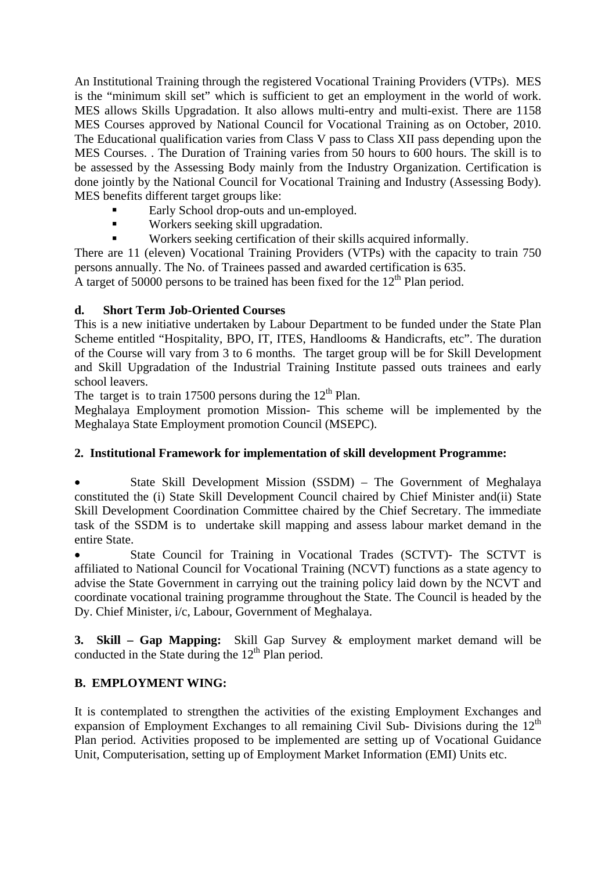An Institutional Training through the registered Vocational Training Providers (VTPs). MES is the "minimum skill set" which is sufficient to get an employment in the world of work. MES allows Skills Upgradation. It also allows multi-entry and multi-exist. There are 1158 MES Courses approved by National Council for Vocational Training as on October, 2010. The Educational qualification varies from Class V pass to Class XII pass depending upon the MES Courses. . The Duration of Training varies from 50 hours to 600 hours. The skill is to be assessed by the Assessing Body mainly from the Industry Organization. Certification is done jointly by the National Council for Vocational Training and Industry (Assessing Body). MES benefits different target groups like:

- Early School drop-outs and un-employed.
- **Workers seeking skill upgradation.**
- Workers seeking certification of their skills acquired informally.

There are 11 (eleven) Vocational Training Providers (VTPs) with the capacity to train 750 persons annually. The No. of Trainees passed and awarded certification is 635.

A target of 50000 persons to be trained has been fixed for the  $12<sup>th</sup>$  Plan period.

### **d. Short Term Job-Oriented Courses**

This is a new initiative undertaken by Labour Department to be funded under the State Plan Scheme entitled "Hospitality, BPO, IT, ITES, Handlooms & Handicrafts, etc". The duration of the Course will vary from 3 to 6 months. The target group will be for Skill Development and Skill Upgradation of the Industrial Training Institute passed outs trainees and early school leavers.

The target is to train 17500 persons during the  $12<sup>th</sup>$  Plan.

Meghalaya Employment promotion Mission- This scheme will be implemented by the Meghalaya State Employment promotion Council (MSEPC).

### **2. Institutional Framework for implementation of skill development Programme:**

 State Skill Development Mission (SSDM) – The Government of Meghalaya constituted the (i) State Skill Development Council chaired by Chief Minister and(ii) State Skill Development Coordination Committee chaired by the Chief Secretary. The immediate task of the SSDM is to undertake skill mapping and assess labour market demand in the entire State.

 State Council for Training in Vocational Trades (SCTVT)- The SCTVT is affiliated to National Council for Vocational Training (NCVT) functions as a state agency to advise the State Government in carrying out the training policy laid down by the NCVT and coordinate vocational training programme throughout the State. The Council is headed by the Dy. Chief Minister, i/c, Labour, Government of Meghalaya.

**3. Skill – Gap Mapping:** Skill Gap Survey & employment market demand will be conducted in the State during the  $12<sup>th</sup>$  Plan period.

### **B. EMPLOYMENT WING:**

It is contemplated to strengthen the activities of the existing Employment Exchanges and expansion of Employment Exchanges to all remaining Civil Sub- Divisions during the  $12<sup>th</sup>$ Plan period. Activities proposed to be implemented are setting up of Vocational Guidance Unit, Computerisation, setting up of Employment Market Information (EMI) Units etc.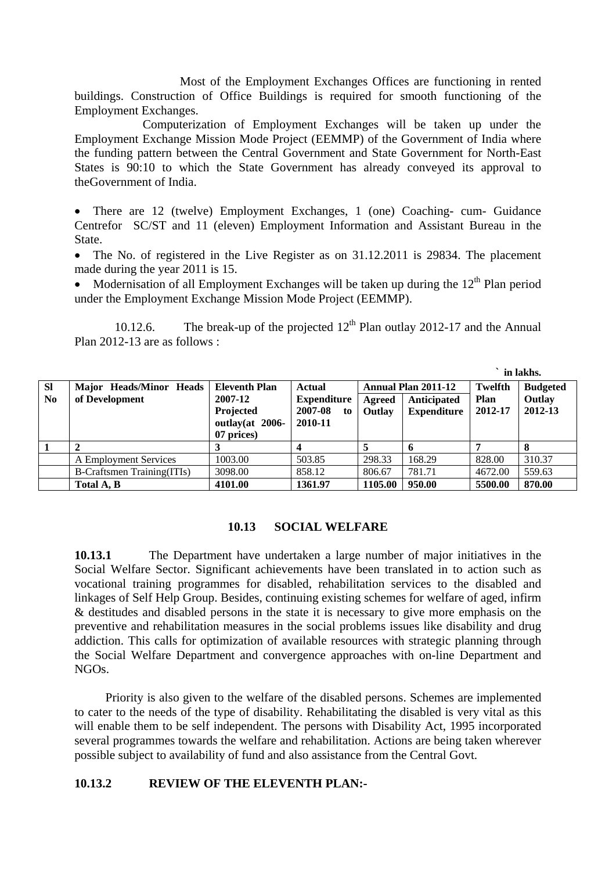Most of the Employment Exchanges Offices are functioning in rented buildings. Construction of Office Buildings is required for smooth functioning of the Employment Exchanges.

 Computerization of Employment Exchanges will be taken up under the Employment Exchange Mission Mode Project (EEMMP) of the Government of India where the funding pattern between the Central Government and State Government for North-East States is 90:10 to which the State Government has already conveyed its approval to theGovernment of India.

• There are 12 (twelve) Employment Exchanges, 1 (one) Coaching- cum- Guidance Centrefor SC/ST and 11 (eleven) Employment Information and Assistant Bureau in the State.

• The No. of registered in the Live Register as on 31.12.2011 is 29834. The placement made during the year 2011 is 15.

Modernisation of all Employment Exchanges will be taken up during the  $12<sup>th</sup>$  Plan period under the Employment Exchange Mission Mode Project (EEMMP).

10.12.6. The break-up of the projected  $12<sup>th</sup>$  Plan outlay 2012-17 and the Annual Plan 2012-13 are as follows :

|           |                                   |                                              |                          |                            |                    |             | in lakhs.       |
|-----------|-----------------------------------|----------------------------------------------|--------------------------|----------------------------|--------------------|-------------|-----------------|
| <b>SI</b> | Major Heads/Minor Heads           | <b>Eleventh Plan</b>                         | Actual                   | <b>Annual Plan 2011-12</b> |                    | Twelfth     | <b>Budgeted</b> |
| No        | of Development                    | 2007-12                                      | <b>Expenditure</b>       | Agreed                     | Anticipated        | <b>Plan</b> | Outlay          |
|           |                                   | Projected<br>outlay(at $2006-$<br>07 prices) | 2007-08<br>to<br>2010-11 | Outlay                     | <b>Expenditure</b> | 2012-17     | 2012-13         |
|           | ◠                                 |                                              |                          |                            |                    |             | 8               |
|           | A Employment Services             | 1003.00                                      | 503.85                   | 298.33                     | 168.29             | 828.00      | 310.37          |
|           | <b>B-Craftsmen Training(ITIs)</b> | 3098.00                                      | 858.12                   | 806.67                     | 781.71             | 4672.00     | 559.63          |
|           | Total A, B                        | 4101.00                                      | 1361.97                  | 1105.00                    | 950.00             | 5500.00     | 870.00          |

#### **10.13 SOCIAL WELFARE**

**10.13.1** The Department have undertaken a large number of major initiatives in the Social Welfare Sector. Significant achievements have been translated in to action such as vocational training programmes for disabled, rehabilitation services to the disabled and linkages of Self Help Group. Besides, continuing existing schemes for welfare of aged, infirm & destitudes and disabled persons in the state it is necessary to give more emphasis on the preventive and rehabilitation measures in the social problems issues like disability and drug addiction. This calls for optimization of available resources with strategic planning through the Social Welfare Department and convergence approaches with on-line Department and NGOs.

 Priority is also given to the welfare of the disabled persons. Schemes are implemented to cater to the needs of the type of disability. Rehabilitating the disabled is very vital as this will enable them to be self independent. The persons with Disability Act, 1995 incorporated several programmes towards the welfare and rehabilitation. Actions are being taken wherever possible subject to availability of fund and also assistance from the Central Govt.

#### **10.13.2 REVIEW OF THE ELEVENTH PLAN:-**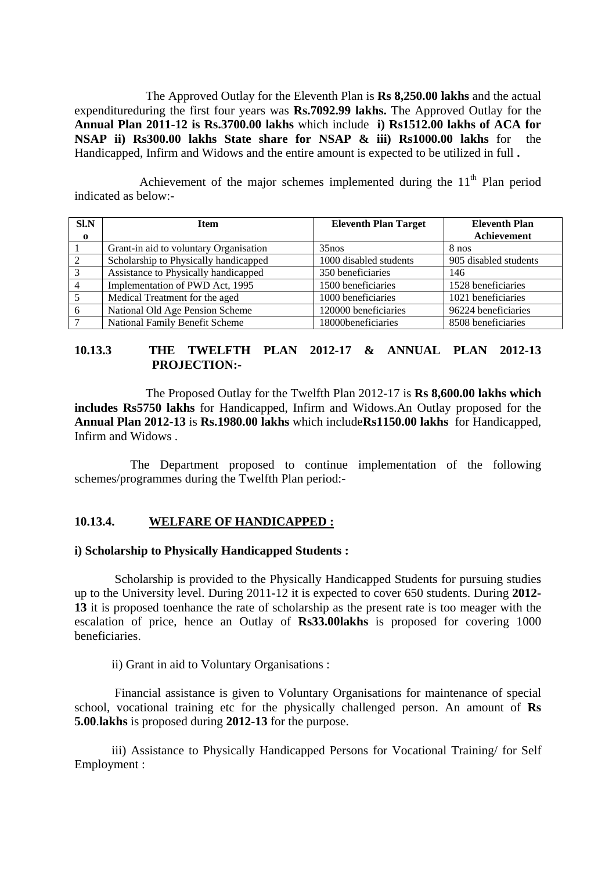The Approved Outlay for the Eleventh Plan is **Rs 8,250.00 lakhs** and the actual expenditureduring the first four years was **Rs.7092.99 lakhs.** The Approved Outlay for the **Annual Plan 2011-12 is Rs.3700.00 lakhs** which include **i) Rs1512.00 lakhs of ACA for NSAP ii) Rs300.00 lakhs State share for NSAP & iii) Rs1000.00 lakhs** for the Handicapped, Infirm and Widows and the entire amount is expected to be utilized in full **.** 

Achievement of the major schemes implemented during the  $11<sup>th</sup>$  Plan period indicated as below:-

| SLN            | <b>Item</b>                            | <b>Eleventh Plan Target</b> | <b>Eleventh Plan</b><br>Achievement |
|----------------|----------------------------------------|-----------------------------|-------------------------------------|
| $\mathbf{o}$   |                                        |                             |                                     |
|                | Grant-in aid to voluntary Organisation | $35$ nos                    | 8 nos                               |
|                | Scholarship to Physically handicapped  | 1000 disabled students      | 905 disabled students               |
| 3              | Assistance to Physically handicapped   | 350 beneficiaries           | 146                                 |
| $\overline{4}$ | Implementation of PWD Act, 1995        | 1500 beneficiaries          | 1528 beneficiaries                  |
|                | Medical Treatment for the aged         | 1000 beneficiaries          | 1021 beneficiaries                  |
| 6              | National Old Age Pension Scheme        | 120000 beneficiaries        | 96224 beneficiaries                 |
|                | National Family Benefit Scheme         | 18000 beneficiaries         | 8508 beneficiaries                  |

### **10.13.3 THE TWELFTH PLAN 2012-17 & ANNUAL PLAN 2012-13 PROJECTION:-**

 The Proposed Outlay for the Twelfth Plan 2012-17 is **Rs 8,600.00 lakhs which includes Rs5750 lakhs** for Handicapped, Infirm and Widows.An Outlay proposed for the **Annual Plan 2012-13** is **Rs.1980.00 lakhs** which include**Rs1150.00 lakhs** for Handicapped, Infirm and Widows .

 The Department proposed to continue implementation of the following schemes/programmes during the Twelfth Plan period:-

#### **10.13.4. WELFARE OF HANDICAPPED :**

#### **i) Scholarship to Physically Handicapped Students :**

 Scholarship is provided to the Physically Handicapped Students for pursuing studies up to the University level. During 2011-12 it is expected to cover 650 students. During **2012- 13** it is proposed toenhance the rate of scholarship as the present rate is too meager with the escalation of price, hence an Outlay of **Rs33.00lakhs** is proposed for covering 1000 beneficiaries.

ii) Grant in aid to Voluntary Organisations :

 Financial assistance is given to Voluntary Organisations for maintenance of special school, vocational training etc for the physically challenged person. An amount of **Rs 5.00**.**lakhs** is proposed during **2012-13** for the purpose.

iii) Assistance to Physically Handicapped Persons for Vocational Training/ for Self Employment :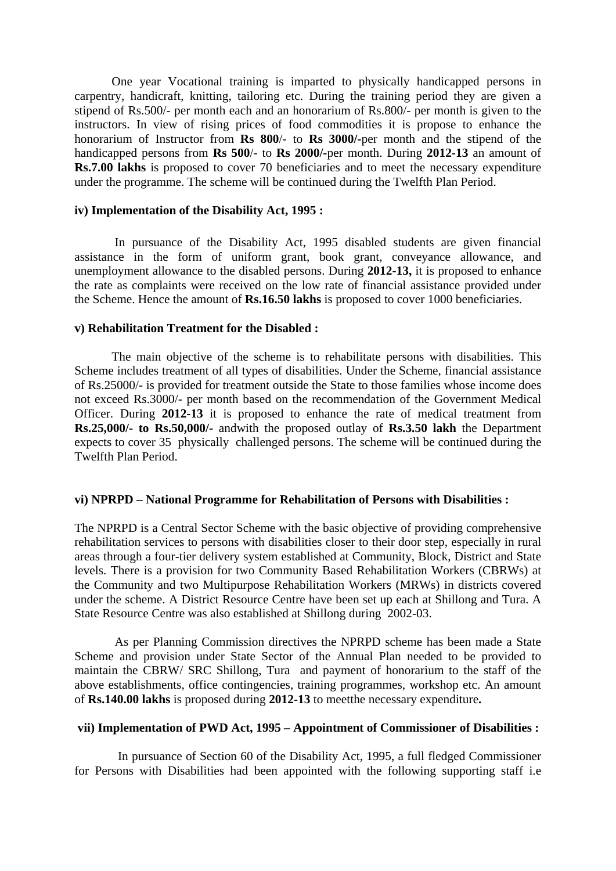One year Vocational training is imparted to physically handicapped persons in carpentry, handicraft, knitting, tailoring etc. During the training period they are given a stipend of Rs.500/- per month each and an honorarium of Rs.800/- per month is given to the instructors. In view of rising prices of food commodities it is propose to enhance the honorarium of Instructor from **Rs 800**/- to **Rs 3000/-**per month and the stipend of the handicapped persons from **Rs 500**/- to **Rs 2000/-**per month. During **2012-13** an amount of **Rs.7.00 lakhs** is proposed to cover 70 beneficiaries and to meet the necessary expenditure under the programme. The scheme will be continued during the Twelfth Plan Period.

#### **iv) Implementation of the Disability Act, 1995 :**

 In pursuance of the Disability Act, 1995 disabled students are given financial assistance in the form of uniform grant, book grant, conveyance allowance, and unemployment allowance to the disabled persons. During **2012-13,** it is proposed to enhance the rate as complaints were received on the low rate of financial assistance provided under the Scheme. Hence the amount of **Rs.16.50 lakhs** is proposed to cover 1000 beneficiaries.

#### **v) Rehabilitation Treatment for the Disabled :**

 The main objective of the scheme is to rehabilitate persons with disabilities. This Scheme includes treatment of all types of disabilities. Under the Scheme, financial assistance of Rs.25000/- is provided for treatment outside the State to those families whose income does not exceed Rs.3000/- per month based on the recommendation of the Government Medical Officer. During **2012-13** it is proposed to enhance the rate of medical treatment from **Rs.25,000/- to Rs.50,000/-** andwith the proposed outlay of **Rs.3.50 lakh** the Department expects to cover 35 physically challenged persons. The scheme will be continued during the Twelfth Plan Period.

#### **vi) NPRPD – National Programme for Rehabilitation of Persons with Disabilities :**

The NPRPD is a Central Sector Scheme with the basic objective of providing comprehensive rehabilitation services to persons with disabilities closer to their door step, especially in rural areas through a four-tier delivery system established at Community, Block, District and State levels. There is a provision for two Community Based Rehabilitation Workers (CBRWs) at the Community and two Multipurpose Rehabilitation Workers (MRWs) in districts covered under the scheme. A District Resource Centre have been set up each at Shillong and Tura. A State Resource Centre was also established at Shillong during 2002-03.

 As per Planning Commission directives the NPRPD scheme has been made a State Scheme and provision under State Sector of the Annual Plan needed to be provided to maintain the CBRW/ SRC Shillong, Tura and payment of honorarium to the staff of the above establishments, office contingencies, training programmes, workshop etc. An amount of **Rs.140.00 lakhs** is proposed during **2012-13** to meetthe necessary expenditure**.**

#### **vii) Implementation of PWD Act, 1995 – Appointment of Commissioner of Disabilities :**

 In pursuance of Section 60 of the Disability Act, 1995, a full fledged Commissioner for Persons with Disabilities had been appointed with the following supporting staff i.e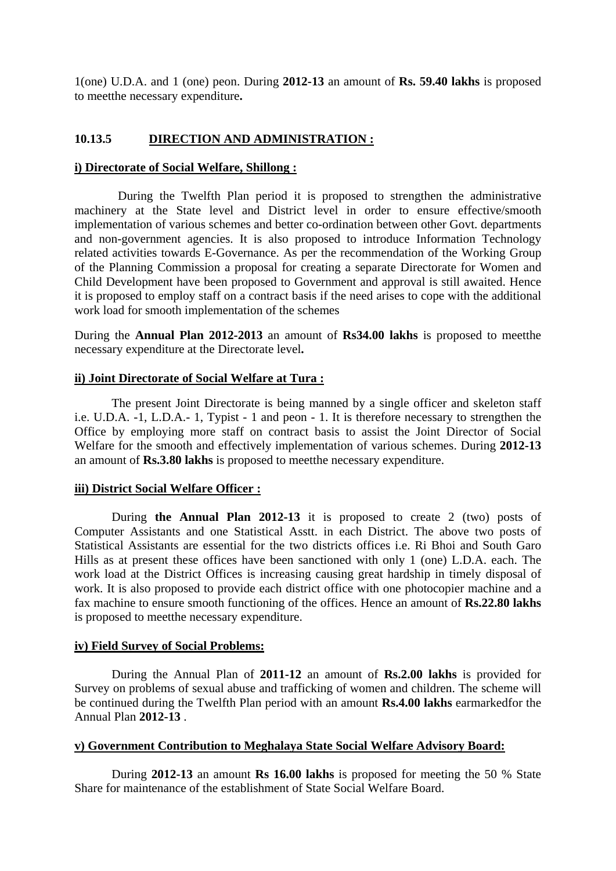1(one) U.D.A. and 1 (one) peon. During **2012-13** an amount of **Rs. 59.40 lakhs** is proposed to meetthe necessary expenditure**.**

### **10.13.5 DIRECTION AND ADMINISTRATION :**

#### **i) Directorate of Social Welfare, Shillong :**

 During the Twelfth Plan period it is proposed to strengthen the administrative machinery at the State level and District level in order to ensure effective/smooth implementation of various schemes and better co-ordination between other Govt. departments and non-government agencies. It is also proposed to introduce Information Technology related activities towards E-Governance. As per the recommendation of the Working Group of the Planning Commission a proposal for creating a separate Directorate for Women and Child Development have been proposed to Government and approval is still awaited. Hence it is proposed to employ staff on a contract basis if the need arises to cope with the additional work load for smooth implementation of the schemes

During the **Annual Plan 2012-2013** an amount of **Rs34.00 lakhs** is proposed to meetthe necessary expenditure at the Directorate level**.**

#### **ii) Joint Directorate of Social Welfare at Tura :**

 The present Joint Directorate is being manned by a single officer and skeleton staff i.e. U.D.A. -1, L.D.A.- 1, Typist - 1 and peon - 1. It is therefore necessary to strengthen the Office by employing more staff on contract basis to assist the Joint Director of Social Welfare for the smooth and effectively implementation of various schemes. During **2012-13**  an amount of **Rs.3.80 lakhs** is proposed to meetthe necessary expenditure.

#### **iii) District Social Welfare Officer :**

 During **the Annual Plan 2012-13** it is proposed to create 2 (two) posts of Computer Assistants and one Statistical Asstt. in each District. The above two posts of Statistical Assistants are essential for the two districts offices i.e. Ri Bhoi and South Garo Hills as at present these offices have been sanctioned with only 1 (one) L.D.A. each. The work load at the District Offices is increasing causing great hardship in timely disposal of work. It is also proposed to provide each district office with one photocopier machine and a fax machine to ensure smooth functioning of the offices. Hence an amount of **Rs.22.80 lakhs** is proposed to meetthe necessary expenditure.

#### **iv) Field Survey of Social Problems:**

 During the Annual Plan of **2011-12** an amount of **Rs.2.00 lakhs** is provided for Survey on problems of sexual abuse and trafficking of women and children. The scheme will be continued during the Twelfth Plan period with an amount **Rs.4.00 lakhs** earmarkedfor the Annual Plan **2012-13** .

#### **v) Government Contribution to Meghalaya State Social Welfare Advisory Board:**

 During **2012-13** an amount **Rs 16.00 lakhs** is proposed for meeting the 50 % State Share for maintenance of the establishment of State Social Welfare Board.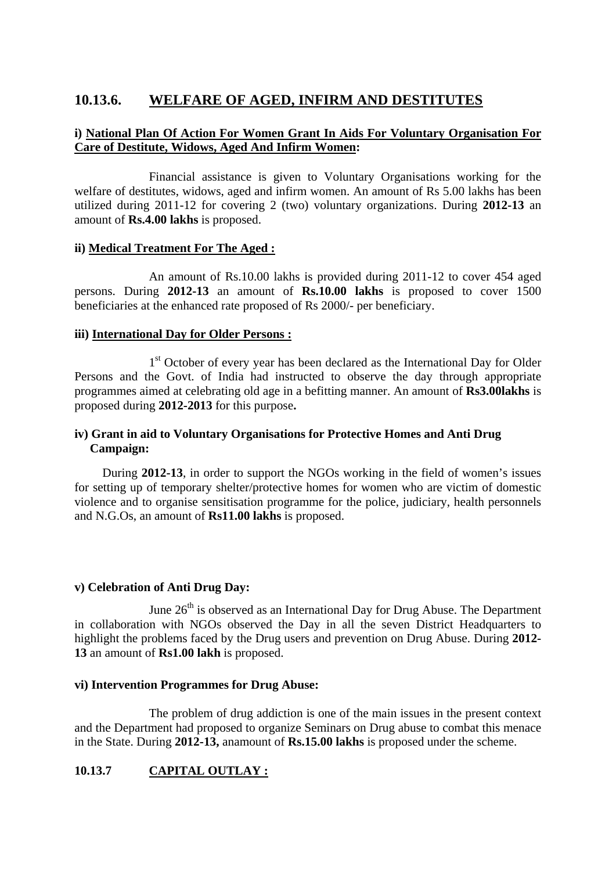# **10.13.6. WELFARE OF AGED, INFIRM AND DESTITUTES**

### **i) National Plan Of Action For Women Grant In Aids For Voluntary Organisation For Care of Destitute, Widows, Aged And Infirm Women:**

Financial assistance is given to Voluntary Organisations working for the welfare of destitutes, widows, aged and infirm women. An amount of Rs 5.00 lakhs has been utilized during 2011-12 for covering 2 (two) voluntary organizations. During **2012-13** an amount of **Rs.4.00 lakhs** is proposed.

### **ii) Medical Treatment For The Aged :**

An amount of Rs.10.00 lakhs is provided during 2011-12 to cover 454 aged persons. During **2012-13** an amount of **Rs.10.00 lakhs** is proposed to cover 1500 beneficiaries at the enhanced rate proposed of Rs 2000/- per beneficiary.

### **iii) International Day for Older Persons :**

1<sup>st</sup> October of every year has been declared as the International Day for Older Persons and the Govt. of India had instructed to observe the day through appropriate programmes aimed at celebrating old age in a befitting manner. An amount of **Rs3.00lakhs** is proposed during **2012-2013** for this purpose**.**

### **iv) Grant in aid to Voluntary Organisations for Protective Homes and Anti Drug Campaign:**

 During **2012-13**, in order to support the NGOs working in the field of women's issues for setting up of temporary shelter/protective homes for women who are victim of domestic violence and to organise sensitisation programme for the police, judiciary, health personnels and N.G.Os, an amount of **Rs11.00 lakhs** is proposed.

### **v) Celebration of Anti Drug Day:**

June  $26<sup>th</sup>$  is observed as an International Day for Drug Abuse. The Department in collaboration with NGOs observed the Day in all the seven District Headquarters to highlight the problems faced by the Drug users and prevention on Drug Abuse. During **2012- 13** an amount of **Rs1.00 lakh** is proposed.

#### **vi) Intervention Programmes for Drug Abuse:**

The problem of drug addiction is one of the main issues in the present context and the Department had proposed to organize Seminars on Drug abuse to combat this menace in the State. During **2012-13,** anamount of **Rs.15.00 lakhs** is proposed under the scheme.

### **10.13.7 CAPITAL OUTLAY :**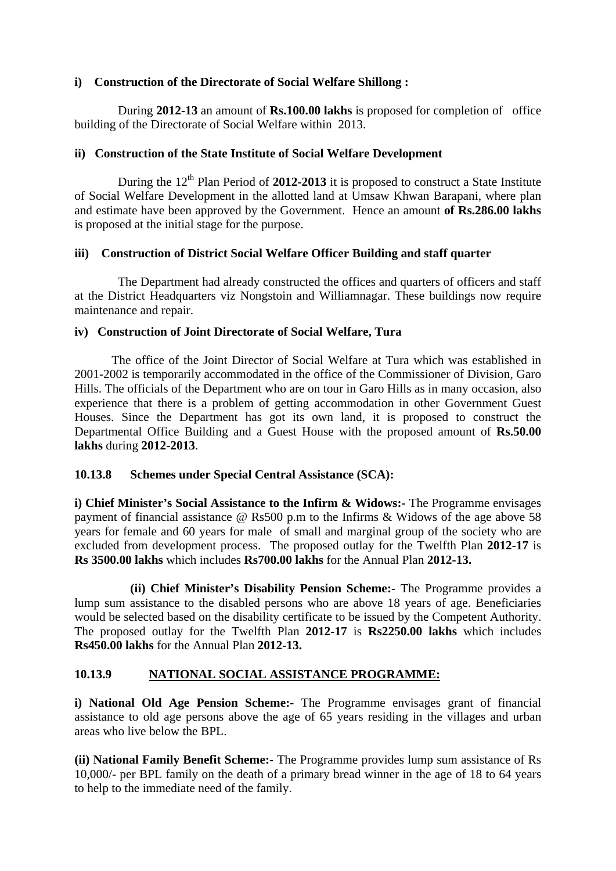### **i) Construction of the Directorate of Social Welfare Shillong :**

 During **2012-13** an amount of **Rs.100.00 lakhs** is proposed for completion of office building of the Directorate of Social Welfare within 2013.

### **ii) Construction of the State Institute of Social Welfare Development**

During the  $12<sup>th</sup>$  Plan Period of 2012-2013 it is proposed to construct a State Institute of Social Welfare Development in the allotted land at Umsaw Khwan Barapani, where plan and estimate have been approved by the Government. Hence an amount **of Rs.286.00 lakhs** is proposed at the initial stage for the purpose.

### **iii) Construction of District Social Welfare Officer Building and staff quarter**

 The Department had already constructed the offices and quarters of officers and staff at the District Headquarters viz Nongstoin and Williamnagar. These buildings now require maintenance and repair.

### **iv) Construction of Joint Directorate of Social Welfare, Tura**

 The office of the Joint Director of Social Welfare at Tura which was established in 2001-2002 is temporarily accommodated in the office of the Commissioner of Division, Garo Hills. The officials of the Department who are on tour in Garo Hills as in many occasion, also experience that there is a problem of getting accommodation in other Government Guest Houses. Since the Department has got its own land, it is proposed to construct the Departmental Office Building and a Guest House with the proposed amount of **Rs.50.00 lakhs** during **2012-2013**.

### **10.13.8 Schemes under Special Central Assistance (SCA):**

**i) Chief Minister's Social Assistance to the Infirm & Widows:-** The Programme envisages payment of financial assistance @ Rs500 p.m to the Infirms & Widows of the age above 58 years for female and 60 years for male of small and marginal group of the society who are excluded from development process. The proposed outlay for the Twelfth Plan **2012-17** is **Rs 3500.00 lakhs** which includes **Rs700.00 lakhs** for the Annual Plan **2012-13.**

 **(ii) Chief Minister's Disability Pension Scheme:-** The Programme provides a lump sum assistance to the disabled persons who are above 18 years of age. Beneficiaries would be selected based on the disability certificate to be issued by the Competent Authority. The proposed outlay for the Twelfth Plan **2012-17** is **Rs2250.00 lakhs** which includes **Rs450.00 lakhs** for the Annual Plan **2012-13.**

### **10.13.9 NATIONAL SOCIAL ASSISTANCE PROGRAMME:**

**i) National Old Age Pension Scheme:-** The Programme envisages grant of financial assistance to old age persons above the age of 65 years residing in the villages and urban areas who live below the BPL.

**(ii) National Family Benefit Scheme:-** The Programme provides lump sum assistance of Rs 10,000/- per BPL family on the death of a primary bread winner in the age of 18 to 64 years to help to the immediate need of the family.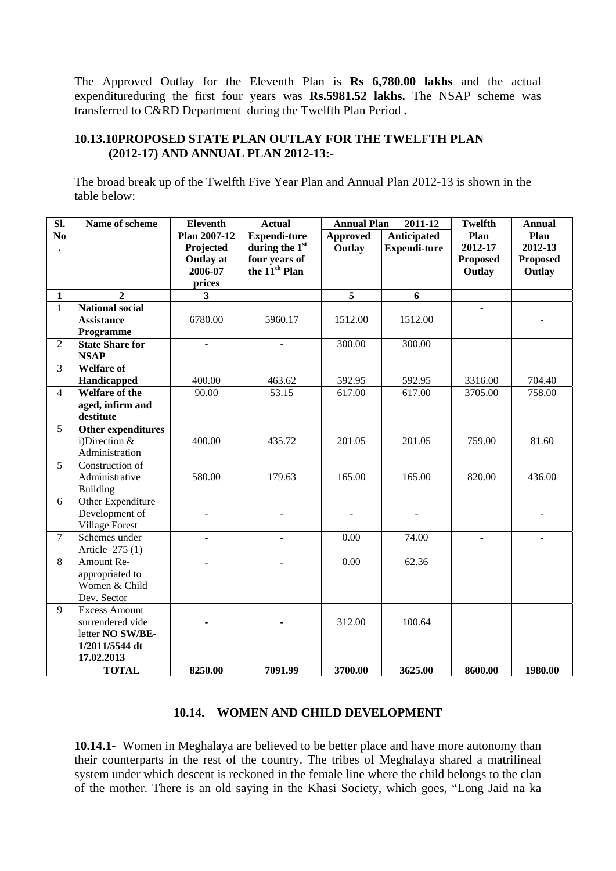The Approved Outlay for the Eleventh Plan is **Rs 6,780.00 lakhs** and the actual expenditureduring the first four years was **Rs.5981.52 lakhs.** The NSAP scheme was transferred to C&RD Department during the Twelfth Plan Period **.** 

### **10.13.10PROPOSED STATE PLAN OUTLAY FOR THE TWELFTH PLAN (2012-17) AND ANNUAL PLAN 2012-13:-**

The broad break up of the Twelfth Five Year Plan and Annual Plan 2012-13 is shown in the table below:

| $\overline{\text{SL}}$ | Name of scheme                        | <b>Eleventh</b>                                                           | <b>Actual</b>                                                                       | <b>Annual Plan</b><br>2011-12 |                                           | <b>Twelfth</b>                               | <b>Annual</b>                                |
|------------------------|---------------------------------------|---------------------------------------------------------------------------|-------------------------------------------------------------------------------------|-------------------------------|-------------------------------------------|----------------------------------------------|----------------------------------------------|
| N <sub>0</sub>         |                                       | <b>Plan 2007-12</b><br>Projected<br><b>Outlay</b> at<br>2006-07<br>prices | <b>Expendi-ture</b><br>during the 1st<br>four years of<br>the 11 <sup>th</sup> Plan | <b>Approved</b><br>Outlay     | <b>Anticipated</b><br><b>Expendi-ture</b> | Plan<br>2012-17<br><b>Proposed</b><br>Outlay | Plan<br>2012-13<br><b>Proposed</b><br>Outlay |
| $\mathbf{1}$           | $\overline{2}$                        | 3                                                                         |                                                                                     | $\overline{5}$                | 6                                         |                                              |                                              |
| $\mathbf{1}$           | <b>National social</b>                |                                                                           |                                                                                     |                               |                                           |                                              |                                              |
|                        | <b>Assistance</b>                     | 6780.00                                                                   | 5960.17                                                                             | 1512.00                       | 1512.00                                   |                                              |                                              |
|                        | Programme                             |                                                                           |                                                                                     |                               |                                           |                                              |                                              |
| $\overline{2}$         | <b>State Share for</b>                |                                                                           |                                                                                     | 300.00                        | 300.00                                    |                                              |                                              |
|                        | <b>NSAP</b>                           |                                                                           |                                                                                     |                               |                                           |                                              |                                              |
| 3                      | <b>Welfare of</b>                     |                                                                           |                                                                                     |                               |                                           |                                              |                                              |
|                        | Handicapped                           | 400.00                                                                    | 463.62                                                                              | 592.95                        | 592.95                                    | 3316.00                                      | 704.40                                       |
| $\overline{4}$         | Welfare of the                        | 90.00                                                                     | 53.15                                                                               | 617.00                        | 617.00                                    | 3705.00                                      | 758.00                                       |
|                        | aged, infirm and                      |                                                                           |                                                                                     |                               |                                           |                                              |                                              |
|                        | destitute                             |                                                                           |                                                                                     |                               |                                           |                                              |                                              |
| 5                      | Other expenditures<br>i)Direction $&$ | 400.00                                                                    | 435.72                                                                              | 201.05                        | 201.05                                    | 759.00                                       | 81.60                                        |
|                        | Administration                        |                                                                           |                                                                                     |                               |                                           |                                              |                                              |
| 5                      | Construction of                       |                                                                           |                                                                                     |                               |                                           |                                              |                                              |
|                        | Administrative                        | 580.00                                                                    | 179.63                                                                              | 165.00                        | 165.00                                    | 820.00                                       | 436.00                                       |
|                        | Building                              |                                                                           |                                                                                     |                               |                                           |                                              |                                              |
| 6                      | Other Expenditure                     |                                                                           |                                                                                     |                               |                                           |                                              |                                              |
|                        | Development of                        |                                                                           |                                                                                     |                               |                                           |                                              |                                              |
|                        | <b>Village Forest</b>                 |                                                                           |                                                                                     |                               |                                           |                                              |                                              |
| $\overline{7}$         | Schemes under                         | $\blacksquare$                                                            | $\blacksquare$                                                                      | 0.00                          | 74.00                                     | $\blacksquare$                               | $\qquad \qquad \blacksquare$                 |
|                        | Article 275 (1)                       |                                                                           |                                                                                     |                               |                                           |                                              |                                              |
| 8                      | Amount Re-                            |                                                                           | $\blacksquare$                                                                      | 0.00                          | 62.36                                     |                                              |                                              |
|                        | appropriated to                       |                                                                           |                                                                                     |                               |                                           |                                              |                                              |
|                        | Women & Child                         |                                                                           |                                                                                     |                               |                                           |                                              |                                              |
|                        | Dev. Sector                           |                                                                           |                                                                                     |                               |                                           |                                              |                                              |
| 9                      | <b>Excess Amount</b>                  |                                                                           |                                                                                     |                               |                                           |                                              |                                              |
|                        | surrendered vide<br>letter NO SW/BE-  |                                                                           |                                                                                     | 312.00                        | 100.64                                    |                                              |                                              |
|                        | 1/2011/5544 dt                        |                                                                           |                                                                                     |                               |                                           |                                              |                                              |
|                        | 17.02.2013                            |                                                                           |                                                                                     |                               |                                           |                                              |                                              |
|                        | <b>TOTAL</b>                          | 8250.00                                                                   | 7091.99                                                                             | 3700.00                       | 3625.00                                   | 8600.00                                      | 1980.00                                      |
|                        |                                       |                                                                           |                                                                                     |                               |                                           |                                              |                                              |

#### **10.14. WOMEN AND CHILD DEVELOPMENT**

**10.14.1-** Women in Meghalaya are believed to be better place and have more autonomy than their counterparts in the rest of the country. The tribes of Meghalaya shared a matrilineal system under which descent is reckoned in the female line where the child belongs to the clan of the mother. There is an old saying in the Khasi Society, which goes, "Long Jaid na ka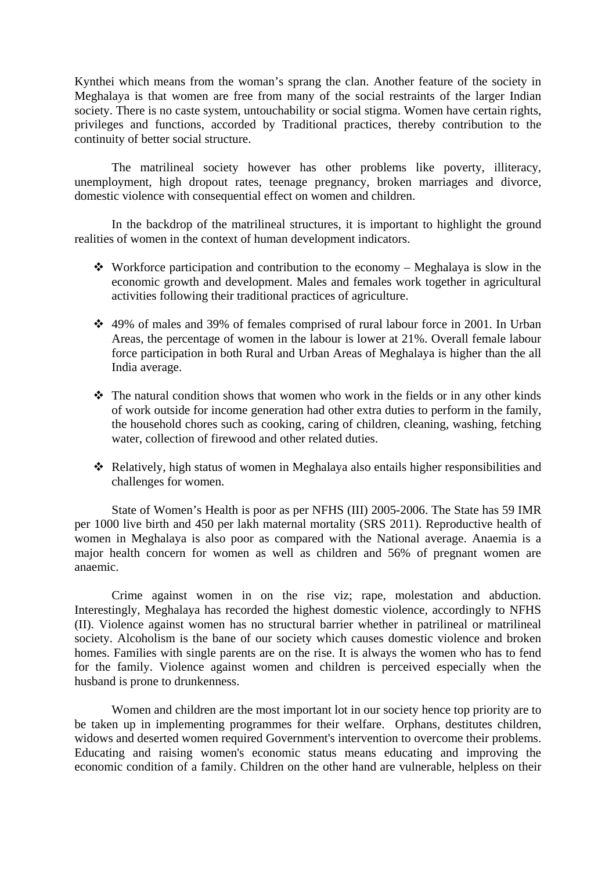Kynthei which means from the woman's sprang the clan. Another feature of the society in Meghalaya is that women are free from many of the social restraints of the larger Indian society. There is no caste system, untouchability or social stigma. Women have certain rights, privileges and functions, accorded by Traditional practices, thereby contribution to the continuity of better social structure.

 The matrilineal society however has other problems like poverty, illiteracy, unemployment, high dropout rates, teenage pregnancy, broken marriages and divorce, domestic violence with consequential effect on women and children.

 In the backdrop of the matrilineal structures, it is important to highlight the ground realities of women in the context of human development indicators.

- Workforce participation and contribution to the economy Meghalaya is slow in the economic growth and development. Males and females work together in agricultural activities following their traditional practices of agriculture.
- 49% of males and 39% of females comprised of rural labour force in 2001. In Urban Areas, the percentage of women in the labour is lower at 21%. Overall female labour force participation in both Rural and Urban Areas of Meghalaya is higher than the all India average.
- \* The natural condition shows that women who work in the fields or in any other kinds of work outside for income generation had other extra duties to perform in the family, the household chores such as cooking, caring of children, cleaning, washing, fetching water, collection of firewood and other related duties.
- Relatively, high status of women in Meghalaya also entails higher responsibilities and challenges for women.

State of Women's Health is poor as per NFHS (III) 2005-2006. The State has 59 IMR per 1000 live birth and 450 per lakh maternal mortality (SRS 2011). Reproductive health of women in Meghalaya is also poor as compared with the National average. Anaemia is a major health concern for women as well as children and 56% of pregnant women are anaemic.

Crime against women in on the rise viz; rape, molestation and abduction. Interestingly, Meghalaya has recorded the highest domestic violence, accordingly to NFHS (II). Violence against women has no structural barrier whether in patrilineal or matrilineal society. Alcoholism is the bane of our society which causes domestic violence and broken homes. Families with single parents are on the rise. It is always the women who has to fend for the family. Violence against women and children is perceived especially when the husband is prone to drunkenness.

 Women and children are the most important lot in our society hence top priority are to be taken up in implementing programmes for their welfare. Orphans, destitutes children, widows and deserted women required Government's intervention to overcome their problems. Educating and raising women's economic status means educating and improving the economic condition of a family. Children on the other hand are vulnerable, helpless on their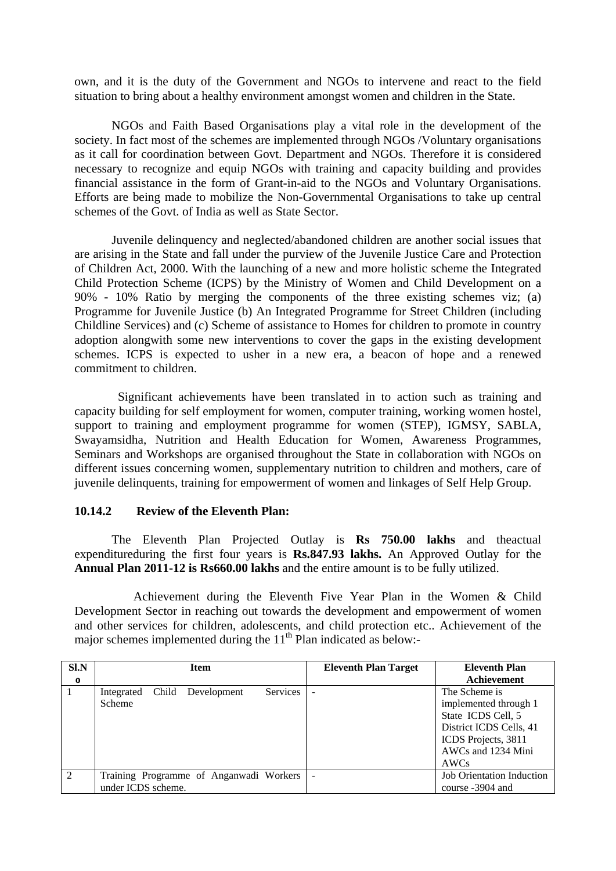own, and it is the duty of the Government and NGOs to intervene and react to the field situation to bring about a healthy environment amongst women and children in the State.

 NGOs and Faith Based Organisations play a vital role in the development of the society. In fact most of the schemes are implemented through NGOs /Voluntary organisations as it call for coordination between Govt. Department and NGOs. Therefore it is considered necessary to recognize and equip NGOs with training and capacity building and provides financial assistance in the form of Grant-in-aid to the NGOs and Voluntary Organisations. Efforts are being made to mobilize the Non-Governmental Organisations to take up central schemes of the Govt. of India as well as State Sector.

 Juvenile delinquency and neglected/abandoned children are another social issues that are arising in the State and fall under the purview of the Juvenile Justice Care and Protection of Children Act, 2000. With the launching of a new and more holistic scheme the Integrated Child Protection Scheme (ICPS) by the Ministry of Women and Child Development on a 90% - 10% Ratio by merging the components of the three existing schemes viz; (a) Programme for Juvenile Justice (b) An Integrated Programme for Street Children (including Childline Services) and (c) Scheme of assistance to Homes for children to promote in country adoption alongwith some new interventions to cover the gaps in the existing development schemes. ICPS is expected to usher in a new era, a beacon of hope and a renewed commitment to children.

 Significant achievements have been translated in to action such as training and capacity building for self employment for women, computer training, working women hostel, support to training and employment programme for women (STEP), IGMSY, SABLA, Swayamsidha, Nutrition and Health Education for Women, Awareness Programmes, Seminars and Workshops are organised throughout the State in collaboration with NGOs on different issues concerning women, supplementary nutrition to children and mothers, care of juvenile delinquents, training for empowerment of women and linkages of Self Help Group.

### **10.14.2 Review of the Eleventh Plan:**

The Eleventh Plan Projected Outlay is **Rs 750.00 lakhs** and theactual expenditureduring the first four years is **Rs.847.93 lakhs.** An Approved Outlay for the **Annual Plan 2011-12 is Rs660.00 lakhs** and the entire amount is to be fully utilized.

 Achievement during the Eleventh Five Year Plan in the Women & Child Development Sector in reaching out towards the development and empowerment of women and other services for children, adolescents, and child protection etc.. Achievement of the major schemes implemented during the  $11<sup>th</sup>$  Plan indicated as below:-

| SLN            | <b>Item</b>                                                   | <b>Eleventh Plan Target</b> | <b>Eleventh Plan</b>                                                                                                                         |  |
|----------------|---------------------------------------------------------------|-----------------------------|----------------------------------------------------------------------------------------------------------------------------------------------|--|
| $\mathbf{o}$   |                                                               |                             | Achievement                                                                                                                                  |  |
|                | <b>Services</b><br>Child Development<br>Integrated<br>Scheme  | ÷                           | The Scheme is<br>implemented through 1<br>State ICDS Cell, 5<br>District ICDS Cells, 41<br>ICDS Projects, 3811<br>AWCs and 1234 Mini<br>AWCs |  |
| $\overline{2}$ | Training Programme of Anganwadi Workers<br>under ICDS scheme. | $\overline{\phantom{a}}$    | <b>Job Orientation Induction</b><br>course -3904 and                                                                                         |  |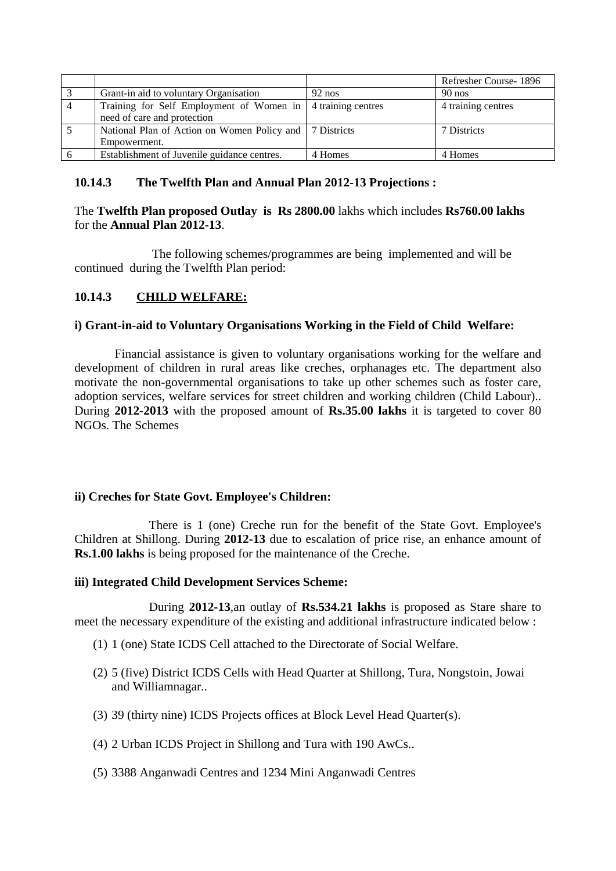|                                                               |          | Refresher Course-1896 |
|---------------------------------------------------------------|----------|-----------------------|
| Grant-in aid to voluntary Organisation                        | $92$ nos | $90$ nos              |
| Training for Self Employment of Women in   4 training centres |          | 4 training centres    |
| need of care and protection                                   |          |                       |
| National Plan of Action on Women Policy and   7 Districts     |          | 7 Districts           |
| Empowerment.                                                  |          |                       |
| Establishment of Juvenile guidance centres.                   | 4 Homes  | 4 Homes               |

# **10.14.3 The Twelfth Plan and Annual Plan 2012-13 Projections :**

# The **Twelfth Plan proposed Outlay is Rs 2800.00** lakhs which includes **Rs760.00 lakhs** for the **Annual Plan 2012-13**.

 The following schemes/programmes are being implemented and will be continued during the Twelfth Plan period:

# **10.14.3 CHILD WELFARE:**

# **i) Grant-in-aid to Voluntary Organisations Working in the Field of Child Welfare:**

 Financial assistance is given to voluntary organisations working for the welfare and development of children in rural areas like creches, orphanages etc. The department also motivate the non-governmental organisations to take up other schemes such as foster care, adoption services, welfare services for street children and working children (Child Labour).. During **2012-2013** with the proposed amount of **Rs.35.00 lakhs** it is targeted to cover 80 NGOs. The Schemes

# **ii) Creches for State Govt. Employee's Children:**

 There is 1 (one) Creche run for the benefit of the State Govt. Employee's Children at Shillong. During **2012-13** due to escalation of price rise, an enhance amount of **Rs.1.00 lakhs** is being proposed for the maintenance of the Creche.

### **iii) Integrated Child Development Services Scheme:**

During **2012-13**,an outlay of **Rs.534.21 lakhs** is proposed as Stare share to meet the necessary expenditure of the existing and additional infrastructure indicated below :

- (1) 1 (one) State ICDS Cell attached to the Directorate of Social Welfare.
- (2) 5 (five) District ICDS Cells with Head Quarter at Shillong, Tura, Nongstoin, Jowai and Williamnagar..
- (3) 39 (thirty nine) ICDS Projects offices at Block Level Head Quarter(s).
- (4) 2 Urban ICDS Project in Shillong and Tura with 190 AwCs..
- (5) 3388 Anganwadi Centres and 1234 Mini Anganwadi Centres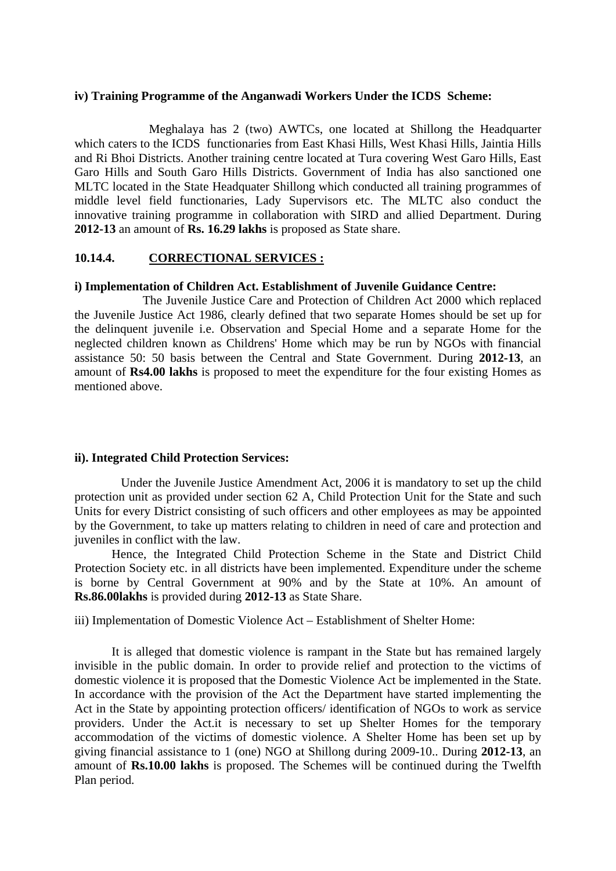#### **iv) Training Programme of the Anganwadi Workers Under the ICDS Scheme:**

 Meghalaya has 2 (two) AWTCs, one located at Shillong the Headquarter which caters to the ICDS functionaries from East Khasi Hills, West Khasi Hills, Jaintia Hills and Ri Bhoi Districts. Another training centre located at Tura covering West Garo Hills, East Garo Hills and South Garo Hills Districts. Government of India has also sanctioned one MLTC located in the State Headquater Shillong which conducted all training programmes of middle level field functionaries, Lady Supervisors etc. The MLTC also conduct the innovative training programme in collaboration with SIRD and allied Department. During **2012-13** an amount of **Rs. 16.29 lakhs** is proposed as State share.

#### **10.14.4. CORRECTIONAL SERVICES :**

#### **i) Implementation of Children Act. Establishment of Juvenile Guidance Centre:**

 The Juvenile Justice Care and Protection of Children Act 2000 which replaced the Juvenile Justice Act 1986, clearly defined that two separate Homes should be set up for the delinquent juvenile i.e. Observation and Special Home and a separate Home for the neglected children known as Childrens' Home which may be run by NGOs with financial assistance 50: 50 basis between the Central and State Government. During **2012-13**, an amount of **Rs4.00 lakhs** is proposed to meet the expenditure for the four existing Homes as mentioned above.

#### **ii). Integrated Child Protection Services:**

Under the Juvenile Justice Amendment Act, 2006 it is mandatory to set up the child protection unit as provided under section 62 A, Child Protection Unit for the State and such Units for every District consisting of such officers and other employees as may be appointed by the Government, to take up matters relating to children in need of care and protection and juveniles in conflict with the law.

Hence, the Integrated Child Protection Scheme in the State and District Child Protection Society etc. in all districts have been implemented. Expenditure under the scheme is borne by Central Government at 90% and by the State at 10%. An amount of **Rs.86.00lakhs** is provided during **2012-13** as State Share.

iii) Implementation of Domestic Violence Act – Establishment of Shelter Home:

It is alleged that domestic violence is rampant in the State but has remained largely invisible in the public domain. In order to provide relief and protection to the victims of domestic violence it is proposed that the Domestic Violence Act be implemented in the State. In accordance with the provision of the Act the Department have started implementing the Act in the State by appointing protection officers/ identification of NGOs to work as service providers. Under the Act.it is necessary to set up Shelter Homes for the temporary accommodation of the victims of domestic violence. A Shelter Home has been set up by giving financial assistance to 1 (one) NGO at Shillong during 2009-10.. During **2012-13**, an amount of **Rs.10.00 lakhs** is proposed. The Schemes will be continued during the Twelfth Plan period.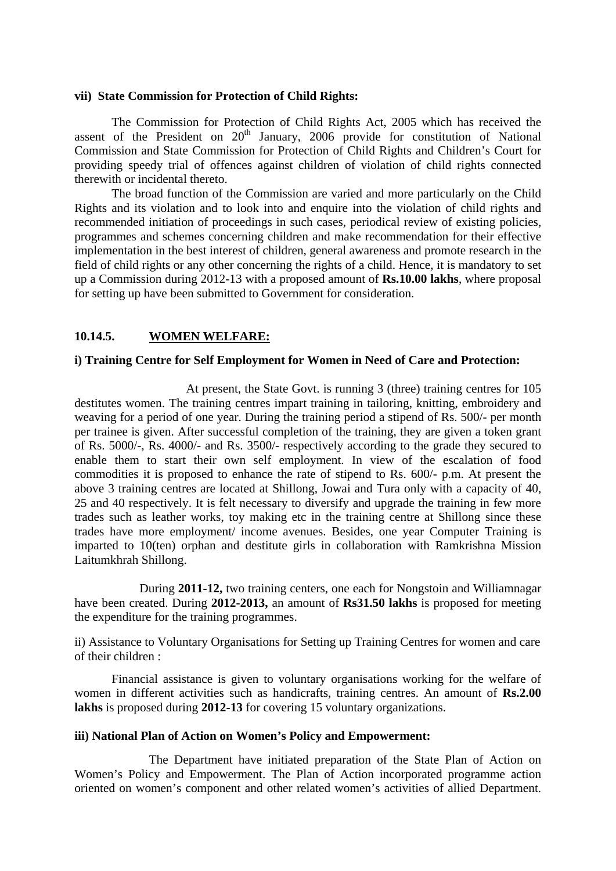#### **vii) State Commission for Protection of Child Rights:**

The Commission for Protection of Child Rights Act, 2005 which has received the assent of the President on  $20<sup>th</sup>$  January, 2006 provide for constitution of National Commission and State Commission for Protection of Child Rights and Children's Court for providing speedy trial of offences against children of violation of child rights connected therewith or incidental thereto.

The broad function of the Commission are varied and more particularly on the Child Rights and its violation and to look into and enquire into the violation of child rights and recommended initiation of proceedings in such cases, periodical review of existing policies, programmes and schemes concerning children and make recommendation for their effective implementation in the best interest of children, general awareness and promote research in the field of child rights or any other concerning the rights of a child. Hence, it is mandatory to set up a Commission during 2012-13 with a proposed amount of **Rs.10.00 lakhs**, where proposal for setting up have been submitted to Government for consideration.

### **10.14.5. WOMEN WELFARE:**

#### **i) Training Centre for Self Employment for Women in Need of Care and Protection:**

 At present, the State Govt. is running 3 (three) training centres for 105 destitutes women. The training centres impart training in tailoring, knitting, embroidery and weaving for a period of one year. During the training period a stipend of Rs. 500/- per month per trainee is given. After successful completion of the training, they are given a token grant of Rs. 5000/-, Rs. 4000/- and Rs. 3500/- respectively according to the grade they secured to enable them to start their own self employment. In view of the escalation of food commodities it is proposed to enhance the rate of stipend to Rs. 600/- p.m. At present the above 3 training centres are located at Shillong, Jowai and Tura only with a capacity of 40, 25 and 40 respectively. It is felt necessary to diversify and upgrade the training in few more trades such as leather works, toy making etc in the training centre at Shillong since these trades have more employment/ income avenues. Besides, one year Computer Training is imparted to 10(ten) orphan and destitute girls in collaboration with Ramkrishna Mission Laitumkhrah Shillong.

 During **2011-12,** two training centers, one each for Nongstoin and Williamnagar have been created. During **2012-2013,** an amount of **Rs31.50 lakhs** is proposed for meeting the expenditure for the training programmes.

ii) Assistance to Voluntary Organisations for Setting up Training Centres for women and care of their children :

 Financial assistance is given to voluntary organisations working for the welfare of women in different activities such as handicrafts, training centres. An amount of **Rs.2.00 lakhs** is proposed during **2012-13** for covering 15 voluntary organizations.

#### **iii) National Plan of Action on Women's Policy and Empowerment:**

 The Department have initiated preparation of the State Plan of Action on Women's Policy and Empowerment. The Plan of Action incorporated programme action oriented on women's component and other related women's activities of allied Department.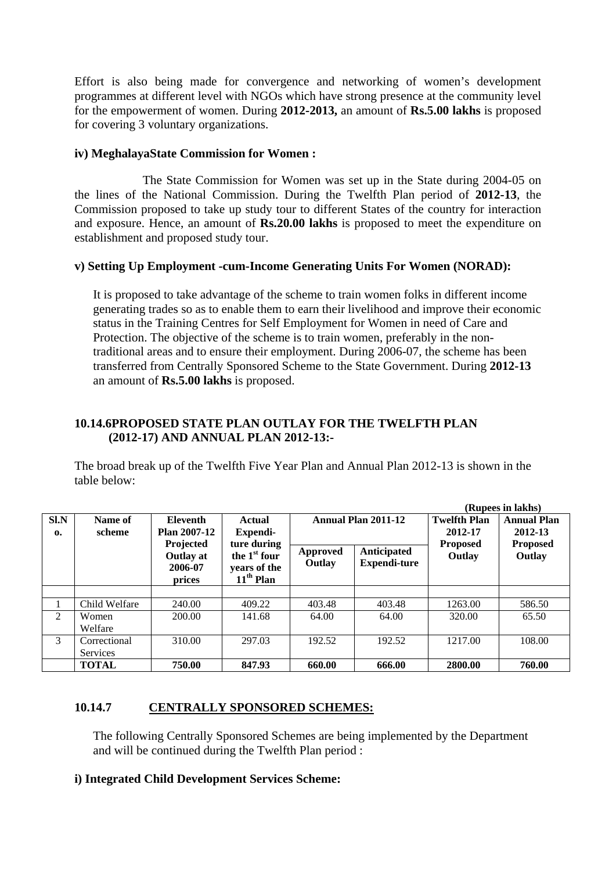Effort is also being made for convergence and networking of women's development programmes at different level with NGOs which have strong presence at the community level for the empowerment of women. During **2012-2013,** an amount of **Rs.5.00 lakhs** is proposed for covering 3 voluntary organizations.

### **iv) MeghalayaState Commission for Women :**

 The State Commission for Women was set up in the State during 2004-05 on the lines of the National Commission. During the Twelfth Plan period of **2012-13**, the Commission proposed to take up study tour to different States of the country for interaction and exposure. Hence, an amount of **Rs.20.00 lakhs** is proposed to meet the expenditure on establishment and proposed study tour.

# **v) Setting Up Employment -cum-Income Generating Units For Women (NORAD):**

It is proposed to take advantage of the scheme to train women folks in different income generating trades so as to enable them to earn their livelihood and improve their economic status in the Training Centres for Self Employment for Women in need of Care and Protection. The objective of the scheme is to train women, preferably in the nontraditional areas and to ensure their employment. During 2006-07, the scheme has been transferred from Centrally Sponsored Scheme to the State Government. During **2012-13**  an amount of **Rs.5.00 lakhs** is proposed.

# **10.14.6PROPOSED STATE PLAN OUTLAY FOR THE TWELFTH PLAN (2012-17) AND ANNUAL PLAN 2012-13:-**

The broad break up of the Twelfth Five Year Plan and Annual Plan 2012-13 is shown in the table below:

**(Rupees in lakhs)** 

|                                  |                                 |                                                                                       |                                                                                           |                            |                                    |                                | (Kupees in lakhs)                                |
|----------------------------------|---------------------------------|---------------------------------------------------------------------------------------|-------------------------------------------------------------------------------------------|----------------------------|------------------------------------|--------------------------------|--------------------------------------------------|
| S <sub>1</sub> N<br>$\mathbf{0}$ | Name of<br>scheme               | <b>Eleventh</b><br><b>Plan 2007-12</b><br>Projected<br>Outlay at<br>2006-07<br>prices | <b>Actual</b><br>Expendi-<br>ture during<br>the $1st$ four<br>years of the<br>$11th$ Plan | <b>Annual Plan 2011-12</b> |                                    | <b>Twelfth Plan</b><br>2012-17 | <b>Annual Plan</b><br>2012-13<br><b>Proposed</b> |
|                                  |                                 |                                                                                       |                                                                                           | <b>Approved</b><br>Outlay  | Anticipated<br><b>Expendi-ture</b> | <b>Proposed</b><br>Outlay      | Outlay                                           |
|                                  |                                 |                                                                                       |                                                                                           |                            |                                    |                                |                                                  |
|                                  | Child Welfare                   | 240.00                                                                                | 409.22                                                                                    | 403.48                     | 403.48                             | 1263.00                        | 586.50                                           |
| 2                                | Women<br>Welfare                | 200.00                                                                                | 141.68                                                                                    | 64.00                      | 64.00                              | 320.00                         | 65.50                                            |
| 3                                | Correctional<br><b>Services</b> | 310.00                                                                                | 297.03                                                                                    | 192.52                     | 192.52                             | 1217.00                        | 108.00                                           |
|                                  | <b>TOTAL</b>                    | 750.00                                                                                | 847.93                                                                                    | 660.00                     | 666.00                             | 2800.00                        | 760.00                                           |

# **10.14.7 CENTRALLY SPONSORED SCHEMES:**

The following Centrally Sponsored Schemes are being implemented by the Department and will be continued during the Twelfth Plan period :

## **i) Integrated Child Development Services Scheme:**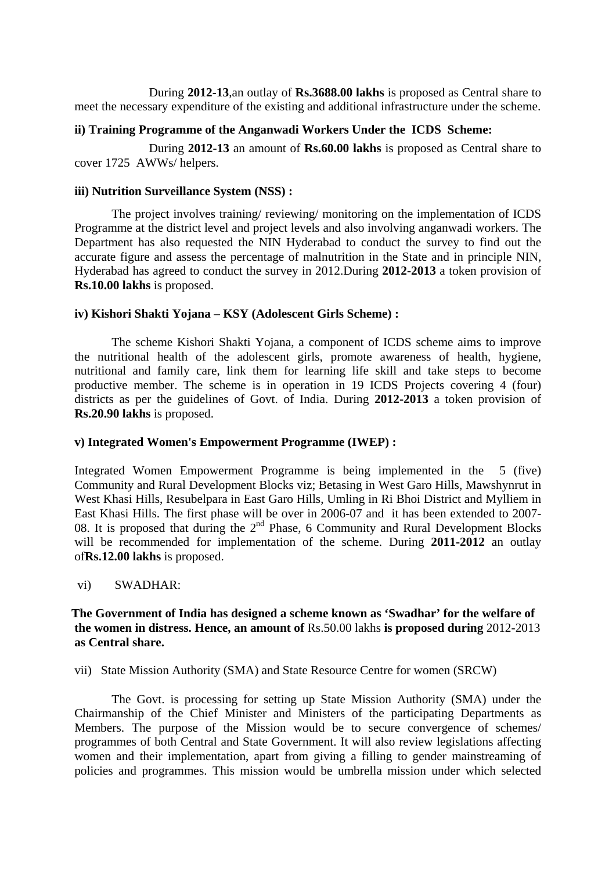During **2012-13**,an outlay of **Rs.3688.00 lakhs** is proposed as Central share to meet the necessary expenditure of the existing and additional infrastructure under the scheme.

## **ii) Training Programme of the Anganwadi Workers Under the ICDS Scheme:**

 During **2012-13** an amount of **Rs.60.00 lakhs** is proposed as Central share to cover 1725 AWWs/ helpers.

## **iii) Nutrition Surveillance System (NSS) :**

 The project involves training/ reviewing/ monitoring on the implementation of ICDS Programme at the district level and project levels and also involving anganwadi workers. The Department has also requested the NIN Hyderabad to conduct the survey to find out the accurate figure and assess the percentage of malnutrition in the State and in principle NIN, Hyderabad has agreed to conduct the survey in 2012.During **2012-2013** a token provision of **Rs.10.00 lakhs** is proposed.

# **iv) Kishori Shakti Yojana – KSY (Adolescent Girls Scheme) :**

The scheme Kishori Shakti Yojana, a component of ICDS scheme aims to improve the nutritional health of the adolescent girls, promote awareness of health, hygiene, nutritional and family care, link them for learning life skill and take steps to become productive member. The scheme is in operation in 19 ICDS Projects covering 4 (four) districts as per the guidelines of Govt. of India. During **2012-2013** a token provision of **Rs.20.90 lakhs** is proposed.

### **v) Integrated Women's Empowerment Programme (IWEP) :**

Integrated Women Empowerment Programme is being implemented in the 5 (five) Community and Rural Development Blocks viz; Betasing in West Garo Hills, Mawshynrut in West Khasi Hills, Resubelpara in East Garo Hills, Umling in Ri Bhoi District and Mylliem in East Khasi Hills. The first phase will be over in 2006-07 and it has been extended to 2007- 08. It is proposed that during the  $2<sup>nd</sup>$  Phase, 6 Community and Rural Development Blocks will be recommended for implementation of the scheme. During **2011-2012** an outlay of**Rs.12.00 lakhs** is proposed.

## vi) SWADHAR:

## **The Government of India has designed a scheme known as 'Swadhar' for the welfare of the women in distress. Hence, an amount of** Rs.50.00 lakhs **is proposed during** 2012-2013 **as Central share.**

vii) State Mission Authority (SMA) and State Resource Centre for women (SRCW)

The Govt. is processing for setting up State Mission Authority (SMA) under the Chairmanship of the Chief Minister and Ministers of the participating Departments as Members. The purpose of the Mission would be to secure convergence of schemes/ programmes of both Central and State Government. It will also review legislations affecting women and their implementation, apart from giving a filling to gender mainstreaming of policies and programmes. This mission would be umbrella mission under which selected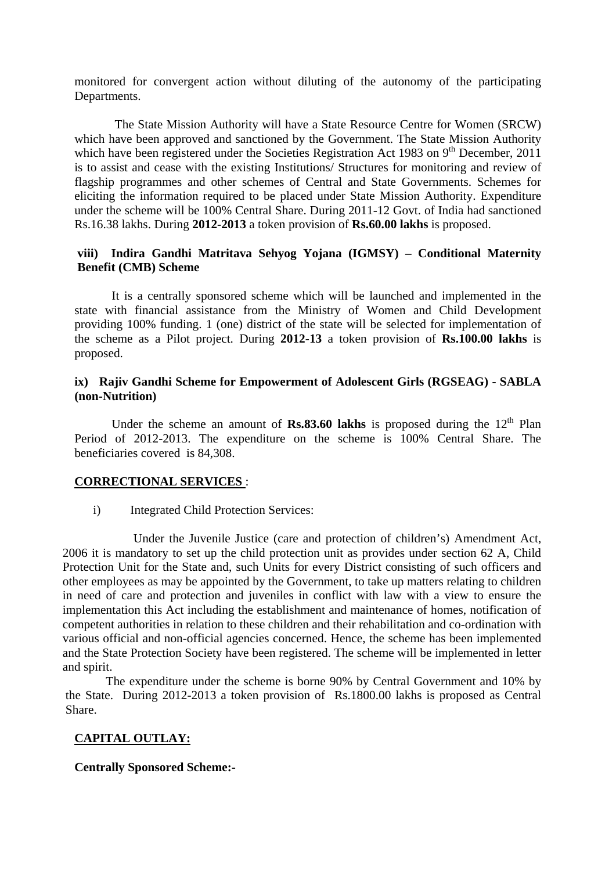monitored for convergent action without diluting of the autonomy of the participating Departments.

 The State Mission Authority will have a State Resource Centre for Women (SRCW) which have been approved and sanctioned by the Government. The State Mission Authority which have been registered under the Societies Registration Act 1983 on  $9<sup>th</sup>$  December, 2011 is to assist and cease with the existing Institutions/ Structures for monitoring and review of flagship programmes and other schemes of Central and State Governments. Schemes for eliciting the information required to be placed under State Mission Authority. Expenditure under the scheme will be 100% Central Share. During 2011-12 Govt. of India had sanctioned Rs.16.38 lakhs. During **2012-2013** a token provision of **Rs.60.00 lakhs** is proposed.

# **viii) Indira Gandhi Matritava Sehyog Yojana (IGMSY) – Conditional Maternity Benefit (CMB) Scheme**

 It is a centrally sponsored scheme which will be launched and implemented in the state with financial assistance from the Ministry of Women and Child Development providing 100% funding. 1 (one) district of the state will be selected for implementation of the scheme as a Pilot project. During **2012-13** a token provision of **Rs.100.00 lakhs** is proposed.

# **ix) Rajiv Gandhi Scheme for Empowerment of Adolescent Girls (RGSEAG) - SABLA (non-Nutrition)**

Under the scheme an amount of **Rs.83.60 lakhs** is proposed during the  $12<sup>th</sup>$  Plan Period of 2012-2013. The expenditure on the scheme is 100% Central Share. The beneficiaries covered is 84,308.

### **CORRECTIONAL SERVICES** :

i) Integrated Child Protection Services:

 Under the Juvenile Justice (care and protection of children's) Amendment Act, 2006 it is mandatory to set up the child protection unit as provides under section 62 A, Child Protection Unit for the State and, such Units for every District consisting of such officers and other employees as may be appointed by the Government, to take up matters relating to children in need of care and protection and juveniles in conflict with law with a view to ensure the implementation this Act including the establishment and maintenance of homes, notification of competent authorities in relation to these children and their rehabilitation and co-ordination with various official and non-official agencies concerned. Hence, the scheme has been implemented and the State Protection Society have been registered. The scheme will be implemented in letter and spirit.

 The expenditure under the scheme is borne 90% by Central Government and 10% by the State. During 2012-2013 a token provision of Rs.1800.00 lakhs is proposed as Central Share.

### **CAPITAL OUTLAY:**

#### **Centrally Sponsored Scheme:-**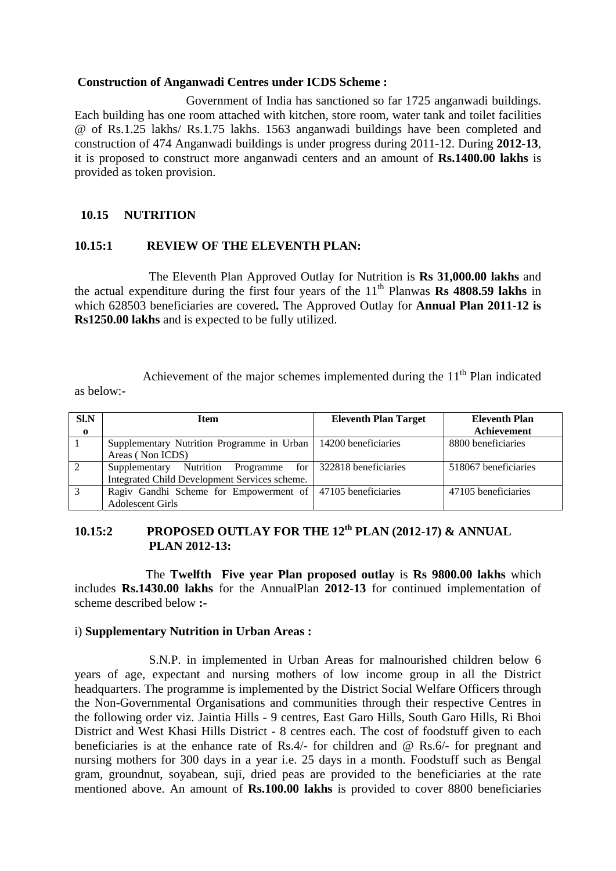#### **Construction of Anganwadi Centres under ICDS Scheme :**

 Government of India has sanctioned so far 1725 anganwadi buildings. Each building has one room attached with kitchen, store room, water tank and toilet facilities @ of Rs.1.25 lakhs/ Rs.1.75 lakhs. 1563 anganwadi buildings have been completed and construction of 474 Anganwadi buildings is under progress during 2011-12. During **2012-13**, it is proposed to construct more anganwadi centers and an amount of **Rs.1400.00 lakhs** is provided as token provision.

# **10.15 NUTRITION**

### **10.15:1 REVIEW OF THE ELEVENTH PLAN:**

 The Eleventh Plan Approved Outlay for Nutrition is **Rs 31,000.00 lakhs** and the actual expenditure during the first four years of the  $11<sup>th</sup>$  Planwas **Rs** 4808.59 lakhs in which 628503 beneficiaries are covered**.** The Approved Outlay for **Annual Plan 2011-12 is Rs1250.00 lakhs** and is expected to be fully utilized.

Achievement of the major schemes implemented during the  $11<sup>th</sup>$  Plan indicated as below:-

| SLN          | <b>Item</b>                                                      | <b>Eleventh Plan Target</b> |                      |
|--------------|------------------------------------------------------------------|-----------------------------|----------------------|
| $\mathbf{o}$ |                                                                  |                             | <b>Achievement</b>   |
|              | Supplementary Nutrition Programme in Urban   14200 beneficiaries |                             | 8800 beneficiaries   |
|              | Areas (Non ICDS)                                                 |                             |                      |
|              | Supplementary Nutrition Programme for   322818 beneficiaries     |                             | 518067 beneficiaries |
|              | Integrated Child Development Services scheme.                    |                             |                      |
| 3            | Ragiv Gandhi Scheme for Empowerment of 47105 beneficiaries       |                             | 47105 beneficiaries  |
|              | Adolescent Girls                                                 |                             |                      |

# **10.15:2 PROPOSED OUTLAY FOR THE 12th PLAN (2012-17) & ANNUAL PLAN 2012-13:**

 The **Twelfth Five year Plan proposed outlay** is **Rs 9800.00 lakhs** which includes **Rs.1430.00 lakhs** for the AnnualPlan **2012-13** for continued implementation of scheme described below **:-**

### i) **Supplementary Nutrition in Urban Areas :**

 S.N.P. in implemented in Urban Areas for malnourished children below 6 years of age, expectant and nursing mothers of low income group in all the District headquarters. The programme is implemented by the District Social Welfare Officers through the Non-Governmental Organisations and communities through their respective Centres in the following order viz. Jaintia Hills - 9 centres, East Garo Hills, South Garo Hills, Ri Bhoi District and West Khasi Hills District - 8 centres each. The cost of foodstuff given to each beneficiaries is at the enhance rate of Rs.4/- for children and @ Rs.6/- for pregnant and nursing mothers for 300 days in a year i.e. 25 days in a month. Foodstuff such as Bengal gram, groundnut, soyabean, suji, dried peas are provided to the beneficiaries at the rate mentioned above. An amount of **Rs.100.00 lakhs** is provided to cover 8800 beneficiaries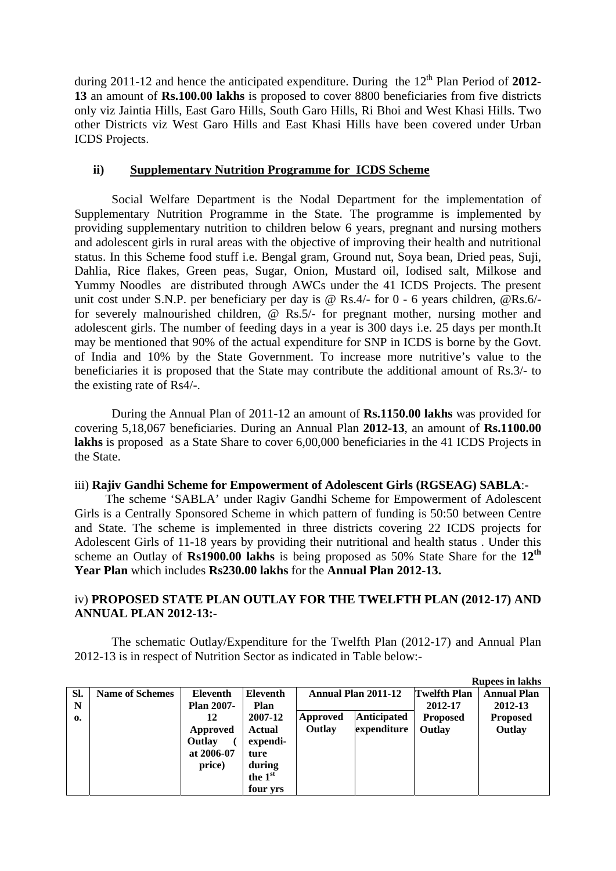during 2011-12 and hence the anticipated expenditure. During the 12<sup>th</sup> Plan Period of 2012-**13** an amount of **Rs.100.00 lakhs** is proposed to cover 8800 beneficiaries from five districts only viz Jaintia Hills, East Garo Hills, South Garo Hills, Ri Bhoi and West Khasi Hills. Two other Districts viz West Garo Hills and East Khasi Hills have been covered under Urban ICDS Projects.

## **ii) Supplementary Nutrition Programme for ICDS Scheme**

Social Welfare Department is the Nodal Department for the implementation of Supplementary Nutrition Programme in the State. The programme is implemented by providing supplementary nutrition to children below 6 years, pregnant and nursing mothers and adolescent girls in rural areas with the objective of improving their health and nutritional status. In this Scheme food stuff i.e. Bengal gram, Ground nut, Soya bean, Dried peas, Suji, Dahlia, Rice flakes, Green peas, Sugar, Onion, Mustard oil, Iodised salt, Milkose and Yummy Noodles are distributed through AWCs under the 41 ICDS Projects. The present unit cost under S.N.P. per beneficiary per day is @ Rs.4/- for 0 - 6 years children, @Rs.6/ for severely malnourished children, @ Rs.5/- for pregnant mother, nursing mother and adolescent girls. The number of feeding days in a year is 300 days i.e. 25 days per month.It may be mentioned that 90% of the actual expenditure for SNP in ICDS is borne by the Govt. of India and 10% by the State Government. To increase more nutritive's value to the beneficiaries it is proposed that the State may contribute the additional amount of Rs.3/- to the existing rate of Rs4/-.

During the Annual Plan of 2011-12 an amount of **Rs.1150.00 lakhs** was provided for covering 5,18,067 beneficiaries. During an Annual Plan **2012-13**, an amount of **Rs.1100.00 lakhs** is proposed as a State Share to cover 6,00,000 beneficiaries in the 41 ICDS Projects in the State.

# iii) **Rajiv Gandhi Scheme for Empowerment of Adolescent Girls (RGSEAG) SABLA**:-

 The scheme 'SABLA' under Ragiv Gandhi Scheme for Empowerment of Adolescent Girls is a Centrally Sponsored Scheme in which pattern of funding is 50:50 between Centre and State. The scheme is implemented in three districts covering 22 ICDS projects for Adolescent Girls of 11-18 years by providing their nutritional and health status . Under this scheme an Outlay of **Rs1900.00 lakhs** is being proposed as 50% State Share for the **12th Year Plan** which includes **Rs230.00 lakhs** for the **Annual Plan 2012-13.**

# iv) **PROPOSED STATE PLAN OUTLAY FOR THE TWELFTH PLAN (2012-17) AND ANNUAL PLAN 2012-13:-**

 The schematic Outlay/Expenditure for the Twelfth Plan (2012-17) and Annual Plan 2012-13 is in respect of Nutrition Sector as indicated in Table below:-

|              |                        |                   |          |                            |                    |                     | <b>Rupees in lakhs</b> |
|--------------|------------------------|-------------------|----------|----------------------------|--------------------|---------------------|------------------------|
| SI.          | <b>Name of Schemes</b> | Eleventh          | Eleventh | <b>Annual Plan 2011-12</b> |                    | <b>Twelfth Plan</b> | <b>Annual Plan</b>     |
| N            |                        | <b>Plan 2007-</b> | Plan     |                            |                    | 2012-17             | 2012-13                |
| $\mathbf{0}$ |                        | 12                | 2007-12  | Approved                   | <b>Anticipated</b> | <b>Proposed</b>     | <b>Proposed</b>        |
|              |                        | Approved          | Actual   | Outlay                     | expenditure        | Outlay              | Outlay                 |
|              |                        | Outlay            | expendi- |                            |                    |                     |                        |
|              |                        | at 2006-07        | ture     |                            |                    |                     |                        |
|              |                        | price)            | during   |                            |                    |                     |                        |
|              |                        |                   | the 1st  |                            |                    |                     |                        |
|              |                        |                   | four yrs |                            |                    |                     |                        |